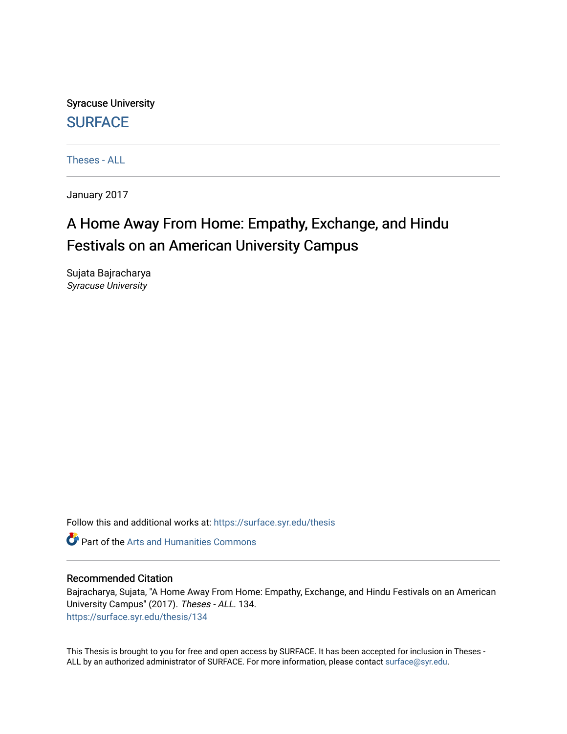Syracuse University **[SURFACE](https://surface.syr.edu/)** 

[Theses - ALL](https://surface.syr.edu/thesis)

January 2017

## A Home Away From Home: Empathy, Exchange, and Hindu Festivals on an American University Campus

Sujata Bajracharya Syracuse University

Follow this and additional works at: [https://surface.syr.edu/thesis](https://surface.syr.edu/thesis?utm_source=surface.syr.edu%2Fthesis%2F134&utm_medium=PDF&utm_campaign=PDFCoverPages)

**C** Part of the Arts and Humanities Commons

#### Recommended Citation

Bajracharya, Sujata, "A Home Away From Home: Empathy, Exchange, and Hindu Festivals on an American University Campus" (2017). Theses - ALL. 134. [https://surface.syr.edu/thesis/134](https://surface.syr.edu/thesis/134?utm_source=surface.syr.edu%2Fthesis%2F134&utm_medium=PDF&utm_campaign=PDFCoverPages)

This Thesis is brought to you for free and open access by SURFACE. It has been accepted for inclusion in Theses - ALL by an authorized administrator of SURFACE. For more information, please contact [surface@syr.edu](mailto:surface@syr.edu).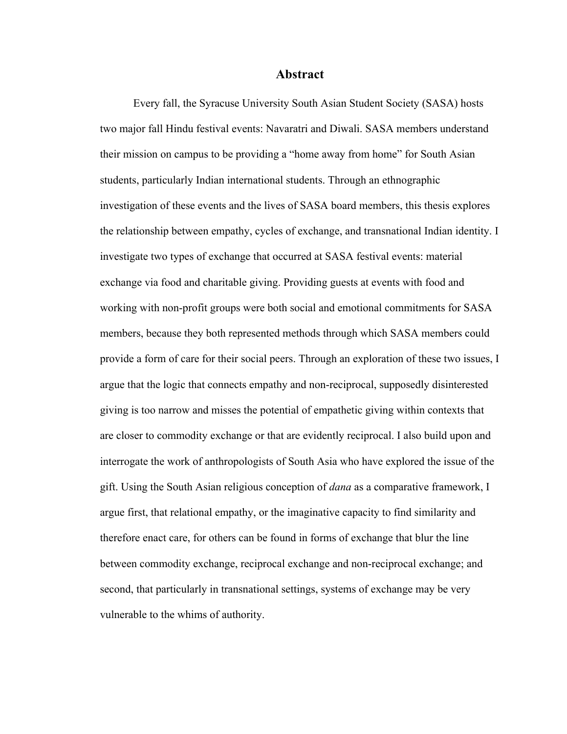#### **Abstract**

Every fall, the Syracuse University South Asian Student Society (SASA) hosts two major fall Hindu festival events: Navaratri and Diwali. SASA members understand their mission on campus to be providing a "home away from home" for South Asian students, particularly Indian international students. Through an ethnographic investigation of these events and the lives of SASA board members, this thesis explores the relationship between empathy, cycles of exchange, and transnational Indian identity. I investigate two types of exchange that occurred at SASA festival events: material exchange via food and charitable giving. Providing guests at events with food and working with non-profit groups were both social and emotional commitments for SASA members, because they both represented methods through which SASA members could provide a form of care for their social peers. Through an exploration of these two issues, I argue that the logic that connects empathy and non-reciprocal, supposedly disinterested giving is too narrow and misses the potential of empathetic giving within contexts that are closer to commodity exchange or that are evidently reciprocal. I also build upon and interrogate the work of anthropologists of South Asia who have explored the issue of the gift. Using the South Asian religious conception of *dana* as a comparative framework, I argue first, that relational empathy, or the imaginative capacity to find similarity and therefore enact care, for others can be found in forms of exchange that blur the line between commodity exchange, reciprocal exchange and non-reciprocal exchange; and second, that particularly in transnational settings, systems of exchange may be very vulnerable to the whims of authority.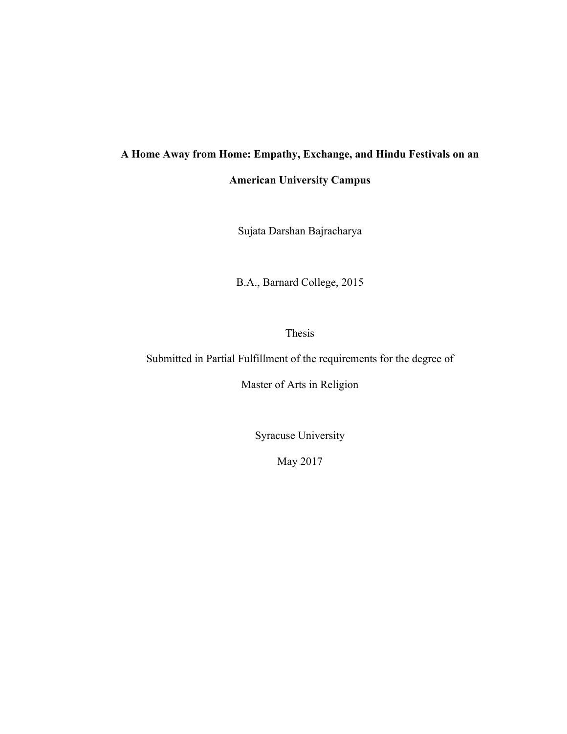# **A Home Away from Home: Empathy, Exchange, and Hindu Festivals on an**

**American University Campus**

Sujata Darshan Bajracharya

B.A., Barnard College, 2015

Thesis

Submitted in Partial Fulfillment of the requirements for the degree of

Master of Arts in Religion

Syracuse University

May 2017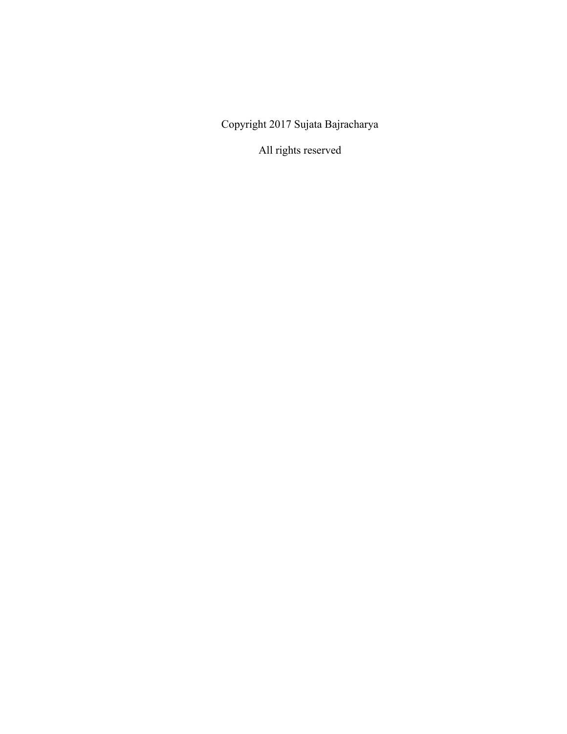Copyright 2017 Sujata Bajracharya

All rights reserved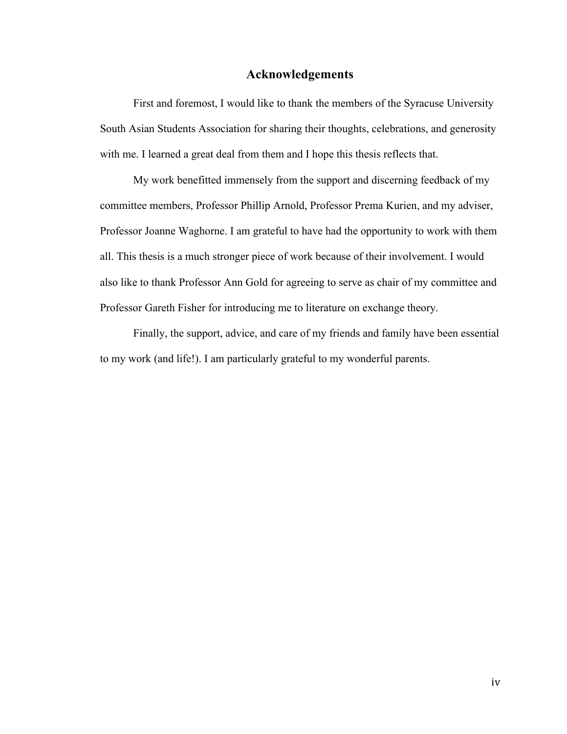#### **Acknowledgements**

First and foremost, I would like to thank the members of the Syracuse University South Asian Students Association for sharing their thoughts, celebrations, and generosity with me. I learned a great deal from them and I hope this thesis reflects that.

My work benefitted immensely from the support and discerning feedback of my committee members, Professor Phillip Arnold, Professor Prema Kurien, and my adviser, Professor Joanne Waghorne. I am grateful to have had the opportunity to work with them all. This thesis is a much stronger piece of work because of their involvement. I would also like to thank Professor Ann Gold for agreeing to serve as chair of my committee and Professor Gareth Fisher for introducing me to literature on exchange theory.

Finally, the support, advice, and care of my friends and family have been essential to my work (and life!). I am particularly grateful to my wonderful parents.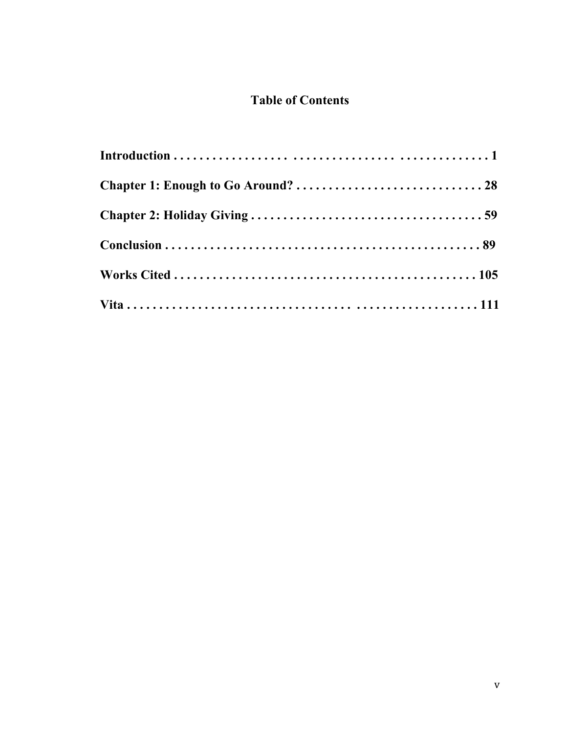### **Table of Contents**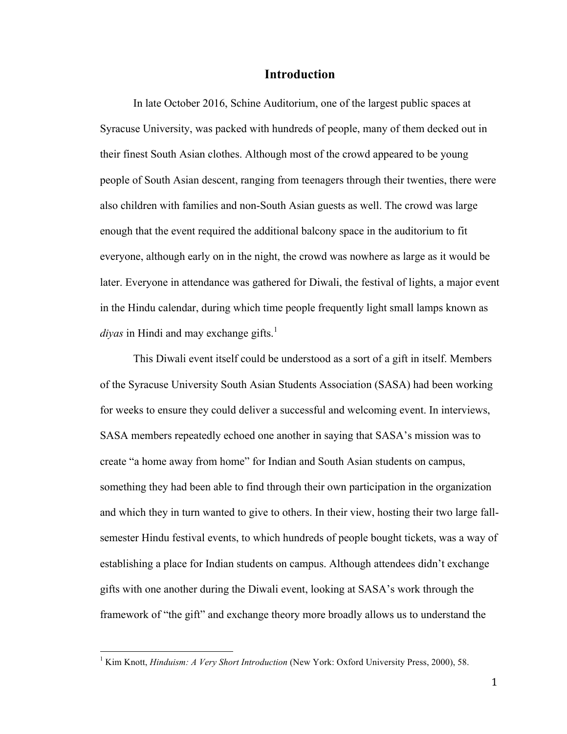#### **Introduction**

In late October 2016, Schine Auditorium, one of the largest public spaces at Syracuse University, was packed with hundreds of people, many of them decked out in their finest South Asian clothes. Although most of the crowd appeared to be young people of South Asian descent, ranging from teenagers through their twenties, there were also children with families and non-South Asian guests as well. The crowd was large enough that the event required the additional balcony space in the auditorium to fit everyone, although early on in the night, the crowd was nowhere as large as it would be later. Everyone in attendance was gathered for Diwali, the festival of lights, a major event in the Hindu calendar, during which time people frequently light small lamps known as *diyas* in Hindi and may exchange gifts.<sup>1</sup>

This Diwali event itself could be understood as a sort of a gift in itself. Members of the Syracuse University South Asian Students Association (SASA) had been working for weeks to ensure they could deliver a successful and welcoming event. In interviews, SASA members repeatedly echoed one another in saying that SASA's mission was to create "a home away from home" for Indian and South Asian students on campus, something they had been able to find through their own participation in the organization and which they in turn wanted to give to others. In their view, hosting their two large fallsemester Hindu festival events, to which hundreds of people bought tickets, was a way of establishing a place for Indian students on campus. Although attendees didn't exchange gifts with one another during the Diwali event, looking at SASA's work through the framework of "the gift" and exchange theory more broadly allows us to understand the

<sup>&</sup>lt;sup>1</sup> Kim Knott, *Hinduism: A Very Short Introduction* (New York: Oxford University Press, 2000), 58.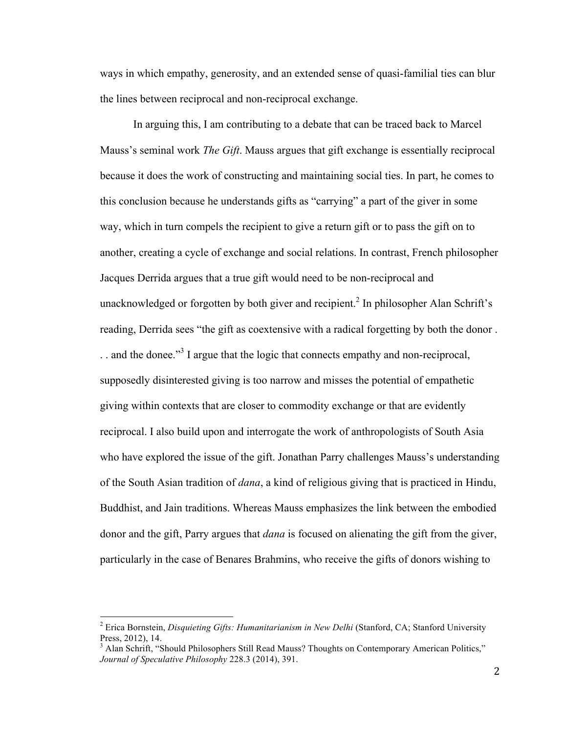ways in which empathy, generosity, and an extended sense of quasi-familial ties can blur the lines between reciprocal and non-reciprocal exchange.

In arguing this, I am contributing to a debate that can be traced back to Marcel Mauss's seminal work *The Gift*. Mauss argues that gift exchange is essentially reciprocal because it does the work of constructing and maintaining social ties. In part, he comes to this conclusion because he understands gifts as "carrying" a part of the giver in some way, which in turn compels the recipient to give a return gift or to pass the gift on to another, creating a cycle of exchange and social relations. In contrast, French philosopher Jacques Derrida argues that a true gift would need to be non-reciprocal and unacknowledged or forgotten by both giver and recipient.<sup>2</sup> In philosopher Alan Schrift's reading, Derrida sees "the gift as coextensive with a radical forgetting by both the donor .  $\ldots$  and the donee."<sup>3</sup> I argue that the logic that connects empathy and non-reciprocal, supposedly disinterested giving is too narrow and misses the potential of empathetic giving within contexts that are closer to commodity exchange or that are evidently reciprocal. I also build upon and interrogate the work of anthropologists of South Asia who have explored the issue of the gift. Jonathan Parry challenges Mauss's understanding of the South Asian tradition of *dana*, a kind of religious giving that is practiced in Hindu, Buddhist, and Jain traditions. Whereas Mauss emphasizes the link between the embodied donor and the gift, Parry argues that *dana* is focused on alienating the gift from the giver, particularly in the case of Benares Brahmins, who receive the gifts of donors wishing to

<sup>2</sup> Erica Bornstein, *Disquieting Gifts: Humanitarianism in New Delhi* (Stanford, CA; Stanford University Press, 2012), 14.

<sup>&</sup>lt;sup>3</sup> Alan Schrift, "Should Philosophers Still Read Mauss? Thoughts on Contemporary American Politics," *Journal of Speculative Philosophy* 228.3 (2014), 391.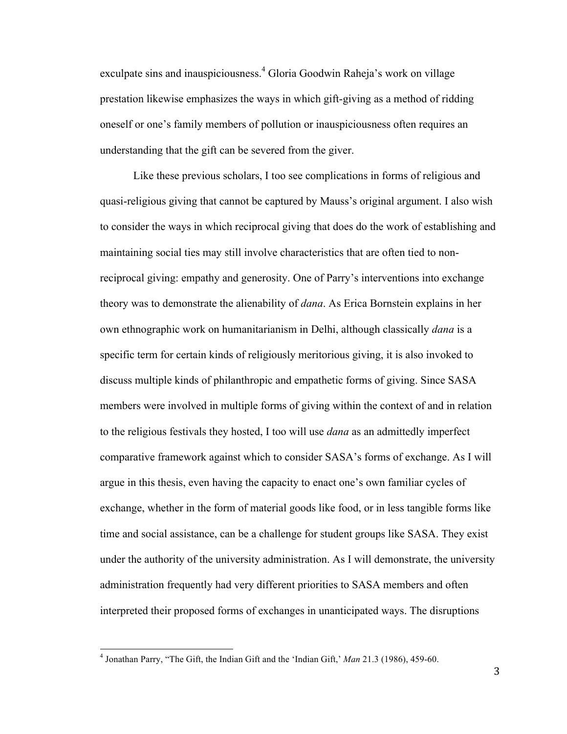exculpate sins and inauspiciousness.<sup>4</sup> Gloria Goodwin Raheja's work on village prestation likewise emphasizes the ways in which gift-giving as a method of ridding oneself or one's family members of pollution or inauspiciousness often requires an understanding that the gift can be severed from the giver.

Like these previous scholars, I too see complications in forms of religious and quasi-religious giving that cannot be captured by Mauss's original argument. I also wish to consider the ways in which reciprocal giving that does do the work of establishing and maintaining social ties may still involve characteristics that are often tied to nonreciprocal giving: empathy and generosity. One of Parry's interventions into exchange theory was to demonstrate the alienability of *dana*. As Erica Bornstein explains in her own ethnographic work on humanitarianism in Delhi, although classically *dana* is a specific term for certain kinds of religiously meritorious giving, it is also invoked to discuss multiple kinds of philanthropic and empathetic forms of giving. Since SASA members were involved in multiple forms of giving within the context of and in relation to the religious festivals they hosted, I too will use *dana* as an admittedly imperfect comparative framework against which to consider SASA's forms of exchange. As I will argue in this thesis, even having the capacity to enact one's own familiar cycles of exchange, whether in the form of material goods like food, or in less tangible forms like time and social assistance, can be a challenge for student groups like SASA. They exist under the authority of the university administration. As I will demonstrate, the university administration frequently had very different priorities to SASA members and often interpreted their proposed forms of exchanges in unanticipated ways. The disruptions

<sup>4</sup> Jonathan Parry, "The Gift, the Indian Gift and the 'Indian Gift,' *Man* 21.3 (1986), 459-60.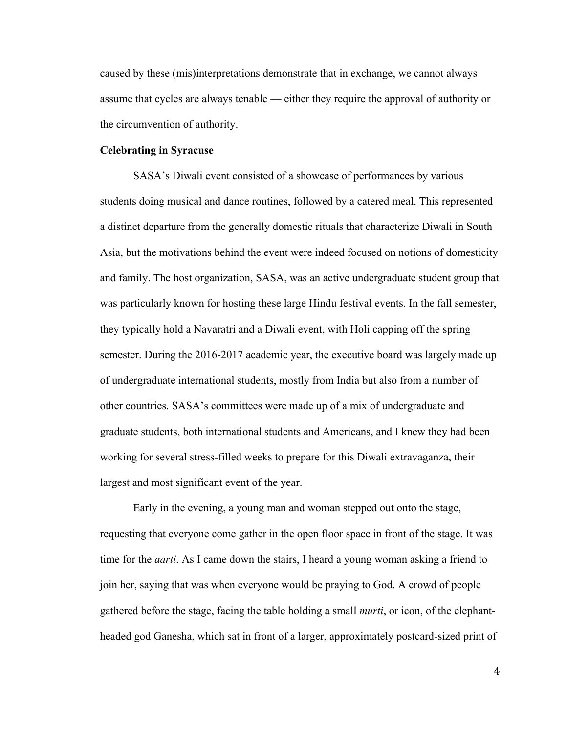caused by these (mis)interpretations demonstrate that in exchange, we cannot always assume that cycles are always tenable — either they require the approval of authority or the circumvention of authority.

#### **Celebrating in Syracuse**

SASA's Diwali event consisted of a showcase of performances by various students doing musical and dance routines, followed by a catered meal. This represented a distinct departure from the generally domestic rituals that characterize Diwali in South Asia, but the motivations behind the event were indeed focused on notions of domesticity and family. The host organization, SASA, was an active undergraduate student group that was particularly known for hosting these large Hindu festival events. In the fall semester, they typically hold a Navaratri and a Diwali event, with Holi capping off the spring semester. During the 2016-2017 academic year, the executive board was largely made up of undergraduate international students, mostly from India but also from a number of other countries. SASA's committees were made up of a mix of undergraduate and graduate students, both international students and Americans, and I knew they had been working for several stress-filled weeks to prepare for this Diwali extravaganza, their largest and most significant event of the year.

Early in the evening, a young man and woman stepped out onto the stage, requesting that everyone come gather in the open floor space in front of the stage. It was time for the *aarti*. As I came down the stairs, I heard a young woman asking a friend to join her, saying that was when everyone would be praying to God. A crowd of people gathered before the stage, facing the table holding a small *murti*, or icon, of the elephantheaded god Ganesha, which sat in front of a larger, approximately postcard-sized print of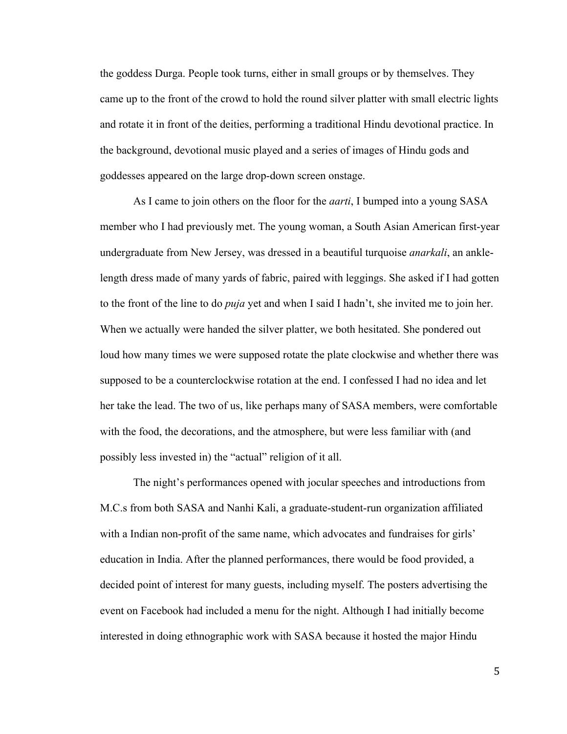the goddess Durga. People took turns, either in small groups or by themselves. They came up to the front of the crowd to hold the round silver platter with small electric lights and rotate it in front of the deities, performing a traditional Hindu devotional practice. In the background, devotional music played and a series of images of Hindu gods and goddesses appeared on the large drop-down screen onstage.

As I came to join others on the floor for the *aarti*, I bumped into a young SASA member who I had previously met. The young woman, a South Asian American first-year undergraduate from New Jersey, was dressed in a beautiful turquoise *anarkali*, an anklelength dress made of many yards of fabric, paired with leggings. She asked if I had gotten to the front of the line to do *puja* yet and when I said I hadn't, she invited me to join her. When we actually were handed the silver platter, we both hesitated. She pondered out loud how many times we were supposed rotate the plate clockwise and whether there was supposed to be a counterclockwise rotation at the end. I confessed I had no idea and let her take the lead. The two of us, like perhaps many of SASA members, were comfortable with the food, the decorations, and the atmosphere, but were less familiar with (and possibly less invested in) the "actual" religion of it all.

The night's performances opened with jocular speeches and introductions from M.C.s from both SASA and Nanhi Kali, a graduate-student-run organization affiliated with a Indian non-profit of the same name, which advocates and fundraises for girls' education in India. After the planned performances, there would be food provided, a decided point of interest for many guests, including myself. The posters advertising the event on Facebook had included a menu for the night. Although I had initially become interested in doing ethnographic work with SASA because it hosted the major Hindu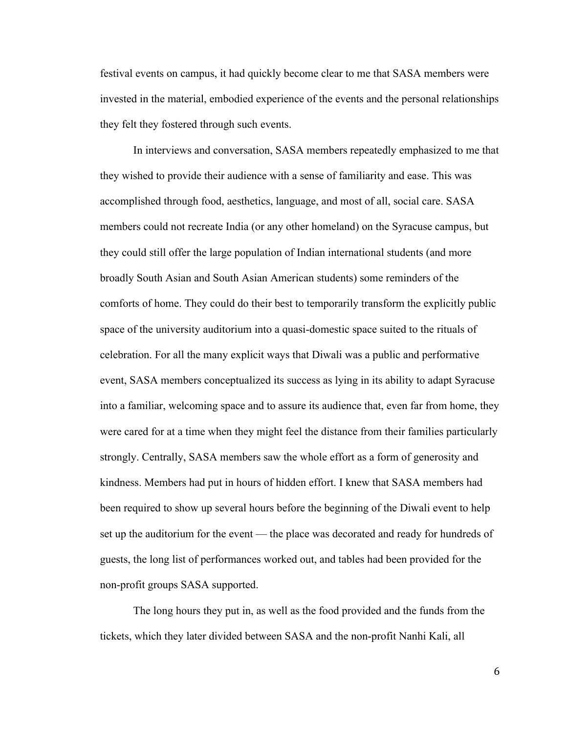festival events on campus, it had quickly become clear to me that SASA members were invested in the material, embodied experience of the events and the personal relationships they felt they fostered through such events.

In interviews and conversation, SASA members repeatedly emphasized to me that they wished to provide their audience with a sense of familiarity and ease. This was accomplished through food, aesthetics, language, and most of all, social care. SASA members could not recreate India (or any other homeland) on the Syracuse campus, but they could still offer the large population of Indian international students (and more broadly South Asian and South Asian American students) some reminders of the comforts of home. They could do their best to temporarily transform the explicitly public space of the university auditorium into a quasi-domestic space suited to the rituals of celebration. For all the many explicit ways that Diwali was a public and performative event, SASA members conceptualized its success as lying in its ability to adapt Syracuse into a familiar, welcoming space and to assure its audience that, even far from home, they were cared for at a time when they might feel the distance from their families particularly strongly. Centrally, SASA members saw the whole effort as a form of generosity and kindness. Members had put in hours of hidden effort. I knew that SASA members had been required to show up several hours before the beginning of the Diwali event to help set up the auditorium for the event — the place was decorated and ready for hundreds of guests, the long list of performances worked out, and tables had been provided for the non-profit groups SASA supported.

The long hours they put in, as well as the food provided and the funds from the tickets, which they later divided between SASA and the non-profit Nanhi Kali, all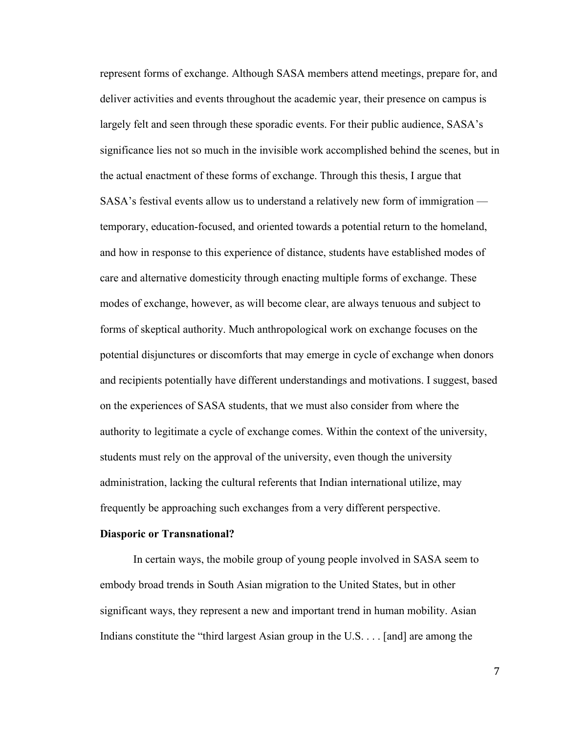represent forms of exchange. Although SASA members attend meetings, prepare for, and deliver activities and events throughout the academic year, their presence on campus is largely felt and seen through these sporadic events. For their public audience, SASA's significance lies not so much in the invisible work accomplished behind the scenes, but in the actual enactment of these forms of exchange. Through this thesis, I argue that SASA's festival events allow us to understand a relatively new form of immigration temporary, education-focused, and oriented towards a potential return to the homeland, and how in response to this experience of distance, students have established modes of care and alternative domesticity through enacting multiple forms of exchange. These modes of exchange, however, as will become clear, are always tenuous and subject to forms of skeptical authority. Much anthropological work on exchange focuses on the potential disjunctures or discomforts that may emerge in cycle of exchange when donors and recipients potentially have different understandings and motivations. I suggest, based on the experiences of SASA students, that we must also consider from where the authority to legitimate a cycle of exchange comes. Within the context of the university, students must rely on the approval of the university, even though the university administration, lacking the cultural referents that Indian international utilize, may frequently be approaching such exchanges from a very different perspective.

#### **Diasporic or Transnational?**

In certain ways, the mobile group of young people involved in SASA seem to embody broad trends in South Asian migration to the United States, but in other significant ways, they represent a new and important trend in human mobility. Asian Indians constitute the "third largest Asian group in the U.S. . . . [and] are among the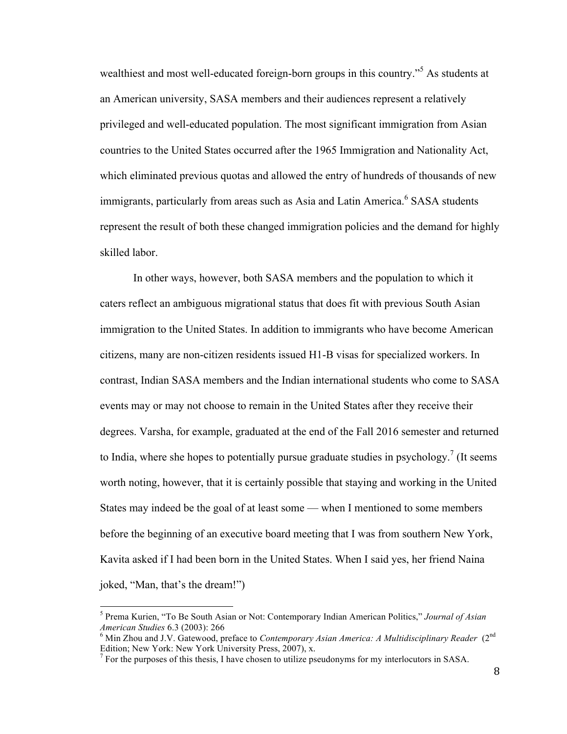wealthiest and most well-educated foreign-born groups in this country."<sup>5</sup> As students at an American university, SASA members and their audiences represent a relatively privileged and well-educated population. The most significant immigration from Asian countries to the United States occurred after the 1965 Immigration and Nationality Act, which eliminated previous quotas and allowed the entry of hundreds of thousands of new immigrants, particularly from areas such as Asia and Latin America.<sup>6</sup> SASA students represent the result of both these changed immigration policies and the demand for highly skilled labor.

In other ways, however, both SASA members and the population to which it caters reflect an ambiguous migrational status that does fit with previous South Asian immigration to the United States. In addition to immigrants who have become American citizens, many are non-citizen residents issued H1-B visas for specialized workers. In contrast, Indian SASA members and the Indian international students who come to SASA events may or may not choose to remain in the United States after they receive their degrees. Varsha, for example, graduated at the end of the Fall 2016 semester and returned to India, where she hopes to potentially pursue graduate studies in psychology.<sup>7</sup> (It seems worth noting, however, that it is certainly possible that staying and working in the United States may indeed be the goal of at least some — when I mentioned to some members before the beginning of an executive board meeting that I was from southern New York, Kavita asked if I had been born in the United States. When I said yes, her friend Naina joked, "Man, that's the dream!")

<sup>5</sup> Prema Kurien, "To Be South Asian or Not: Contemporary Indian American Politics," *Journal of Asian American Studies* 6.3 (2003): 266<br><sup>6</sup> Min Zhou and J.V. Gatewood, preface to *Contemporary Asian America: A Multidisciplinary Reader* (2<sup>nd</sup>

Edition; New York: New York University Press, 2007), x.

 $<sup>7</sup>$  For the purposes of this thesis, I have chosen to utilize pseudonyms for my interlocutors in SASA.</sup>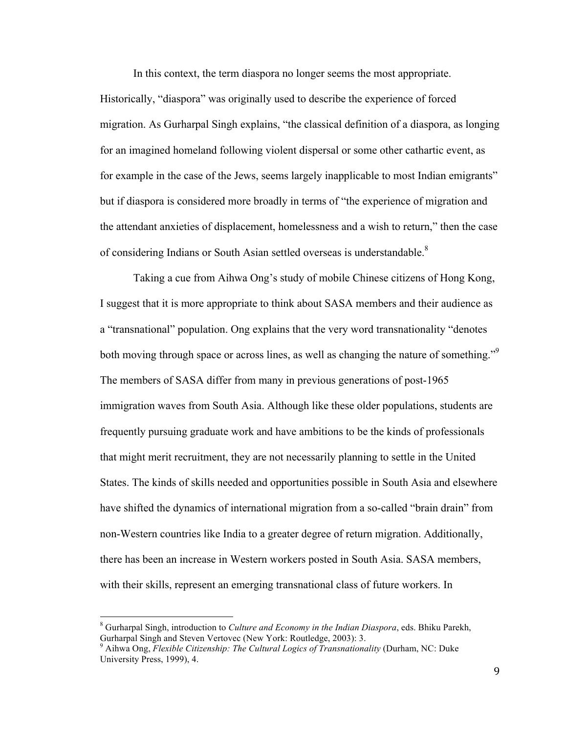In this context, the term diaspora no longer seems the most appropriate.

Historically, "diaspora" was originally used to describe the experience of forced migration. As Gurharpal Singh explains, "the classical definition of a diaspora, as longing for an imagined homeland following violent dispersal or some other cathartic event, as for example in the case of the Jews, seems largely inapplicable to most Indian emigrants" but if diaspora is considered more broadly in terms of "the experience of migration and the attendant anxieties of displacement, homelessness and a wish to return," then the case of considering Indians or South Asian settled overseas is understandable.<sup>8</sup>

Taking a cue from Aihwa Ong's study of mobile Chinese citizens of Hong Kong, I suggest that it is more appropriate to think about SASA members and their audience as a "transnational" population. Ong explains that the very word transnationality "denotes both moving through space or across lines, as well as changing the nature of something."<sup>9</sup> The members of SASA differ from many in previous generations of post-1965 immigration waves from South Asia. Although like these older populations, students are frequently pursuing graduate work and have ambitions to be the kinds of professionals that might merit recruitment, they are not necessarily planning to settle in the United States. The kinds of skills needed and opportunities possible in South Asia and elsewhere have shifted the dynamics of international migration from a so-called "brain drain" from non-Western countries like India to a greater degree of return migration. Additionally, there has been an increase in Western workers posted in South Asia. SASA members, with their skills, represent an emerging transnational class of future workers. In

<sup>8</sup> Gurharpal Singh, introduction to *Culture and Economy in the Indian Diaspora*, eds. Bhiku Parekh, Gurharpal Singh and Steven Vertovec (New York: Routledge, 2003): 3.

<sup>9</sup> Aihwa Ong, *Flexible Citizenship: The Cultural Logics of Transnationality* (Durham, NC: Duke University Press, 1999), 4.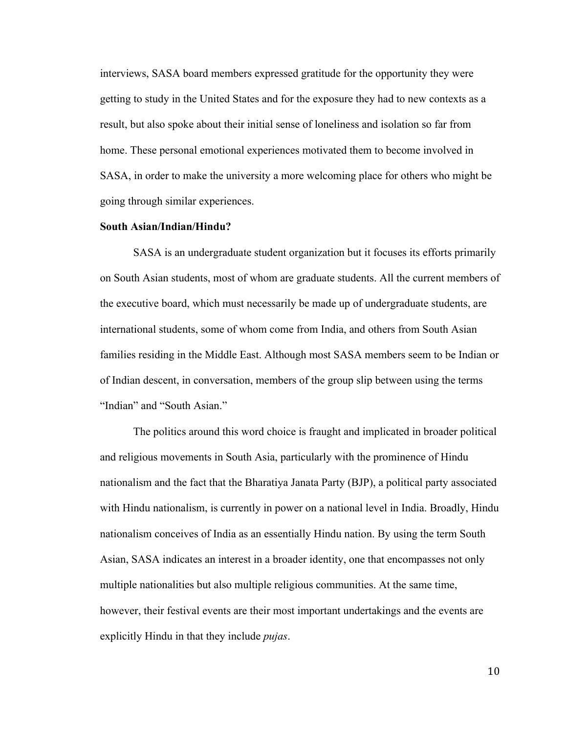interviews, SASA board members expressed gratitude for the opportunity they were getting to study in the United States and for the exposure they had to new contexts as a result, but also spoke about their initial sense of loneliness and isolation so far from home. These personal emotional experiences motivated them to become involved in SASA, in order to make the university a more welcoming place for others who might be going through similar experiences.

#### **South Asian/Indian/Hindu?**

SASA is an undergraduate student organization but it focuses its efforts primarily on South Asian students, most of whom are graduate students. All the current members of the executive board, which must necessarily be made up of undergraduate students, are international students, some of whom come from India, and others from South Asian families residing in the Middle East. Although most SASA members seem to be Indian or of Indian descent, in conversation, members of the group slip between using the terms "Indian" and "South Asian."

The politics around this word choice is fraught and implicated in broader political and religious movements in South Asia, particularly with the prominence of Hindu nationalism and the fact that the Bharatiya Janata Party (BJP), a political party associated with Hindu nationalism, is currently in power on a national level in India. Broadly, Hindu nationalism conceives of India as an essentially Hindu nation. By using the term South Asian, SASA indicates an interest in a broader identity, one that encompasses not only multiple nationalities but also multiple religious communities. At the same time, however, their festival events are their most important undertakings and the events are explicitly Hindu in that they include *pujas*.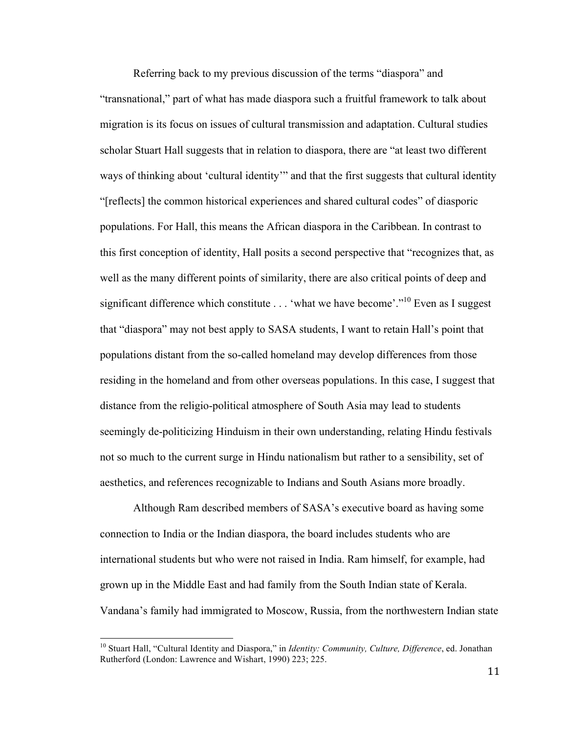Referring back to my previous discussion of the terms "diaspora" and "transnational," part of what has made diaspora such a fruitful framework to talk about migration is its focus on issues of cultural transmission and adaptation. Cultural studies scholar Stuart Hall suggests that in relation to diaspora, there are "at least two different ways of thinking about 'cultural identity'" and that the first suggests that cultural identity "[reflects] the common historical experiences and shared cultural codes" of diasporic populations. For Hall, this means the African diaspora in the Caribbean. In contrast to this first conception of identity, Hall posits a second perspective that "recognizes that, as well as the many different points of similarity, there are also critical points of deep and significant difference which constitute . . . 'what we have become'."<sup>10</sup> Even as I suggest that "diaspora" may not best apply to SASA students, I want to retain Hall's point that populations distant from the so-called homeland may develop differences from those residing in the homeland and from other overseas populations. In this case, I suggest that distance from the religio-political atmosphere of South Asia may lead to students seemingly de-politicizing Hinduism in their own understanding, relating Hindu festivals not so much to the current surge in Hindu nationalism but rather to a sensibility, set of aesthetics, and references recognizable to Indians and South Asians more broadly.

Although Ram described members of SASA's executive board as having some connection to India or the Indian diaspora, the board includes students who are international students but who were not raised in India. Ram himself, for example, had grown up in the Middle East and had family from the South Indian state of Kerala. Vandana's family had immigrated to Moscow, Russia, from the northwestern Indian state

<sup>10</sup> Stuart Hall, "Cultural Identity and Diaspora," in *Identity: Community, Culture, Difference*, ed. Jonathan Rutherford (London: Lawrence and Wishart, 1990) 223; 225.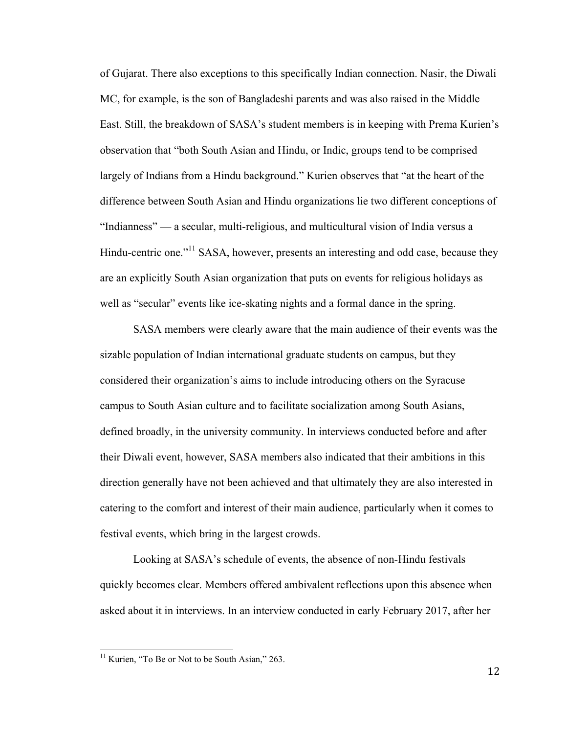of Gujarat. There also exceptions to this specifically Indian connection. Nasir, the Diwali MC, for example, is the son of Bangladeshi parents and was also raised in the Middle East. Still, the breakdown of SASA's student members is in keeping with Prema Kurien's observation that "both South Asian and Hindu, or Indic, groups tend to be comprised largely of Indians from a Hindu background." Kurien observes that "at the heart of the difference between South Asian and Hindu organizations lie two different conceptions of "Indianness" — a secular, multi-religious, and multicultural vision of India versus a Hindu-centric one."<sup>11</sup> SASA, however, presents an interesting and odd case, because they are an explicitly South Asian organization that puts on events for religious holidays as well as "secular" events like ice-skating nights and a formal dance in the spring.

SASA members were clearly aware that the main audience of their events was the sizable population of Indian international graduate students on campus, but they considered their organization's aims to include introducing others on the Syracuse campus to South Asian culture and to facilitate socialization among South Asians, defined broadly, in the university community. In interviews conducted before and after their Diwali event, however, SASA members also indicated that their ambitions in this direction generally have not been achieved and that ultimately they are also interested in catering to the comfort and interest of their main audience, particularly when it comes to festival events, which bring in the largest crowds.

Looking at SASA's schedule of events, the absence of non-Hindu festivals quickly becomes clear. Members offered ambivalent reflections upon this absence when asked about it in interviews. In an interview conducted in early February 2017, after her

<sup>&</sup>lt;sup>11</sup> Kurien, "To Be or Not to be South Asian," 263.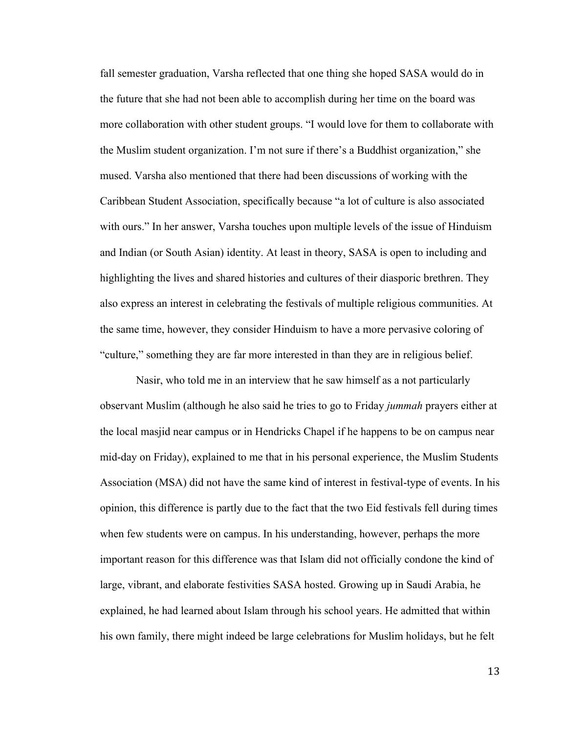fall semester graduation, Varsha reflected that one thing she hoped SASA would do in the future that she had not been able to accomplish during her time on the board was more collaboration with other student groups. "I would love for them to collaborate with the Muslim student organization. I'm not sure if there's a Buddhist organization," she mused. Varsha also mentioned that there had been discussions of working with the Caribbean Student Association, specifically because "a lot of culture is also associated with ours." In her answer, Varsha touches upon multiple levels of the issue of Hinduism and Indian (or South Asian) identity. At least in theory, SASA is open to including and highlighting the lives and shared histories and cultures of their diasporic brethren. They also express an interest in celebrating the festivals of multiple religious communities. At the same time, however, they consider Hinduism to have a more pervasive coloring of "culture," something they are far more interested in than they are in religious belief.

Nasir, who told me in an interview that he saw himself as a not particularly observant Muslim (although he also said he tries to go to Friday *jummah* prayers either at the local masjid near campus or in Hendricks Chapel if he happens to be on campus near mid-day on Friday), explained to me that in his personal experience, the Muslim Students Association (MSA) did not have the same kind of interest in festival-type of events. In his opinion, this difference is partly due to the fact that the two Eid festivals fell during times when few students were on campus. In his understanding, however, perhaps the more important reason for this difference was that Islam did not officially condone the kind of large, vibrant, and elaborate festivities SASA hosted. Growing up in Saudi Arabia, he explained, he had learned about Islam through his school years. He admitted that within his own family, there might indeed be large celebrations for Muslim holidays, but he felt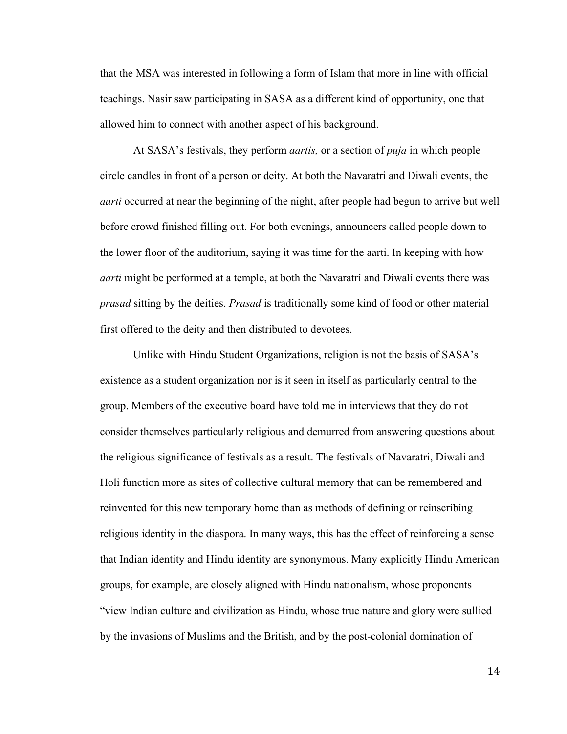that the MSA was interested in following a form of Islam that more in line with official teachings. Nasir saw participating in SASA as a different kind of opportunity, one that allowed him to connect with another aspect of his background.

At SASA's festivals, they perform *aartis,* or a section of *puja* in which people circle candles in front of a person or deity. At both the Navaratri and Diwali events, the *aarti* occurred at near the beginning of the night, after people had begun to arrive but well before crowd finished filling out. For both evenings, announcers called people down to the lower floor of the auditorium, saying it was time for the aarti. In keeping with how *aarti* might be performed at a temple, at both the Navaratri and Diwali events there was *prasad* sitting by the deities. *Prasad* is traditionally some kind of food or other material first offered to the deity and then distributed to devotees.

Unlike with Hindu Student Organizations, religion is not the basis of SASA's existence as a student organization nor is it seen in itself as particularly central to the group. Members of the executive board have told me in interviews that they do not consider themselves particularly religious and demurred from answering questions about the religious significance of festivals as a result. The festivals of Navaratri, Diwali and Holi function more as sites of collective cultural memory that can be remembered and reinvented for this new temporary home than as methods of defining or reinscribing religious identity in the diaspora. In many ways, this has the effect of reinforcing a sense that Indian identity and Hindu identity are synonymous. Many explicitly Hindu American groups, for example, are closely aligned with Hindu nationalism, whose proponents "view Indian culture and civilization as Hindu, whose true nature and glory were sullied by the invasions of Muslims and the British, and by the post-colonial domination of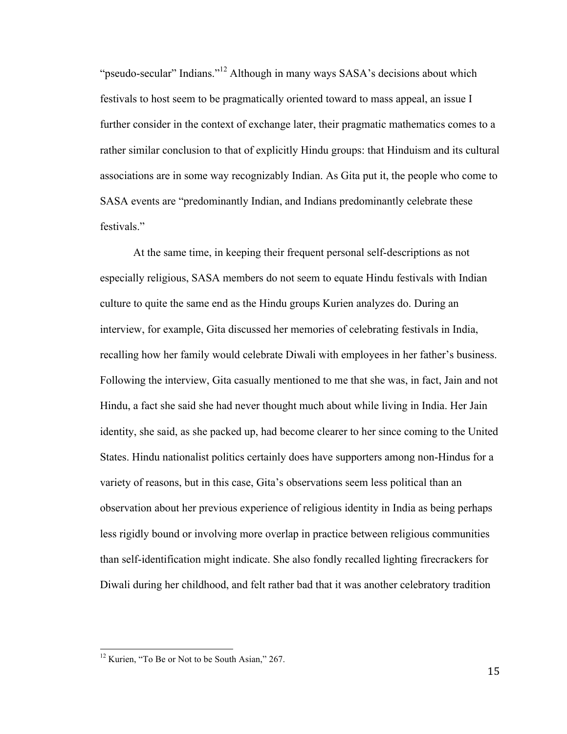"pseudo-secular" Indians."<sup>12</sup> Although in many ways SASA's decisions about which festivals to host seem to be pragmatically oriented toward to mass appeal, an issue I further consider in the context of exchange later, their pragmatic mathematics comes to a rather similar conclusion to that of explicitly Hindu groups: that Hinduism and its cultural associations are in some way recognizably Indian. As Gita put it, the people who come to SASA events are "predominantly Indian, and Indians predominantly celebrate these festivals."

At the same time, in keeping their frequent personal self-descriptions as not especially religious, SASA members do not seem to equate Hindu festivals with Indian culture to quite the same end as the Hindu groups Kurien analyzes do. During an interview, for example, Gita discussed her memories of celebrating festivals in India, recalling how her family would celebrate Diwali with employees in her father's business. Following the interview, Gita casually mentioned to me that she was, in fact, Jain and not Hindu, a fact she said she had never thought much about while living in India. Her Jain identity, she said, as she packed up, had become clearer to her since coming to the United States. Hindu nationalist politics certainly does have supporters among non-Hindus for a variety of reasons, but in this case, Gita's observations seem less political than an observation about her previous experience of religious identity in India as being perhaps less rigidly bound or involving more overlap in practice between religious communities than self-identification might indicate. She also fondly recalled lighting firecrackers for Diwali during her childhood, and felt rather bad that it was another celebratory tradition

<sup>&</sup>lt;sup>12</sup> Kurien, "To Be or Not to be South Asian," 267.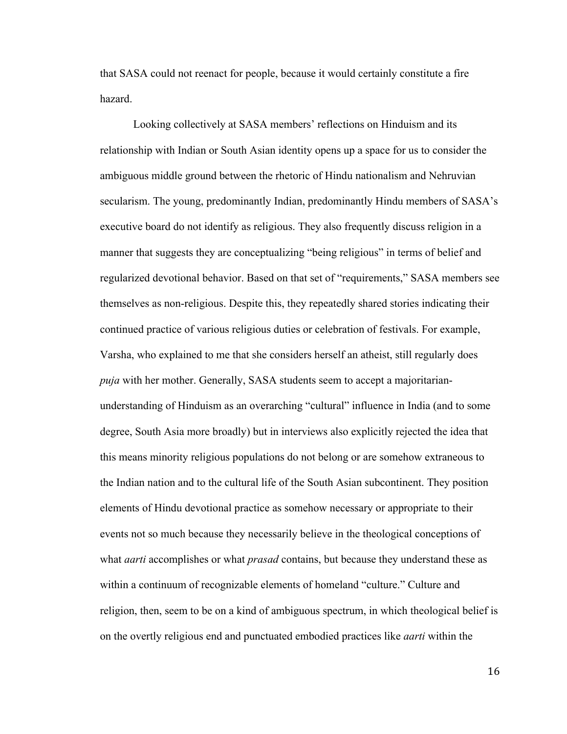that SASA could not reenact for people, because it would certainly constitute a fire hazard.

Looking collectively at SASA members' reflections on Hinduism and its relationship with Indian or South Asian identity opens up a space for us to consider the ambiguous middle ground between the rhetoric of Hindu nationalism and Nehruvian secularism. The young, predominantly Indian, predominantly Hindu members of SASA's executive board do not identify as religious. They also frequently discuss religion in a manner that suggests they are conceptualizing "being religious" in terms of belief and regularized devotional behavior. Based on that set of "requirements," SASA members see themselves as non-religious. Despite this, they repeatedly shared stories indicating their continued practice of various religious duties or celebration of festivals. For example, Varsha, who explained to me that she considers herself an atheist, still regularly does *puja* with her mother. Generally, SASA students seem to accept a majoritarianunderstanding of Hinduism as an overarching "cultural" influence in India (and to some degree, South Asia more broadly) but in interviews also explicitly rejected the idea that this means minority religious populations do not belong or are somehow extraneous to the Indian nation and to the cultural life of the South Asian subcontinent. They position elements of Hindu devotional practice as somehow necessary or appropriate to their events not so much because they necessarily believe in the theological conceptions of what *aarti* accomplishes or what *prasad* contains, but because they understand these as within a continuum of recognizable elements of homeland "culture." Culture and religion, then, seem to be on a kind of ambiguous spectrum, in which theological belief is on the overtly religious end and punctuated embodied practices like *aarti* within the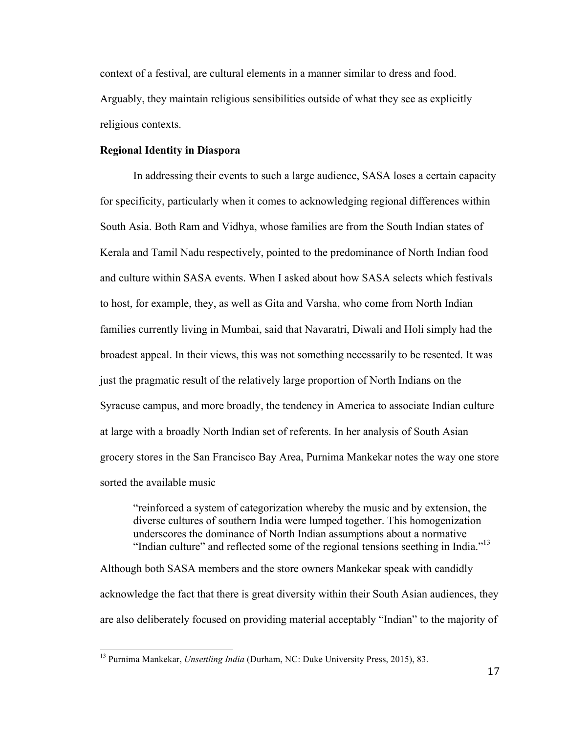context of a festival, are cultural elements in a manner similar to dress and food. Arguably, they maintain religious sensibilities outside of what they see as explicitly religious contexts.

#### **Regional Identity in Diaspora**

In addressing their events to such a large audience, SASA loses a certain capacity for specificity, particularly when it comes to acknowledging regional differences within South Asia. Both Ram and Vidhya, whose families are from the South Indian states of Kerala and Tamil Nadu respectively, pointed to the predominance of North Indian food and culture within SASA events. When I asked about how SASA selects which festivals to host, for example, they, as well as Gita and Varsha, who come from North Indian families currently living in Mumbai, said that Navaratri, Diwali and Holi simply had the broadest appeal. In their views, this was not something necessarily to be resented. It was just the pragmatic result of the relatively large proportion of North Indians on the Syracuse campus, and more broadly, the tendency in America to associate Indian culture at large with a broadly North Indian set of referents. In her analysis of South Asian grocery stores in the San Francisco Bay Area, Purnima Mankekar notes the way one store sorted the available music

"reinforced a system of categorization whereby the music and by extension, the diverse cultures of southern India were lumped together. This homogenization underscores the dominance of North Indian assumptions about a normative "Indian culture" and reflected some of the regional tensions seething in India."<sup>13</sup>

Although both SASA members and the store owners Mankekar speak with candidly acknowledge the fact that there is great diversity within their South Asian audiences, they are also deliberately focused on providing material acceptably "Indian" to the majority of

<sup>13</sup> Purnima Mankekar, *Unsettling India* (Durham, NC: Duke University Press, 2015), 83.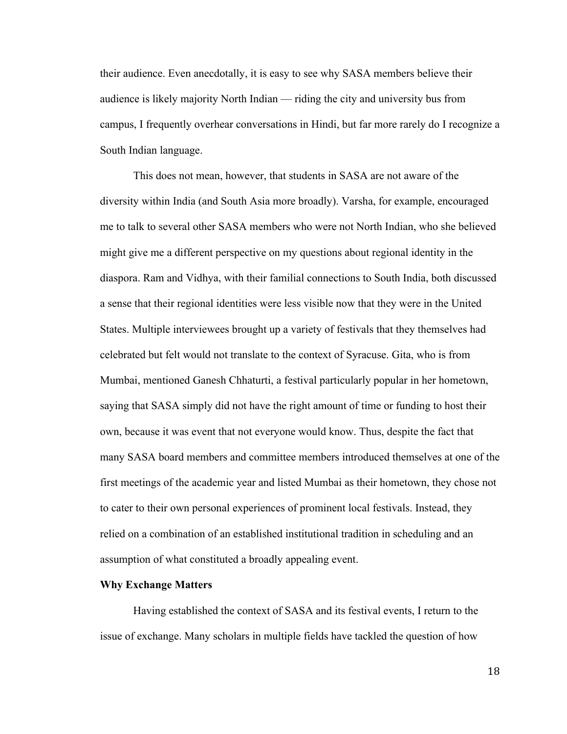their audience. Even anecdotally, it is easy to see why SASA members believe their audience is likely majority North Indian — riding the city and university bus from campus, I frequently overhear conversations in Hindi, but far more rarely do I recognize a South Indian language.

This does not mean, however, that students in SASA are not aware of the diversity within India (and South Asia more broadly). Varsha, for example, encouraged me to talk to several other SASA members who were not North Indian, who she believed might give me a different perspective on my questions about regional identity in the diaspora. Ram and Vidhya, with their familial connections to South India, both discussed a sense that their regional identities were less visible now that they were in the United States. Multiple interviewees brought up a variety of festivals that they themselves had celebrated but felt would not translate to the context of Syracuse. Gita, who is from Mumbai, mentioned Ganesh Chhaturti, a festival particularly popular in her hometown, saying that SASA simply did not have the right amount of time or funding to host their own, because it was event that not everyone would know. Thus, despite the fact that many SASA board members and committee members introduced themselves at one of the first meetings of the academic year and listed Mumbai as their hometown, they chose not to cater to their own personal experiences of prominent local festivals. Instead, they relied on a combination of an established institutional tradition in scheduling and an assumption of what constituted a broadly appealing event.

#### **Why Exchange Matters**

Having established the context of SASA and its festival events, I return to the issue of exchange. Many scholars in multiple fields have tackled the question of how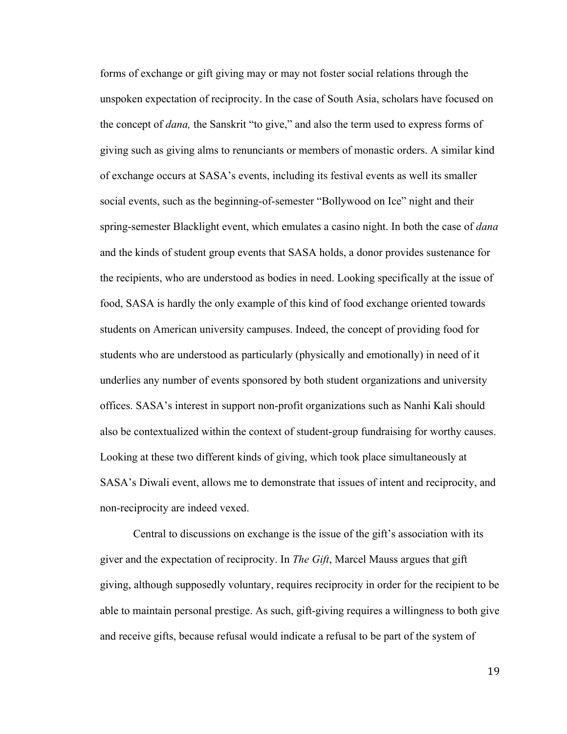forms of exchange or gift giving may or may not foster social relations through the unspoken expectation of reciprocity. In the case of South Asia, scholars have focused on the concept of *dana,* the Sanskrit "to give," and also the term used to express forms of giving such as giving alms to renunciants or members of monastic orders. A similar kind of exchange occurs at SASA's events, including its festival events as well its smaller social events, such as the beginning-of-semester "Bollywood on Ice" night and their spring-semester Blacklight event, which emulates a casino night. In both the case of *dana* and the kinds of student group events that SASA holds, a donor provides sustenance for the recipients, who are understood as bodies in need. Looking specifically at the issue of food, SASA is hardly the only example of this kind of food exchange oriented towards students on American university campuses. Indeed, the concept of providing food for students who are understood as particularly (physically and emotionally) in need of it underlies any number of events sponsored by both student organizations and university offices. SASA's interest in support non-profit organizations such as Nanhi Kali should also be contextualized within the context of student-group fundraising for worthy causes. Looking at these two different kinds of giving, which took place simultaneously at SASA's Diwali event, allows me to demonstrate that issues of intent and reciprocity, and non-reciprocity are indeed vexed.

Central to discussions on exchange is the issue of the gift's association with its giver and the expectation of reciprocity. In *The Gift*, Marcel Mauss argues that gift giving, although supposedly voluntary, requires reciprocity in order for the recipient to be able to maintain personal prestige. As such, gift-giving requires a willingness to both give and receive gifts, because refusal would indicate a refusal to be part of the system of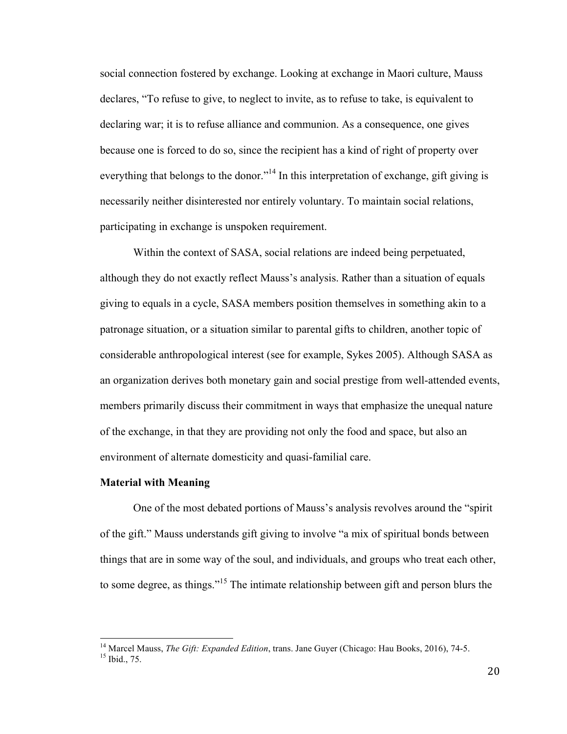social connection fostered by exchange. Looking at exchange in Maori culture, Mauss declares, "To refuse to give, to neglect to invite, as to refuse to take, is equivalent to declaring war; it is to refuse alliance and communion. As a consequence, one gives because one is forced to do so, since the recipient has a kind of right of property over everything that belongs to the donor.<sup>"14</sup> In this interpretation of exchange, gift giving is necessarily neither disinterested nor entirely voluntary. To maintain social relations, participating in exchange is unspoken requirement.

Within the context of SASA, social relations are indeed being perpetuated, although they do not exactly reflect Mauss's analysis. Rather than a situation of equals giving to equals in a cycle, SASA members position themselves in something akin to a patronage situation, or a situation similar to parental gifts to children, another topic of considerable anthropological interest (see for example, Sykes 2005). Although SASA as an organization derives both monetary gain and social prestige from well-attended events, members primarily discuss their commitment in ways that emphasize the unequal nature of the exchange, in that they are providing not only the food and space, but also an environment of alternate domesticity and quasi-familial care.

#### **Material with Meaning**

One of the most debated portions of Mauss's analysis revolves around the "spirit of the gift." Mauss understands gift giving to involve "a mix of spiritual bonds between things that are in some way of the soul, and individuals, and groups who treat each other, to some degree, as things."<sup>15</sup> The intimate relationship between gift and person blurs the

<sup>&</sup>lt;sup>14</sup> Marcel Mauss, *The Gift: Expanded Edition*, trans. Jane Guyer (Chicago: Hau Books, 2016), 74-5.<br><sup>15</sup> Ibid., 75.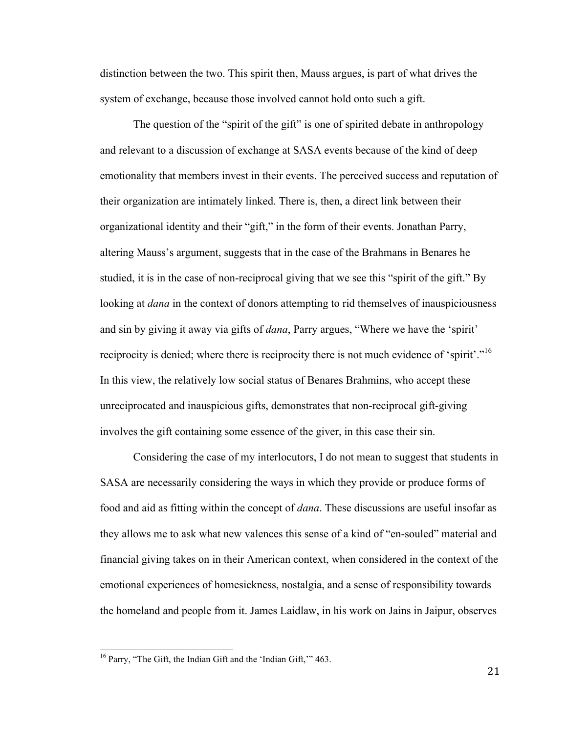distinction between the two. This spirit then, Mauss argues, is part of what drives the system of exchange, because those involved cannot hold onto such a gift.

The question of the "spirit of the gift" is one of spirited debate in anthropology and relevant to a discussion of exchange at SASA events because of the kind of deep emotionality that members invest in their events. The perceived success and reputation of their organization are intimately linked. There is, then, a direct link between their organizational identity and their "gift," in the form of their events. Jonathan Parry, altering Mauss's argument, suggests that in the case of the Brahmans in Benares he studied, it is in the case of non-reciprocal giving that we see this "spirit of the gift." By looking at *dana* in the context of donors attempting to rid themselves of inauspiciousness and sin by giving it away via gifts of *dana*, Parry argues, "Where we have the 'spirit' reciprocity is denied; where there is reciprocity there is not much evidence of 'spirit'."<sup>16</sup> In this view, the relatively low social status of Benares Brahmins, who accept these unreciprocated and inauspicious gifts, demonstrates that non-reciprocal gift-giving involves the gift containing some essence of the giver, in this case their sin.

Considering the case of my interlocutors, I do not mean to suggest that students in SASA are necessarily considering the ways in which they provide or produce forms of food and aid as fitting within the concept of *dana*. These discussions are useful insofar as they allows me to ask what new valences this sense of a kind of "en-souled" material and financial giving takes on in their American context, when considered in the context of the emotional experiences of homesickness, nostalgia, and a sense of responsibility towards the homeland and people from it. James Laidlaw, in his work on Jains in Jaipur, observes

<sup>&</sup>lt;sup>16</sup> Parry, "The Gift, the Indian Gift and the 'Indian Gift," 463.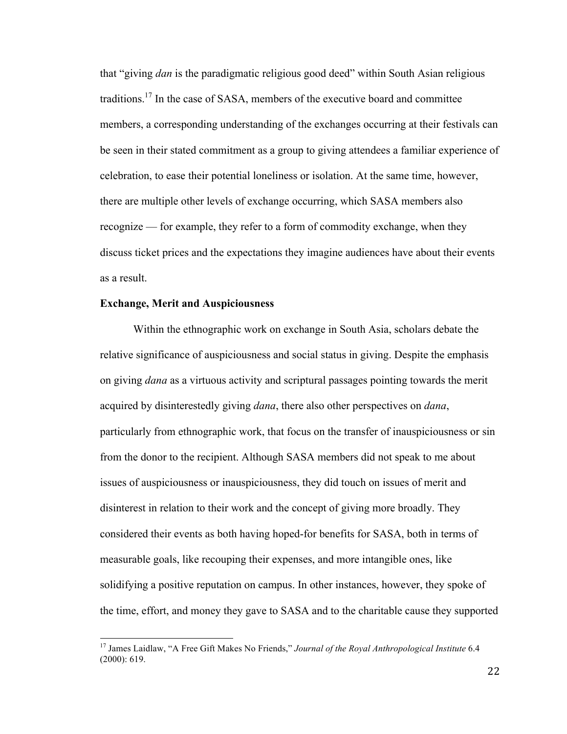that "giving *dan* is the paradigmatic religious good deed" within South Asian religious traditions.17 In the case of SASA, members of the executive board and committee members, a corresponding understanding of the exchanges occurring at their festivals can be seen in their stated commitment as a group to giving attendees a familiar experience of celebration, to ease their potential loneliness or isolation. At the same time, however, there are multiple other levels of exchange occurring, which SASA members also recognize — for example, they refer to a form of commodity exchange, when they discuss ticket prices and the expectations they imagine audiences have about their events as a result.

#### **Exchange, Merit and Auspiciousness**

Within the ethnographic work on exchange in South Asia, scholars debate the relative significance of auspiciousness and social status in giving. Despite the emphasis on giving *dana* as a virtuous activity and scriptural passages pointing towards the merit acquired by disinterestedly giving *dana*, there also other perspectives on *dana*, particularly from ethnographic work, that focus on the transfer of inauspiciousness or sin from the donor to the recipient. Although SASA members did not speak to me about issues of auspiciousness or inauspiciousness, they did touch on issues of merit and disinterest in relation to their work and the concept of giving more broadly. They considered their events as both having hoped-for benefits for SASA, both in terms of measurable goals, like recouping their expenses, and more intangible ones, like solidifying a positive reputation on campus. In other instances, however, they spoke of the time, effort, and money they gave to SASA and to the charitable cause they supported

<sup>&</sup>lt;sup>17</sup> James Laidlaw, "A Free Gift Makes No Friends," Journal of the Royal Anthropological Institute 6.4 (2000): 619.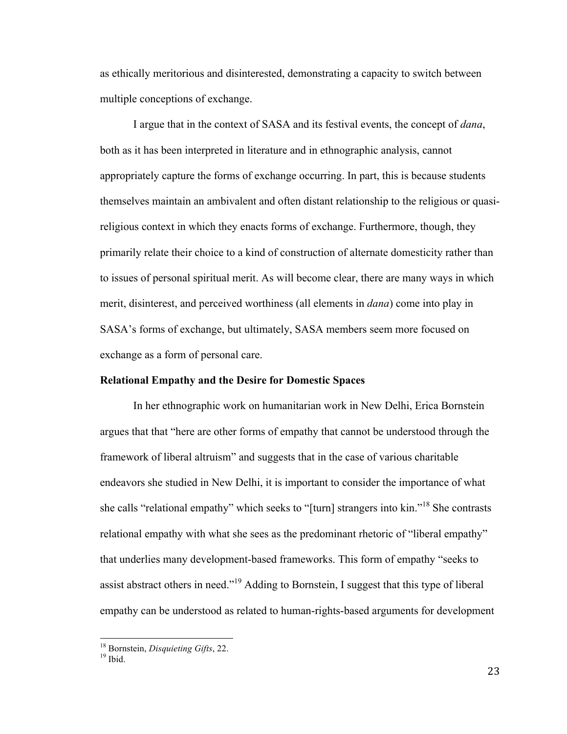as ethically meritorious and disinterested, demonstrating a capacity to switch between multiple conceptions of exchange.

I argue that in the context of SASA and its festival events, the concept of *dana*, both as it has been interpreted in literature and in ethnographic analysis, cannot appropriately capture the forms of exchange occurring. In part, this is because students themselves maintain an ambivalent and often distant relationship to the religious or quasireligious context in which they enacts forms of exchange. Furthermore, though, they primarily relate their choice to a kind of construction of alternate domesticity rather than to issues of personal spiritual merit. As will become clear, there are many ways in which merit, disinterest, and perceived worthiness (all elements in *dana*) come into play in SASA's forms of exchange, but ultimately, SASA members seem more focused on exchange as a form of personal care.

#### **Relational Empathy and the Desire for Domestic Spaces**

In her ethnographic work on humanitarian work in New Delhi, Erica Bornstein argues that that "here are other forms of empathy that cannot be understood through the framework of liberal altruism" and suggests that in the case of various charitable endeavors she studied in New Delhi, it is important to consider the importance of what she calls "relational empathy" which seeks to "[turn] strangers into kin."<sup>18</sup> She contrasts relational empathy with what she sees as the predominant rhetoric of "liberal empathy" that underlies many development-based frameworks. This form of empathy "seeks to assist abstract others in need."<sup>19</sup> Adding to Bornstein, I suggest that this type of liberal empathy can be understood as related to human-rights-based arguments for development

<sup>&</sup>lt;sup>18</sup> Bornstein, *Disquieting Gifts*, 22.<br><sup>19</sup> Ibid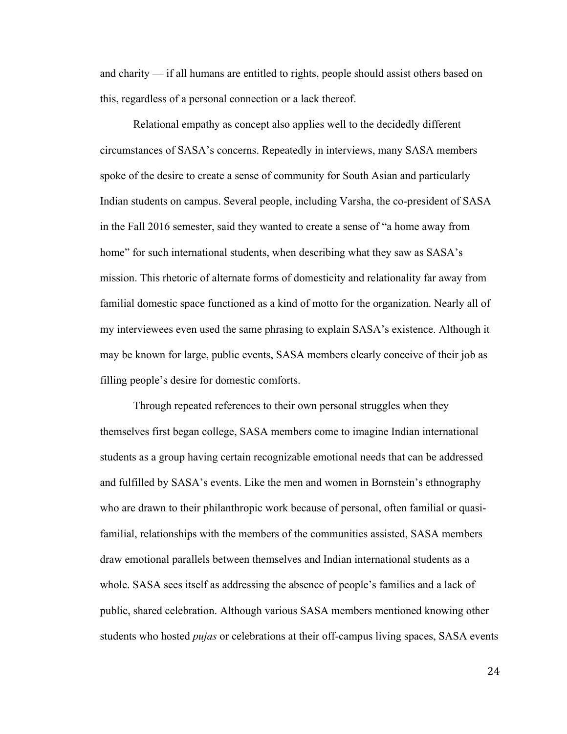and charity — if all humans are entitled to rights, people should assist others based on this, regardless of a personal connection or a lack thereof.

Relational empathy as concept also applies well to the decidedly different circumstances of SASA's concerns. Repeatedly in interviews, many SASA members spoke of the desire to create a sense of community for South Asian and particularly Indian students on campus. Several people, including Varsha, the co-president of SASA in the Fall 2016 semester, said they wanted to create a sense of "a home away from home" for such international students, when describing what they saw as SASA's mission. This rhetoric of alternate forms of domesticity and relationality far away from familial domestic space functioned as a kind of motto for the organization. Nearly all of my interviewees even used the same phrasing to explain SASA's existence. Although it may be known for large, public events, SASA members clearly conceive of their job as filling people's desire for domestic comforts.

Through repeated references to their own personal struggles when they themselves first began college, SASA members come to imagine Indian international students as a group having certain recognizable emotional needs that can be addressed and fulfilled by SASA's events. Like the men and women in Bornstein's ethnography who are drawn to their philanthropic work because of personal, often familial or quasifamilial, relationships with the members of the communities assisted, SASA members draw emotional parallels between themselves and Indian international students as a whole. SASA sees itself as addressing the absence of people's families and a lack of public, shared celebration. Although various SASA members mentioned knowing other students who hosted *pujas* or celebrations at their off-campus living spaces, SASA events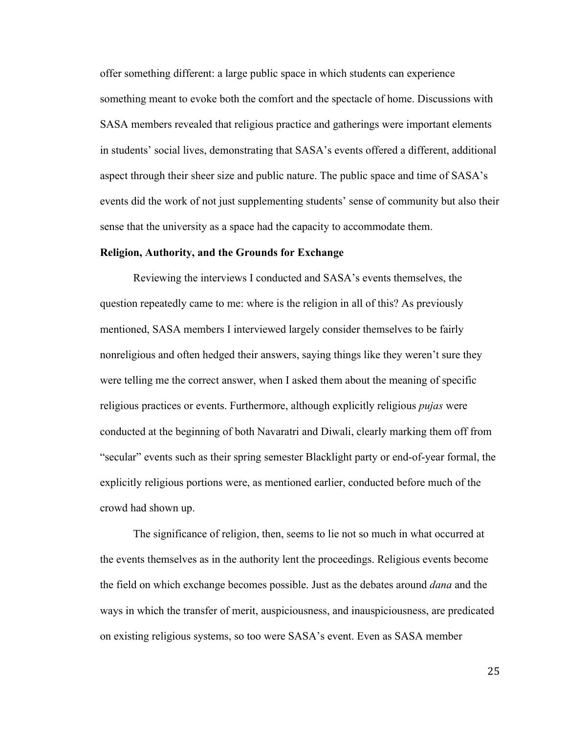offer something different: a large public space in which students can experience something meant to evoke both the comfort and the spectacle of home. Discussions with SASA members revealed that religious practice and gatherings were important elements in students' social lives, demonstrating that SASA's events offered a different, additional aspect through their sheer size and public nature. The public space and time of SASA's events did the work of not just supplementing students' sense of community but also their sense that the university as a space had the capacity to accommodate them.

#### **Religion, Authority, and the Grounds for Exchange**

Reviewing the interviews I conducted and SASA's events themselves, the question repeatedly came to me: where is the religion in all of this? As previously mentioned, SASA members I interviewed largely consider themselves to be fairly nonreligious and often hedged their answers, saying things like they weren't sure they were telling me the correct answer, when I asked them about the meaning of specific religious practices or events. Furthermore, although explicitly religious *pujas* were conducted at the beginning of both Navaratri and Diwali, clearly marking them off from "secular" events such as their spring semester Blacklight party or end-of-year formal, the explicitly religious portions were, as mentioned earlier, conducted before much of the crowd had shown up.

The significance of religion, then, seems to lie not so much in what occurred at the events themselves as in the authority lent the proceedings. Religious events become the field on which exchange becomes possible. Just as the debates around *dana* and the ways in which the transfer of merit, auspiciousness, and inauspiciousness, are predicated on existing religious systems, so too were SASA's event. Even as SASA member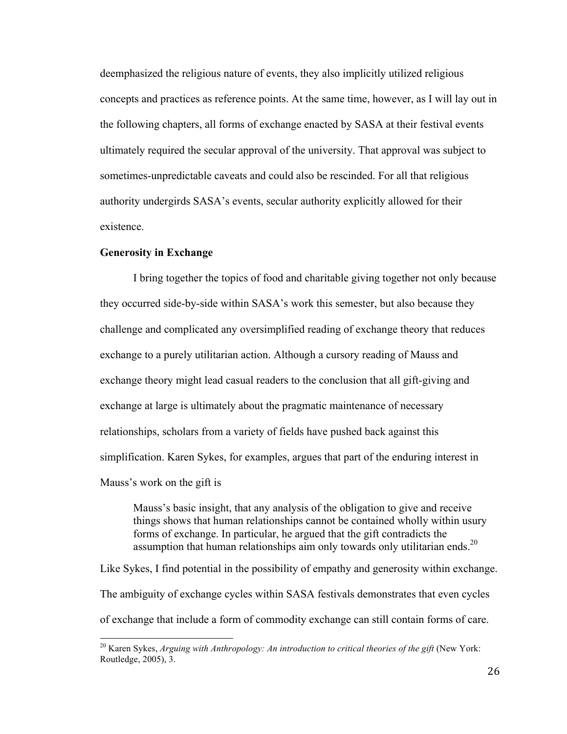deemphasized the religious nature of events, they also implicitly utilized religious concepts and practices as reference points. At the same time, however, as I will lay out in the following chapters, all forms of exchange enacted by SASA at their festival events ultimately required the secular approval of the university. That approval was subject to sometimes-unpredictable caveats and could also be rescinded. For all that religious authority undergirds SASA's events, secular authority explicitly allowed for their existence.

#### **Generosity in Exchange**

I bring together the topics of food and charitable giving together not only because they occurred side-by-side within SASA's work this semester, but also because they challenge and complicated any oversimplified reading of exchange theory that reduces exchange to a purely utilitarian action. Although a cursory reading of Mauss and exchange theory might lead casual readers to the conclusion that all gift-giving and exchange at large is ultimately about the pragmatic maintenance of necessary relationships, scholars from a variety of fields have pushed back against this simplification. Karen Sykes, for examples, argues that part of the enduring interest in Mauss's work on the gift is

Mauss's basic insight, that any analysis of the obligation to give and receive things shows that human relationships cannot be contained wholly within usury forms of exchange. In particular, he argued that the gift contradicts the assumption that human relationships aim only towards only utilitarian ends.<sup>20</sup>

Like Sykes, I find potential in the possibility of empathy and generosity within exchange. The ambiguity of exchange cycles within SASA festivals demonstrates that even cycles of exchange that include a form of commodity exchange can still contain forms of care.

<sup>&</sup>lt;sup>20</sup> Karen Sykes, *Arguing with Anthropology: An introduction to critical theories of the gift* (New York: Routledge, 2005), 3.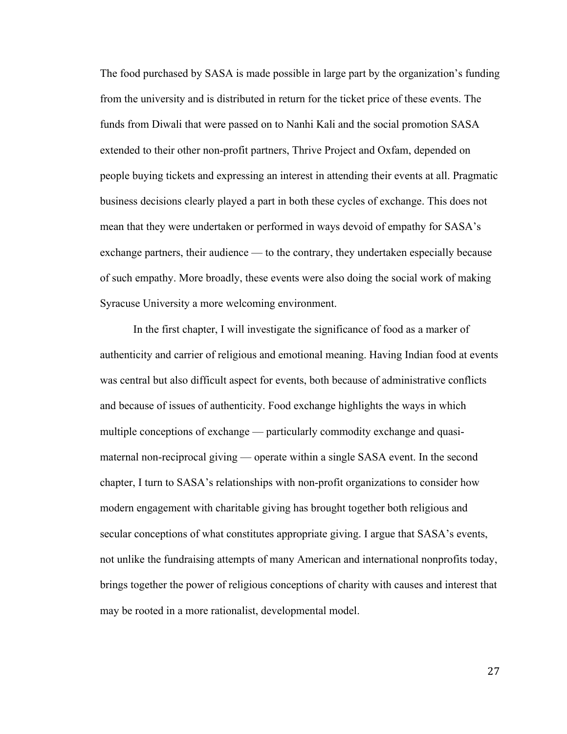The food purchased by SASA is made possible in large part by the organization's funding from the university and is distributed in return for the ticket price of these events. The funds from Diwali that were passed on to Nanhi Kali and the social promotion SASA extended to their other non-profit partners, Thrive Project and Oxfam, depended on people buying tickets and expressing an interest in attending their events at all. Pragmatic business decisions clearly played a part in both these cycles of exchange. This does not mean that they were undertaken or performed in ways devoid of empathy for SASA's exchange partners, their audience — to the contrary, they undertaken especially because of such empathy. More broadly, these events were also doing the social work of making Syracuse University a more welcoming environment.

In the first chapter, I will investigate the significance of food as a marker of authenticity and carrier of religious and emotional meaning. Having Indian food at events was central but also difficult aspect for events, both because of administrative conflicts and because of issues of authenticity. Food exchange highlights the ways in which multiple conceptions of exchange — particularly commodity exchange and quasimaternal non-reciprocal giving — operate within a single SASA event. In the second chapter, I turn to SASA's relationships with non-profit organizations to consider how modern engagement with charitable giving has brought together both religious and secular conceptions of what constitutes appropriate giving. I argue that SASA's events, not unlike the fundraising attempts of many American and international nonprofits today, brings together the power of religious conceptions of charity with causes and interest that may be rooted in a more rationalist, developmental model.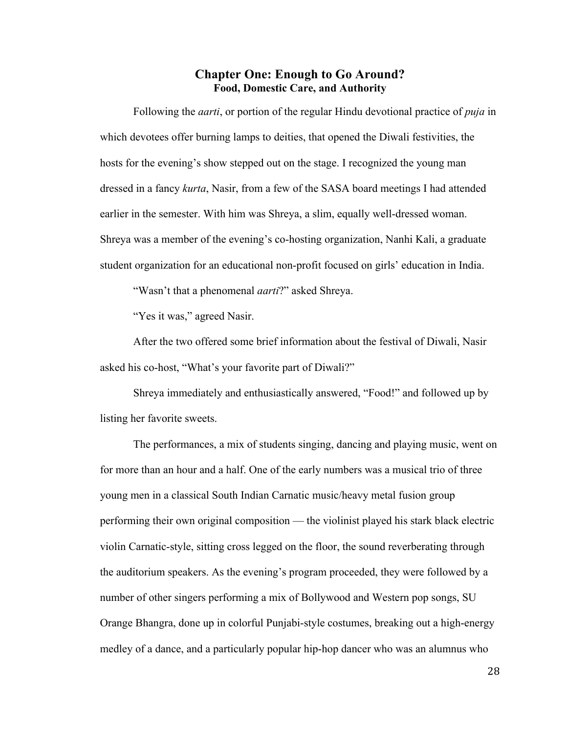#### **Chapter One: Enough to Go Around? Food, Domestic Care, and Authority**

Following the *aarti*, or portion of the regular Hindu devotional practice of *puja* in which devotees offer burning lamps to deities, that opened the Diwali festivities, the hosts for the evening's show stepped out on the stage. I recognized the young man dressed in a fancy *kurta*, Nasir, from a few of the SASA board meetings I had attended earlier in the semester. With him was Shreya, a slim, equally well-dressed woman. Shreya was a member of the evening's co-hosting organization, Nanhi Kali, a graduate student organization for an educational non-profit focused on girls' education in India.

"Wasn't that a phenomenal *aarti*?" asked Shreya.

"Yes it was," agreed Nasir.

After the two offered some brief information about the festival of Diwali, Nasir asked his co-host, "What's your favorite part of Diwali?"

Shreya immediately and enthusiastically answered, "Food!" and followed up by listing her favorite sweets.

The performances, a mix of students singing, dancing and playing music, went on for more than an hour and a half. One of the early numbers was a musical trio of three young men in a classical South Indian Carnatic music/heavy metal fusion group performing their own original composition — the violinist played his stark black electric violin Carnatic-style, sitting cross legged on the floor, the sound reverberating through the auditorium speakers. As the evening's program proceeded, they were followed by a number of other singers performing a mix of Bollywood and Western pop songs, SU Orange Bhangra, done up in colorful Punjabi-style costumes, breaking out a high-energy medley of a dance, and a particularly popular hip-hop dancer who was an alumnus who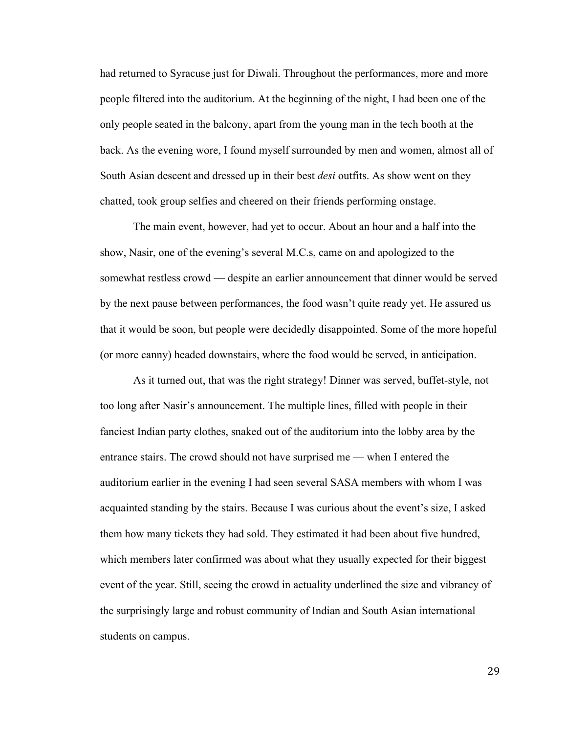had returned to Syracuse just for Diwali. Throughout the performances, more and more people filtered into the auditorium. At the beginning of the night, I had been one of the only people seated in the balcony, apart from the young man in the tech booth at the back. As the evening wore, I found myself surrounded by men and women, almost all of South Asian descent and dressed up in their best *desi* outfits. As show went on they chatted, took group selfies and cheered on their friends performing onstage.

The main event, however, had yet to occur. About an hour and a half into the show, Nasir, one of the evening's several M.C.s, came on and apologized to the somewhat restless crowd — despite an earlier announcement that dinner would be served by the next pause between performances, the food wasn't quite ready yet. He assured us that it would be soon, but people were decidedly disappointed. Some of the more hopeful (or more canny) headed downstairs, where the food would be served, in anticipation.

As it turned out, that was the right strategy! Dinner was served, buffet-style, not too long after Nasir's announcement. The multiple lines, filled with people in their fanciest Indian party clothes, snaked out of the auditorium into the lobby area by the entrance stairs. The crowd should not have surprised me — when I entered the auditorium earlier in the evening I had seen several SASA members with whom I was acquainted standing by the stairs. Because I was curious about the event's size, I asked them how many tickets they had sold. They estimated it had been about five hundred, which members later confirmed was about what they usually expected for their biggest event of the year. Still, seeing the crowd in actuality underlined the size and vibrancy of the surprisingly large and robust community of Indian and South Asian international students on campus.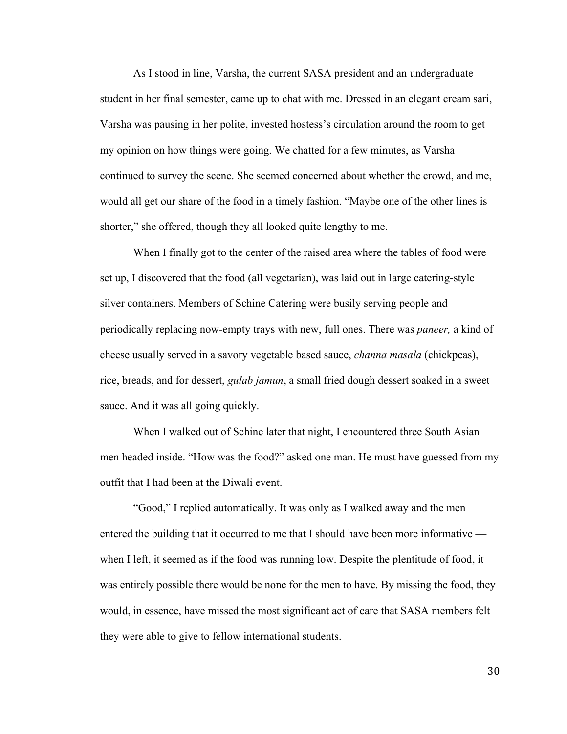As I stood in line, Varsha, the current SASA president and an undergraduate student in her final semester, came up to chat with me. Dressed in an elegant cream sari, Varsha was pausing in her polite, invested hostess's circulation around the room to get my opinion on how things were going. We chatted for a few minutes, as Varsha continued to survey the scene. She seemed concerned about whether the crowd, and me, would all get our share of the food in a timely fashion. "Maybe one of the other lines is shorter," she offered, though they all looked quite lengthy to me.

When I finally got to the center of the raised area where the tables of food were set up, I discovered that the food (all vegetarian), was laid out in large catering-style silver containers. Members of Schine Catering were busily serving people and periodically replacing now-empty trays with new, full ones. There was *paneer,* a kind of cheese usually served in a savory vegetable based sauce, *channa masala* (chickpeas), rice, breads, and for dessert, *gulab jamun*, a small fried dough dessert soaked in a sweet sauce. And it was all going quickly.

When I walked out of Schine later that night, I encountered three South Asian men headed inside. "How was the food?" asked one man. He must have guessed from my outfit that I had been at the Diwali event.

"Good," I replied automatically. It was only as I walked away and the men entered the building that it occurred to me that I should have been more informative when I left, it seemed as if the food was running low. Despite the plentitude of food, it was entirely possible there would be none for the men to have. By missing the food, they would, in essence, have missed the most significant act of care that SASA members felt they were able to give to fellow international students.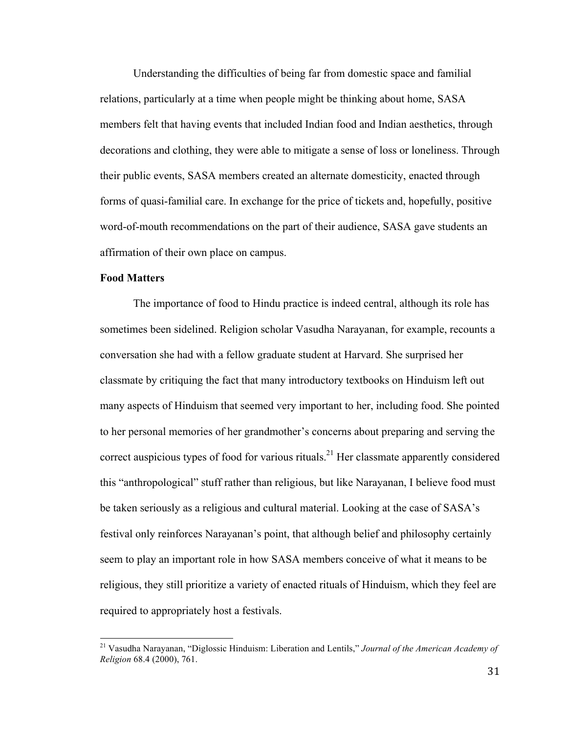Understanding the difficulties of being far from domestic space and familial relations, particularly at a time when people might be thinking about home, SASA members felt that having events that included Indian food and Indian aesthetics, through decorations and clothing, they were able to mitigate a sense of loss or loneliness. Through their public events, SASA members created an alternate domesticity, enacted through forms of quasi-familial care. In exchange for the price of tickets and, hopefully, positive word-of-mouth recommendations on the part of their audience, SASA gave students an affirmation of their own place on campus.

# **Food Matters**

The importance of food to Hindu practice is indeed central, although its role has sometimes been sidelined. Religion scholar Vasudha Narayanan, for example, recounts a conversation she had with a fellow graduate student at Harvard. She surprised her classmate by critiquing the fact that many introductory textbooks on Hinduism left out many aspects of Hinduism that seemed very important to her, including food. She pointed to her personal memories of her grandmother's concerns about preparing and serving the correct auspicious types of food for various rituals.<sup>21</sup> Her classmate apparently considered this "anthropological" stuff rather than religious, but like Narayanan, I believe food must be taken seriously as a religious and cultural material. Looking at the case of SASA's festival only reinforces Narayanan's point, that although belief and philosophy certainly seem to play an important role in how SASA members conceive of what it means to be religious, they still prioritize a variety of enacted rituals of Hinduism, which they feel are required to appropriately host a festivals.

<sup>21</sup> Vasudha Narayanan, "Diglossic Hinduism: Liberation and Lentils," *Journal of the American Academy of Religion* 68.4 (2000), 761.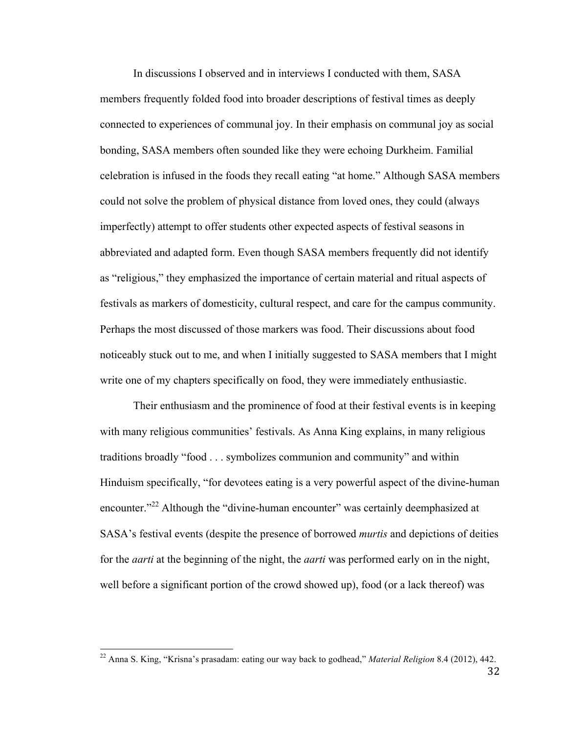In discussions I observed and in interviews I conducted with them, SASA members frequently folded food into broader descriptions of festival times as deeply connected to experiences of communal joy. In their emphasis on communal joy as social bonding, SASA members often sounded like they were echoing Durkheim. Familial celebration is infused in the foods they recall eating "at home." Although SASA members could not solve the problem of physical distance from loved ones, they could (always imperfectly) attempt to offer students other expected aspects of festival seasons in abbreviated and adapted form. Even though SASA members frequently did not identify as "religious," they emphasized the importance of certain material and ritual aspects of festivals as markers of domesticity, cultural respect, and care for the campus community. Perhaps the most discussed of those markers was food. Their discussions about food noticeably stuck out to me, and when I initially suggested to SASA members that I might write one of my chapters specifically on food, they were immediately enthusiastic.

Their enthusiasm and the prominence of food at their festival events is in keeping with many religious communities' festivals. As Anna King explains, in many religious traditions broadly "food . . . symbolizes communion and community" and within Hinduism specifically, "for devotees eating is a very powerful aspect of the divine-human encounter."<sup>22</sup> Although the "divine-human encounter" was certainly deemphasized at SASA's festival events (despite the presence of borrowed *murtis* and depictions of deities for the *aarti* at the beginning of the night, the *aarti* was performed early on in the night, well before a significant portion of the crowd showed up), food (or a lack thereof) was

<sup>22</sup> Anna S. King, "Krisna's prasadam: eating our way back to godhead," *Material Religion* 8.4 (2012), 442.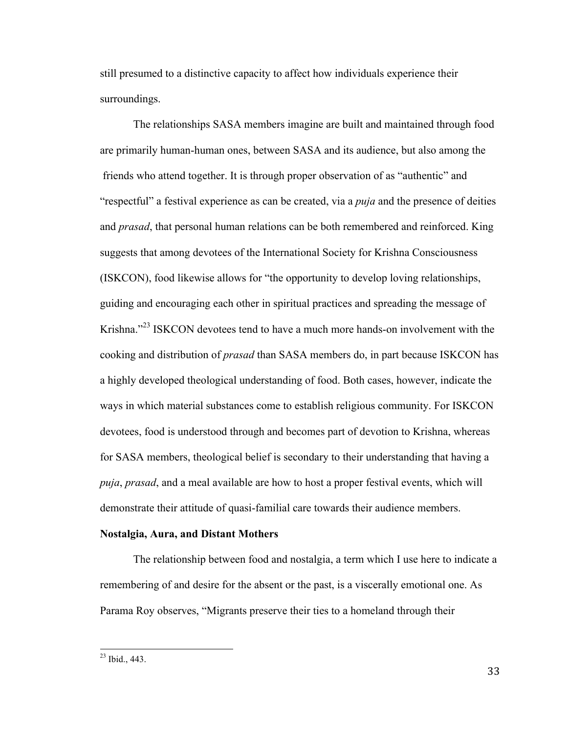still presumed to a distinctive capacity to affect how individuals experience their surroundings.

The relationships SASA members imagine are built and maintained through food are primarily human-human ones, between SASA and its audience, but also among the friends who attend together. It is through proper observation of as "authentic" and "respectful" a festival experience as can be created, via a *puja* and the presence of deities and *prasad*, that personal human relations can be both remembered and reinforced. King suggests that among devotees of the International Society for Krishna Consciousness (ISKCON), food likewise allows for "the opportunity to develop loving relationships, guiding and encouraging each other in spiritual practices and spreading the message of Krishna."23 ISKCON devotees tend to have a much more hands-on involvement with the cooking and distribution of *prasad* than SASA members do, in part because ISKCON has a highly developed theological understanding of food. Both cases, however, indicate the ways in which material substances come to establish religious community. For ISKCON devotees, food is understood through and becomes part of devotion to Krishna, whereas for SASA members, theological belief is secondary to their understanding that having a *puja*, *prasad*, and a meal available are how to host a proper festival events, which will demonstrate their attitude of quasi-familial care towards their audience members.

## **Nostalgia, Aura, and Distant Mothers**

The relationship between food and nostalgia, a term which I use here to indicate a remembering of and desire for the absent or the past, is a viscerally emotional one. As Parama Roy observes, "Migrants preserve their ties to a homeland through their

<sup>23</sup> Ibid., 443.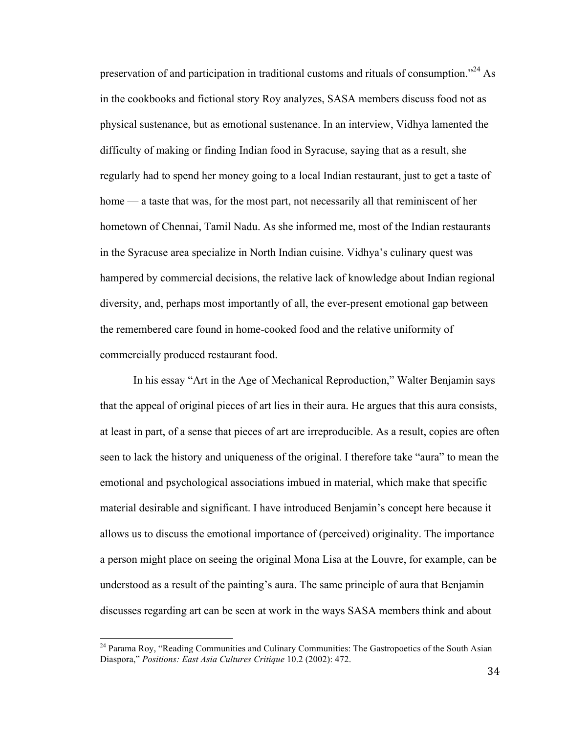preservation of and participation in traditional customs and rituals of consumption."<sup>24</sup> As in the cookbooks and fictional story Roy analyzes, SASA members discuss food not as physical sustenance, but as emotional sustenance. In an interview, Vidhya lamented the difficulty of making or finding Indian food in Syracuse, saying that as a result, she regularly had to spend her money going to a local Indian restaurant, just to get a taste of home — a taste that was, for the most part, not necessarily all that reminiscent of her hometown of Chennai, Tamil Nadu. As she informed me, most of the Indian restaurants in the Syracuse area specialize in North Indian cuisine. Vidhya's culinary quest was hampered by commercial decisions, the relative lack of knowledge about Indian regional diversity, and, perhaps most importantly of all, the ever-present emotional gap between the remembered care found in home-cooked food and the relative uniformity of commercially produced restaurant food.

In his essay "Art in the Age of Mechanical Reproduction," Walter Benjamin says that the appeal of original pieces of art lies in their aura. He argues that this aura consists, at least in part, of a sense that pieces of art are irreproducible. As a result, copies are often seen to lack the history and uniqueness of the original. I therefore take "aura" to mean the emotional and psychological associations imbued in material, which make that specific material desirable and significant. I have introduced Benjamin's concept here because it allows us to discuss the emotional importance of (perceived) originality. The importance a person might place on seeing the original Mona Lisa at the Louvre, for example, can be understood as a result of the painting's aura. The same principle of aura that Benjamin discusses regarding art can be seen at work in the ways SASA members think and about

<sup>&</sup>lt;sup>24</sup> Parama Roy, "Reading Communities and Culinary Communities: The Gastropoetics of the South Asian Diaspora," *Positions: East Asia Cultures Critique* 10.2 (2002): 472.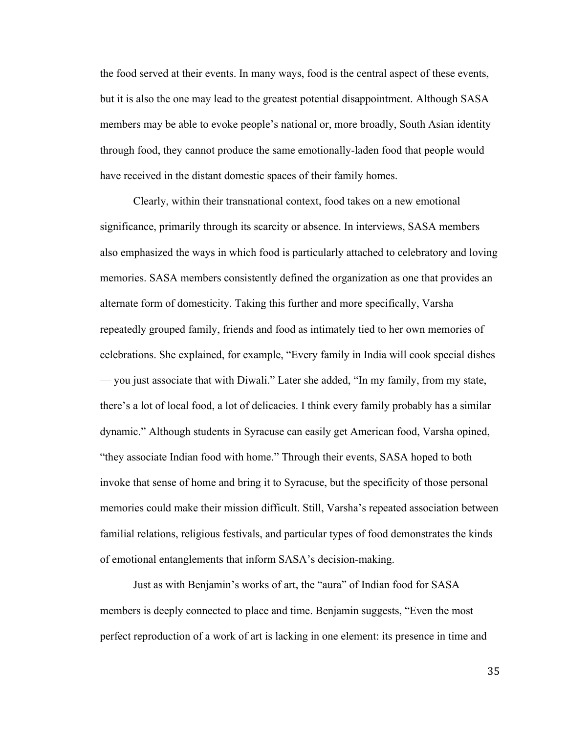the food served at their events. In many ways, food is the central aspect of these events, but it is also the one may lead to the greatest potential disappointment. Although SASA members may be able to evoke people's national or, more broadly, South Asian identity through food, they cannot produce the same emotionally-laden food that people would have received in the distant domestic spaces of their family homes.

Clearly, within their transnational context, food takes on a new emotional significance, primarily through its scarcity or absence. In interviews, SASA members also emphasized the ways in which food is particularly attached to celebratory and loving memories. SASA members consistently defined the organization as one that provides an alternate form of domesticity. Taking this further and more specifically, Varsha repeatedly grouped family, friends and food as intimately tied to her own memories of celebrations. She explained, for example, "Every family in India will cook special dishes — you just associate that with Diwali." Later she added, "In my family, from my state, there's a lot of local food, a lot of delicacies. I think every family probably has a similar dynamic." Although students in Syracuse can easily get American food, Varsha opined, "they associate Indian food with home." Through their events, SASA hoped to both invoke that sense of home and bring it to Syracuse, but the specificity of those personal memories could make their mission difficult. Still, Varsha's repeated association between familial relations, religious festivals, and particular types of food demonstrates the kinds of emotional entanglements that inform SASA's decision-making.

Just as with Benjamin's works of art, the "aura" of Indian food for SASA members is deeply connected to place and time. Benjamin suggests, "Even the most perfect reproduction of a work of art is lacking in one element: its presence in time and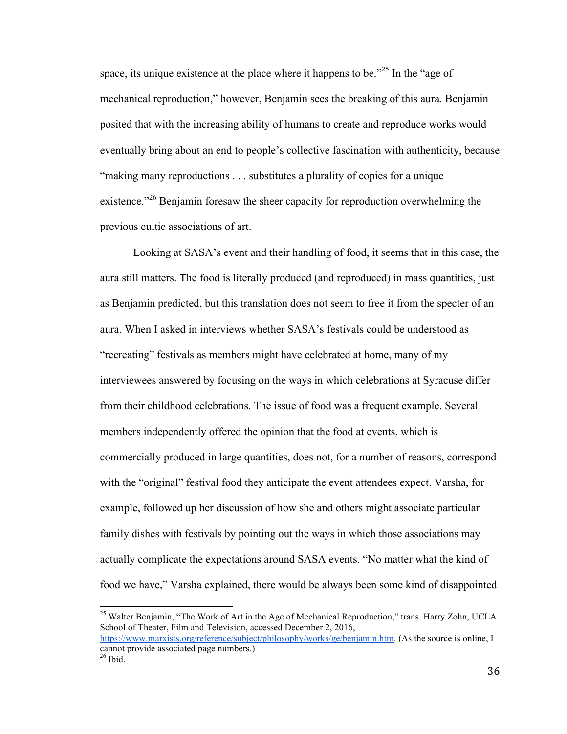space, its unique existence at the place where it happens to be."<sup>25</sup> In the "age of mechanical reproduction," however, Benjamin sees the breaking of this aura. Benjamin posited that with the increasing ability of humans to create and reproduce works would eventually bring about an end to people's collective fascination with authenticity, because "making many reproductions . . . substitutes a plurality of copies for a unique existence."<sup>26</sup> Benjamin foresaw the sheer capacity for reproduction overwhelming the previous cultic associations of art.

Looking at SASA's event and their handling of food, it seems that in this case, the aura still matters. The food is literally produced (and reproduced) in mass quantities, just as Benjamin predicted, but this translation does not seem to free it from the specter of an aura. When I asked in interviews whether SASA's festivals could be understood as "recreating" festivals as members might have celebrated at home, many of my interviewees answered by focusing on the ways in which celebrations at Syracuse differ from their childhood celebrations. The issue of food was a frequent example. Several members independently offered the opinion that the food at events, which is commercially produced in large quantities, does not, for a number of reasons, correspond with the "original" festival food they anticipate the event attendees expect. Varsha, for example, followed up her discussion of how she and others might associate particular family dishes with festivals by pointing out the ways in which those associations may actually complicate the expectations around SASA events. "No matter what the kind of food we have," Varsha explained, there would be always been some kind of disappointed

<sup>&</sup>lt;sup>25</sup> Walter Benjamin, "The Work of Art in the Age of Mechanical Reproduction," trans. Harry Zohn, UCLA School of Theater, Film and Television, accessed December 2, 2016, https://www.marxists.org/reference/subject/philosophy/works/ge/benjamin.htm. (As the source is online, I

cannot provide associated page numbers.)  $26$  Ibid.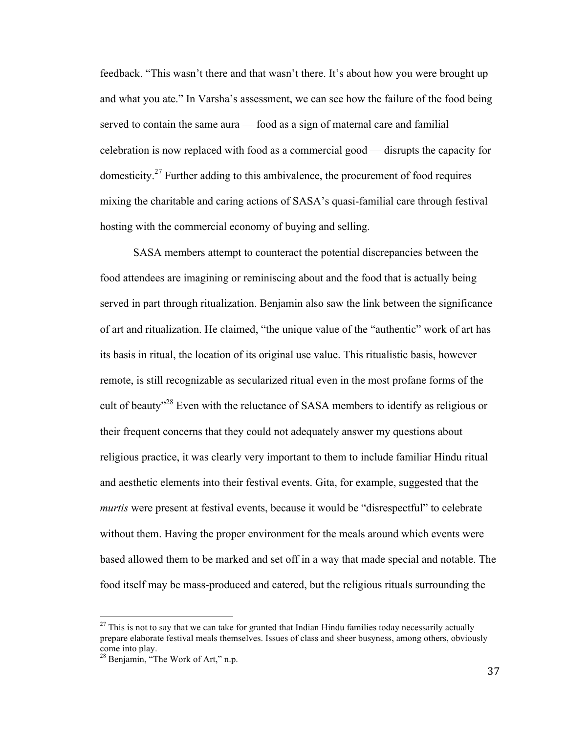feedback. "This wasn't there and that wasn't there. It's about how you were brought up and what you ate." In Varsha's assessment, we can see how the failure of the food being served to contain the same aura — food as a sign of maternal care and familial celebration is now replaced with food as a commercial good — disrupts the capacity for domesticity.<sup>27</sup> Further adding to this ambivalence, the procurement of food requires mixing the charitable and caring actions of SASA's quasi-familial care through festival hosting with the commercial economy of buying and selling.

SASA members attempt to counteract the potential discrepancies between the food attendees are imagining or reminiscing about and the food that is actually being served in part through ritualization. Benjamin also saw the link between the significance of art and ritualization. He claimed, "the unique value of the "authentic" work of art has its basis in ritual, the location of its original use value. This ritualistic basis, however remote, is still recognizable as secularized ritual even in the most profane forms of the cult of beauty<sup>"28</sup> Even with the reluctance of SASA members to identify as religious or their frequent concerns that they could not adequately answer my questions about religious practice, it was clearly very important to them to include familiar Hindu ritual and aesthetic elements into their festival events. Gita, for example, suggested that the *murtis* were present at festival events, because it would be "disrespectful" to celebrate without them. Having the proper environment for the meals around which events were based allowed them to be marked and set off in a way that made special and notable. The food itself may be mass-produced and catered, but the religious rituals surrounding the

 $27$  This is not to say that we can take for granted that Indian Hindu families today necessarily actually prepare elaborate festival meals themselves. Issues of class and sheer busyness, among others, obviously come into play.

<sup>&</sup>lt;sup>28</sup> Benjamin, "The Work of Art," n.p.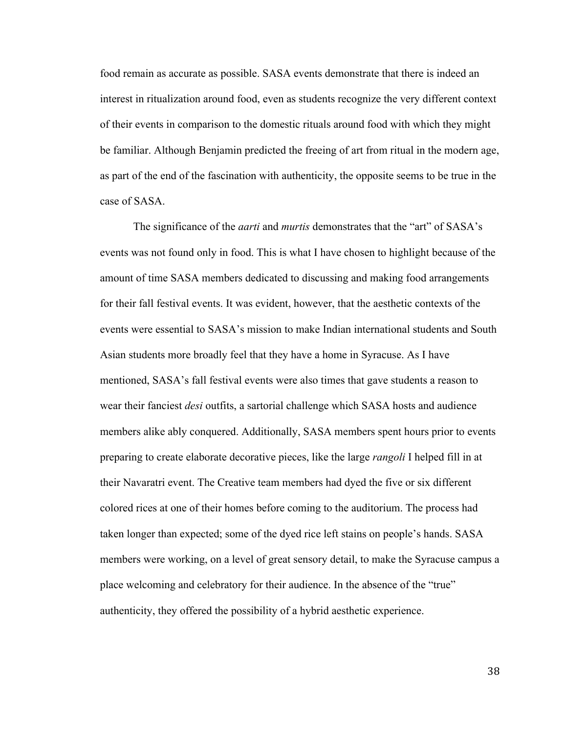food remain as accurate as possible. SASA events demonstrate that there is indeed an interest in ritualization around food, even as students recognize the very different context of their events in comparison to the domestic rituals around food with which they might be familiar. Although Benjamin predicted the freeing of art from ritual in the modern age, as part of the end of the fascination with authenticity, the opposite seems to be true in the case of SASA.

The significance of the *aarti* and *murtis* demonstrates that the "art" of SASA's events was not found only in food. This is what I have chosen to highlight because of the amount of time SASA members dedicated to discussing and making food arrangements for their fall festival events. It was evident, however, that the aesthetic contexts of the events were essential to SASA's mission to make Indian international students and South Asian students more broadly feel that they have a home in Syracuse. As I have mentioned, SASA's fall festival events were also times that gave students a reason to wear their fanciest *desi* outfits, a sartorial challenge which SASA hosts and audience members alike ably conquered. Additionally, SASA members spent hours prior to events preparing to create elaborate decorative pieces, like the large *rangoli* I helped fill in at their Navaratri event. The Creative team members had dyed the five or six different colored rices at one of their homes before coming to the auditorium. The process had taken longer than expected; some of the dyed rice left stains on people's hands. SASA members were working, on a level of great sensory detail, to make the Syracuse campus a place welcoming and celebratory for their audience. In the absence of the "true" authenticity, they offered the possibility of a hybrid aesthetic experience.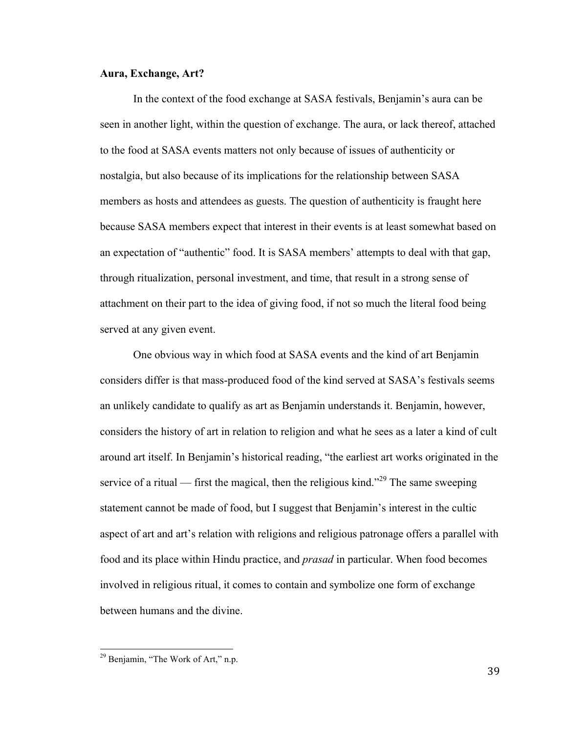## **Aura, Exchange, Art?**

In the context of the food exchange at SASA festivals, Benjamin's aura can be seen in another light, within the question of exchange. The aura, or lack thereof, attached to the food at SASA events matters not only because of issues of authenticity or nostalgia, but also because of its implications for the relationship between SASA members as hosts and attendees as guests. The question of authenticity is fraught here because SASA members expect that interest in their events is at least somewhat based on an expectation of "authentic" food. It is SASA members' attempts to deal with that gap, through ritualization, personal investment, and time, that result in a strong sense of attachment on their part to the idea of giving food, if not so much the literal food being served at any given event.

One obvious way in which food at SASA events and the kind of art Benjamin considers differ is that mass-produced food of the kind served at SASA's festivals seems an unlikely candidate to qualify as art as Benjamin understands it. Benjamin, however, considers the history of art in relation to religion and what he sees as a later a kind of cult around art itself. In Benjamin's historical reading, "the earliest art works originated in the service of a ritual — first the magical, then the religious kind."<sup>29</sup> The same sweeping statement cannot be made of food, but I suggest that Benjamin's interest in the cultic aspect of art and art's relation with religions and religious patronage offers a parallel with food and its place within Hindu practice, and *prasad* in particular. When food becomes involved in religious ritual, it comes to contain and symbolize one form of exchange between humans and the divine.

 $29$  Benjamin, "The Work of Art," n.p.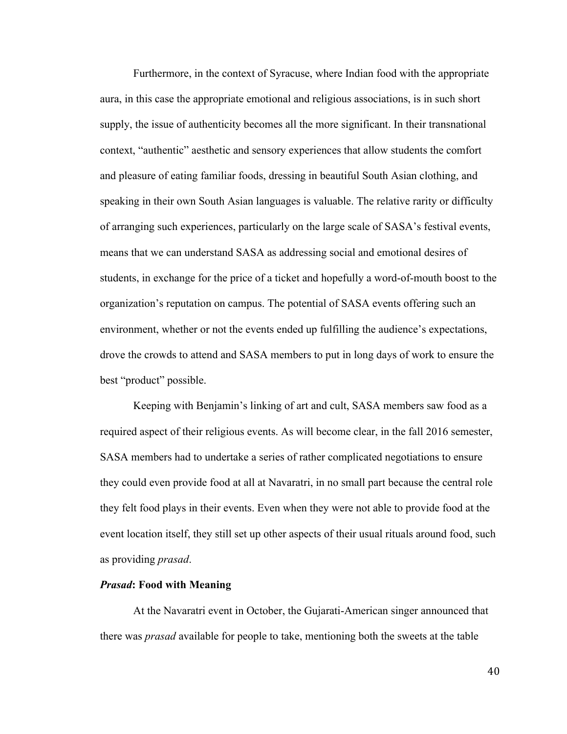Furthermore, in the context of Syracuse, where Indian food with the appropriate aura, in this case the appropriate emotional and religious associations, is in such short supply, the issue of authenticity becomes all the more significant. In their transnational context, "authentic" aesthetic and sensory experiences that allow students the comfort and pleasure of eating familiar foods, dressing in beautiful South Asian clothing, and speaking in their own South Asian languages is valuable. The relative rarity or difficulty of arranging such experiences, particularly on the large scale of SASA's festival events, means that we can understand SASA as addressing social and emotional desires of students, in exchange for the price of a ticket and hopefully a word-of-mouth boost to the organization's reputation on campus. The potential of SASA events offering such an environment, whether or not the events ended up fulfilling the audience's expectations, drove the crowds to attend and SASA members to put in long days of work to ensure the best "product" possible.

Keeping with Benjamin's linking of art and cult, SASA members saw food as a required aspect of their religious events. As will become clear, in the fall 2016 semester, SASA members had to undertake a series of rather complicated negotiations to ensure they could even provide food at all at Navaratri, in no small part because the central role they felt food plays in their events. Even when they were not able to provide food at the event location itself, they still set up other aspects of their usual rituals around food, such as providing *prasad*.

## *Prasad***: Food with Meaning**

At the Navaratri event in October, the Gujarati-American singer announced that there was *prasad* available for people to take, mentioning both the sweets at the table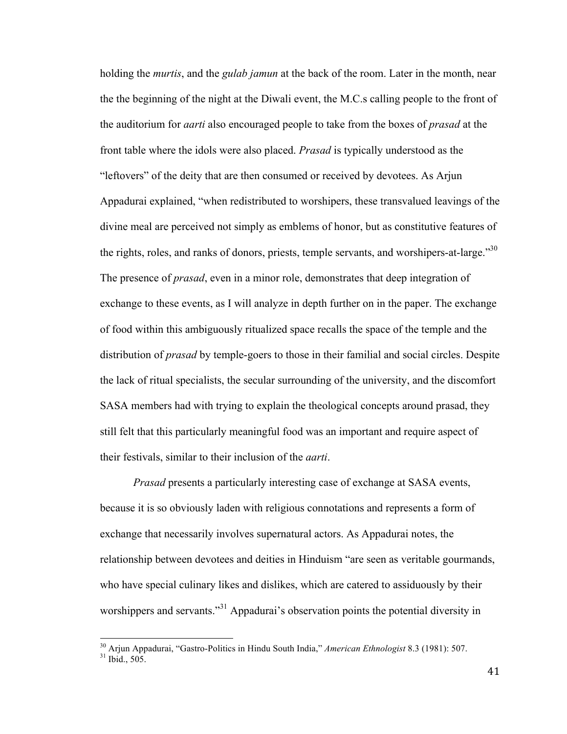holding the *murtis*, and the *gulab jamun* at the back of the room. Later in the month, near the the beginning of the night at the Diwali event, the M.C.s calling people to the front of the auditorium for *aarti* also encouraged people to take from the boxes of *prasad* at the front table where the idols were also placed. *Prasad* is typically understood as the "leftovers" of the deity that are then consumed or received by devotees. As Arjun Appadurai explained, "when redistributed to worshipers, these transvalued leavings of the divine meal are perceived not simply as emblems of honor, but as constitutive features of the rights, roles, and ranks of donors, priests, temple servants, and worshipers-at-large."<sup>30</sup> The presence of *prasad*, even in a minor role, demonstrates that deep integration of exchange to these events, as I will analyze in depth further on in the paper. The exchange of food within this ambiguously ritualized space recalls the space of the temple and the distribution of *prasad* by temple-goers to those in their familial and social circles. Despite the lack of ritual specialists, the secular surrounding of the university, and the discomfort SASA members had with trying to explain the theological concepts around prasad, they still felt that this particularly meaningful food was an important and require aspect of their festivals, similar to their inclusion of the *aarti*.

*Prasad* presents a particularly interesting case of exchange at SASA events, because it is so obviously laden with religious connotations and represents a form of exchange that necessarily involves supernatural actors. As Appadurai notes, the relationship between devotees and deities in Hinduism "are seen as veritable gourmands, who have special culinary likes and dislikes, which are catered to assiduously by their worshippers and servants."<sup>31</sup> Appadurai's observation points the potential diversity in

<sup>&</sup>lt;sup>30</sup> Arjun Appadurai, "Gastro-Politics in Hindu South India," *American Ethnologist* 8.3 (1981): 507.<br><sup>31</sup> Ibid., 505.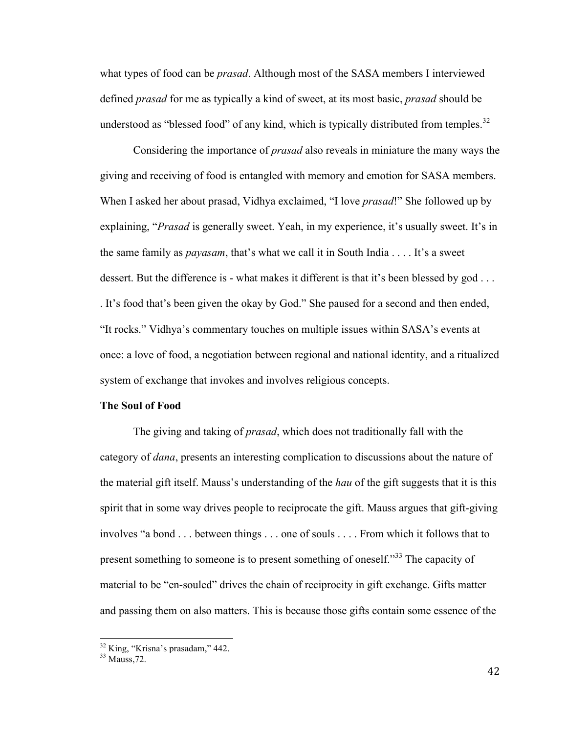what types of food can be *prasad*. Although most of the SASA members I interviewed defined *prasad* for me as typically a kind of sweet, at its most basic, *prasad* should be understood as "blessed food" of any kind, which is typically distributed from temples.<sup>32</sup>

Considering the importance of *prasad* also reveals in miniature the many ways the giving and receiving of food is entangled with memory and emotion for SASA members. When I asked her about prasad, Vidhya exclaimed, "I love *prasad*!" She followed up by explaining, "*Prasad* is generally sweet. Yeah, in my experience, it's usually sweet. It's in the same family as *payasam*, that's what we call it in South India . . . . It's a sweet dessert. But the difference is - what makes it different is that it's been blessed by god ... . It's food that's been given the okay by God." She paused for a second and then ended, "It rocks." Vidhya's commentary touches on multiple issues within SASA's events at once: a love of food, a negotiation between regional and national identity, and a ritualized system of exchange that invokes and involves religious concepts.

## **The Soul of Food**

The giving and taking of *prasad*, which does not traditionally fall with the category of *dana*, presents an interesting complication to discussions about the nature of the material gift itself. Mauss's understanding of the *hau* of the gift suggests that it is this spirit that in some way drives people to reciprocate the gift. Mauss argues that gift-giving involves "a bond . . . between things . . . one of souls . . . . From which it follows that to present something to someone is to present something of oneself."<sup>33</sup> The capacity of material to be "en-souled" drives the chain of reciprocity in gift exchange. Gifts matter and passing them on also matters. This is because those gifts contain some essence of the

 $\frac{32}{33}$  King, "Krisna's prasadam," 442.<br> $\frac{33}{33}$  Mauss 72.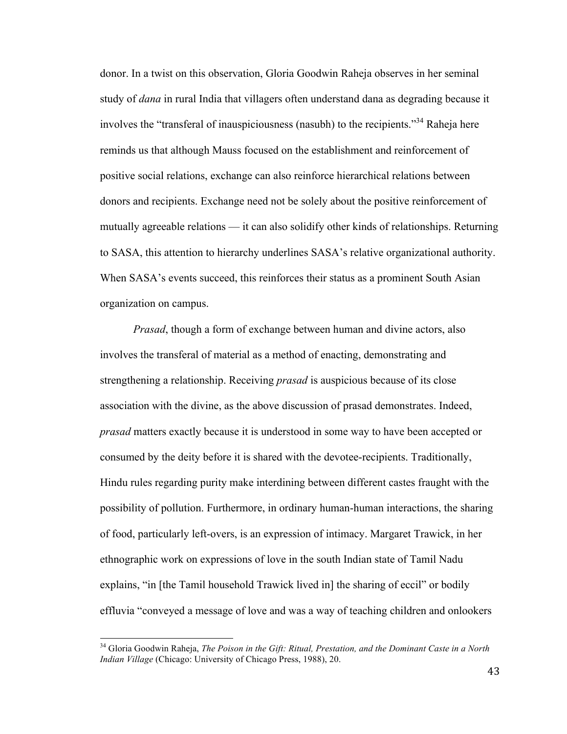donor. In a twist on this observation, Gloria Goodwin Raheja observes in her seminal study of *dana* in rural India that villagers often understand dana as degrading because it involves the "transferal of inauspiciousness (nasubh) to the recipients."<sup>34</sup> Raheja here reminds us that although Mauss focused on the establishment and reinforcement of positive social relations, exchange can also reinforce hierarchical relations between donors and recipients. Exchange need not be solely about the positive reinforcement of mutually agreeable relations — it can also solidify other kinds of relationships. Returning to SASA, this attention to hierarchy underlines SASA's relative organizational authority. When SASA's events succeed, this reinforces their status as a prominent South Asian organization on campus.

*Prasad*, though a form of exchange between human and divine actors, also involves the transferal of material as a method of enacting, demonstrating and strengthening a relationship. Receiving *prasad* is auspicious because of its close association with the divine, as the above discussion of prasad demonstrates. Indeed, *prasad* matters exactly because it is understood in some way to have been accepted or consumed by the deity before it is shared with the devotee-recipients. Traditionally, Hindu rules regarding purity make interdining between different castes fraught with the possibility of pollution. Furthermore, in ordinary human-human interactions, the sharing of food, particularly left-overs, is an expression of intimacy. Margaret Trawick, in her ethnographic work on expressions of love in the south Indian state of Tamil Nadu explains, "in [the Tamil household Trawick lived in] the sharing of eccil" or bodily effluvia "conveyed a message of love and was a way of teaching children and onlookers

<sup>34</sup> Gloria Goodwin Raheja, *The Poison in the Gift: Ritual, Prestation, and the Dominant Caste in a North Indian Village* (Chicago: University of Chicago Press, 1988), 20.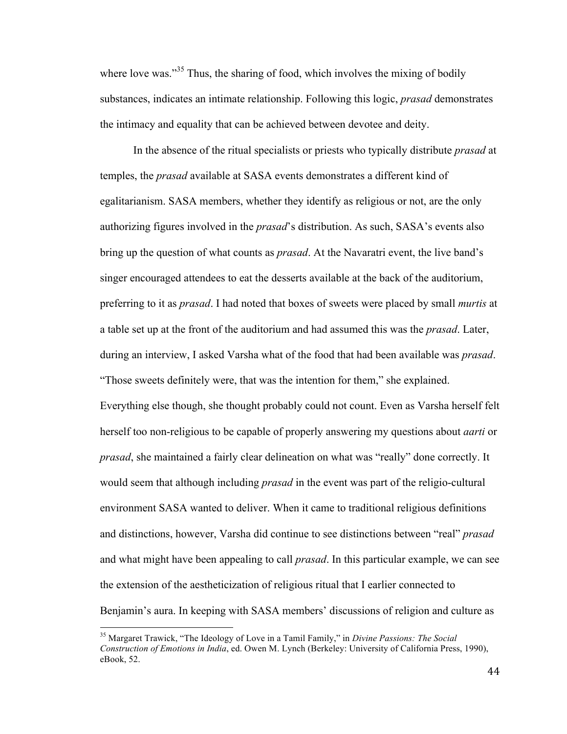where love was."<sup>35</sup> Thus, the sharing of food, which involves the mixing of bodily substances, indicates an intimate relationship. Following this logic, *prasad* demonstrates the intimacy and equality that can be achieved between devotee and deity.

In the absence of the ritual specialists or priests who typically distribute *prasad* at temples, the *prasad* available at SASA events demonstrates a different kind of egalitarianism. SASA members, whether they identify as religious or not, are the only authorizing figures involved in the *prasad*'s distribution. As such, SASA's events also bring up the question of what counts as *prasad*. At the Navaratri event, the live band's singer encouraged attendees to eat the desserts available at the back of the auditorium, preferring to it as *prasad*. I had noted that boxes of sweets were placed by small *murtis* at a table set up at the front of the auditorium and had assumed this was the *prasad*. Later, during an interview, I asked Varsha what of the food that had been available was *prasad*. "Those sweets definitely were, that was the intention for them," she explained. Everything else though, she thought probably could not count. Even as Varsha herself felt herself too non-religious to be capable of properly answering my questions about *aarti* or *prasad*, she maintained a fairly clear delineation on what was "really" done correctly. It would seem that although including *prasad* in the event was part of the religio-cultural environment SASA wanted to deliver. When it came to traditional religious definitions and distinctions, however, Varsha did continue to see distinctions between "real" *prasad* and what might have been appealing to call *prasad*. In this particular example, we can see the extension of the aestheticization of religious ritual that I earlier connected to Benjamin's aura. In keeping with SASA members' discussions of religion and culture as

<sup>35</sup> Margaret Trawick, "The Ideology of Love in a Tamil Family," in *Divine Passions: The Social Construction of Emotions in India*, ed. Owen M. Lynch (Berkeley: University of California Press, 1990), eBook, 52.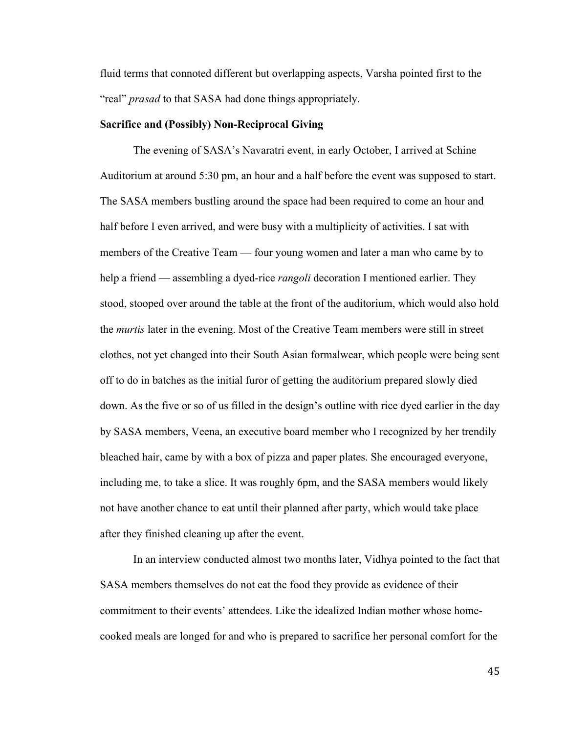fluid terms that connoted different but overlapping aspects, Varsha pointed first to the "real" *prasad* to that SASA had done things appropriately.

#### **Sacrifice and (Possibly) Non-Reciprocal Giving**

The evening of SASA's Navaratri event, in early October, I arrived at Schine Auditorium at around 5:30 pm, an hour and a half before the event was supposed to start. The SASA members bustling around the space had been required to come an hour and half before I even arrived, and were busy with a multiplicity of activities. I sat with members of the Creative Team — four young women and later a man who came by to help a friend — assembling a dyed-rice *rangoli* decoration I mentioned earlier. They stood, stooped over around the table at the front of the auditorium, which would also hold the *murtis* later in the evening. Most of the Creative Team members were still in street clothes, not yet changed into their South Asian formalwear, which people were being sent off to do in batches as the initial furor of getting the auditorium prepared slowly died down. As the five or so of us filled in the design's outline with rice dyed earlier in the day by SASA members, Veena, an executive board member who I recognized by her trendily bleached hair, came by with a box of pizza and paper plates. She encouraged everyone, including me, to take a slice. It was roughly 6pm, and the SASA members would likely not have another chance to eat until their planned after party, which would take place after they finished cleaning up after the event.

In an interview conducted almost two months later, Vidhya pointed to the fact that SASA members themselves do not eat the food they provide as evidence of their commitment to their events' attendees. Like the idealized Indian mother whose homecooked meals are longed for and who is prepared to sacrifice her personal comfort for the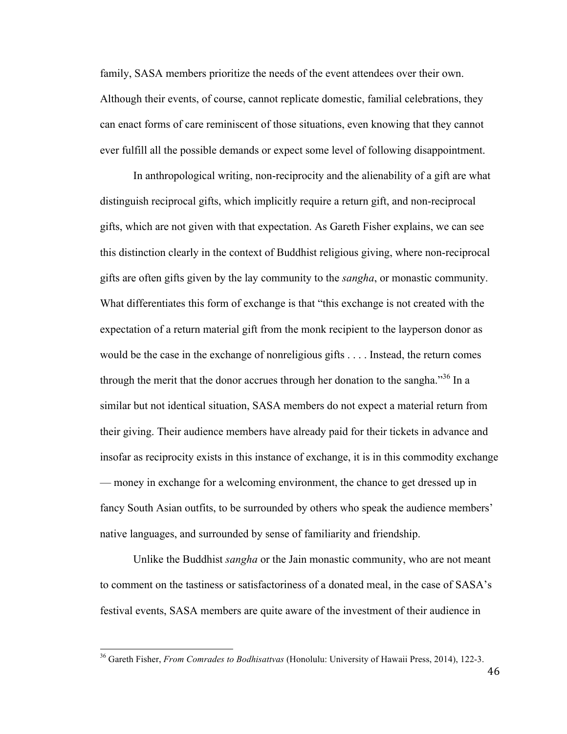family, SASA members prioritize the needs of the event attendees over their own. Although their events, of course, cannot replicate domestic, familial celebrations, they can enact forms of care reminiscent of those situations, even knowing that they cannot ever fulfill all the possible demands or expect some level of following disappointment.

In anthropological writing, non-reciprocity and the alienability of a gift are what distinguish reciprocal gifts, which implicitly require a return gift, and non-reciprocal gifts, which are not given with that expectation. As Gareth Fisher explains, we can see this distinction clearly in the context of Buddhist religious giving, where non-reciprocal gifts are often gifts given by the lay community to the *sangha*, or monastic community. What differentiates this form of exchange is that "this exchange is not created with the expectation of a return material gift from the monk recipient to the layperson donor as would be the case in the exchange of nonreligious gifts . . . . Instead, the return comes through the merit that the donor accrues through her donation to the sangha."<sup>36</sup> In a similar but not identical situation, SASA members do not expect a material return from their giving. Their audience members have already paid for their tickets in advance and insofar as reciprocity exists in this instance of exchange, it is in this commodity exchange — money in exchange for a welcoming environment, the chance to get dressed up in fancy South Asian outfits, to be surrounded by others who speak the audience members' native languages, and surrounded by sense of familiarity and friendship.

Unlike the Buddhist *sangha* or the Jain monastic community, who are not meant to comment on the tastiness or satisfactoriness of a donated meal, in the case of SASA's festival events, SASA members are quite aware of the investment of their audience in

<sup>36</sup> Gareth Fisher, *From Comrades to Bodhisattvas* (Honolulu: University of Hawaii Press, 2014), 122-3.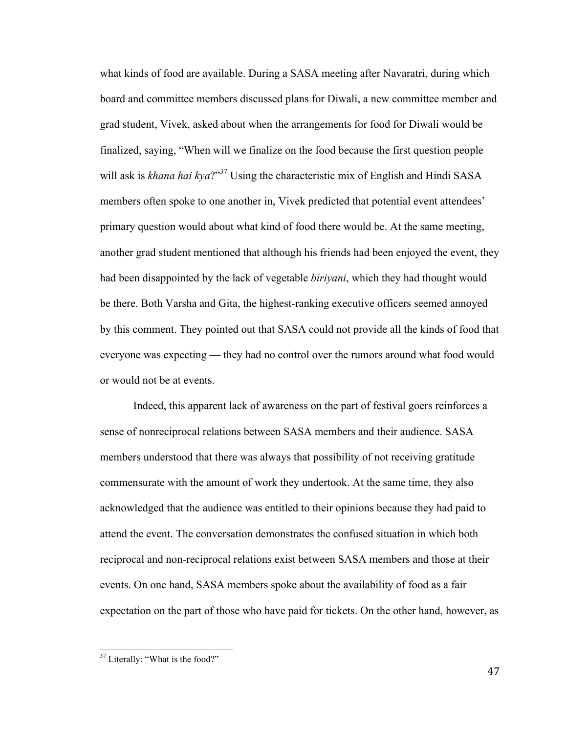what kinds of food are available. During a SASA meeting after Navaratri, during which board and committee members discussed plans for Diwali, a new committee member and grad student, Vivek, asked about when the arrangements for food for Diwali would be finalized, saying, "When will we finalize on the food because the first question people will ask is *khana hai kya*?"<sup>37</sup> Using the characteristic mix of English and Hindi SASA members often spoke to one another in, Vivek predicted that potential event attendees' primary question would about what kind of food there would be. At the same meeting, another grad student mentioned that although his friends had been enjoyed the event, they had been disappointed by the lack of vegetable *biriyani*, which they had thought would be there. Both Varsha and Gita, the highest-ranking executive officers seemed annoyed by this comment. They pointed out that SASA could not provide all the kinds of food that everyone was expecting — they had no control over the rumors around what food would or would not be at events.

Indeed, this apparent lack of awareness on the part of festival goers reinforces a sense of nonreciprocal relations between SASA members and their audience. SASA members understood that there was always that possibility of not receiving gratitude commensurate with the amount of work they undertook. At the same time, they also acknowledged that the audience was entitled to their opinions because they had paid to attend the event. The conversation demonstrates the confused situation in which both reciprocal and non-reciprocal relations exist between SASA members and those at their events. On one hand, SASA members spoke about the availability of food as a fair expectation on the part of those who have paid for tickets. On the other hand, however, as

<sup>&</sup>lt;sup>37</sup> Literally: "What is the food?"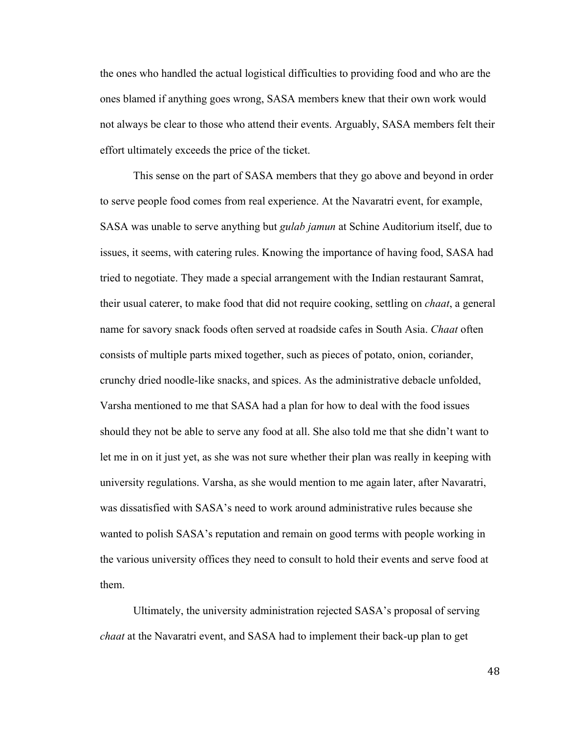the ones who handled the actual logistical difficulties to providing food and who are the ones blamed if anything goes wrong, SASA members knew that their own work would not always be clear to those who attend their events. Arguably, SASA members felt their effort ultimately exceeds the price of the ticket.

This sense on the part of SASA members that they go above and beyond in order to serve people food comes from real experience. At the Navaratri event, for example, SASA was unable to serve anything but *gulab jamun* at Schine Auditorium itself, due to issues, it seems, with catering rules. Knowing the importance of having food, SASA had tried to negotiate. They made a special arrangement with the Indian restaurant Samrat, their usual caterer, to make food that did not require cooking, settling on *chaat*, a general name for savory snack foods often served at roadside cafes in South Asia. *Chaat* often consists of multiple parts mixed together, such as pieces of potato, onion, coriander, crunchy dried noodle-like snacks, and spices. As the administrative debacle unfolded, Varsha mentioned to me that SASA had a plan for how to deal with the food issues should they not be able to serve any food at all. She also told me that she didn't want to let me in on it just yet, as she was not sure whether their plan was really in keeping with university regulations. Varsha, as she would mention to me again later, after Navaratri, was dissatisfied with SASA's need to work around administrative rules because she wanted to polish SASA's reputation and remain on good terms with people working in the various university offices they need to consult to hold their events and serve food at them.

Ultimately, the university administration rejected SASA's proposal of serving *chaat* at the Navaratri event, and SASA had to implement their back-up plan to get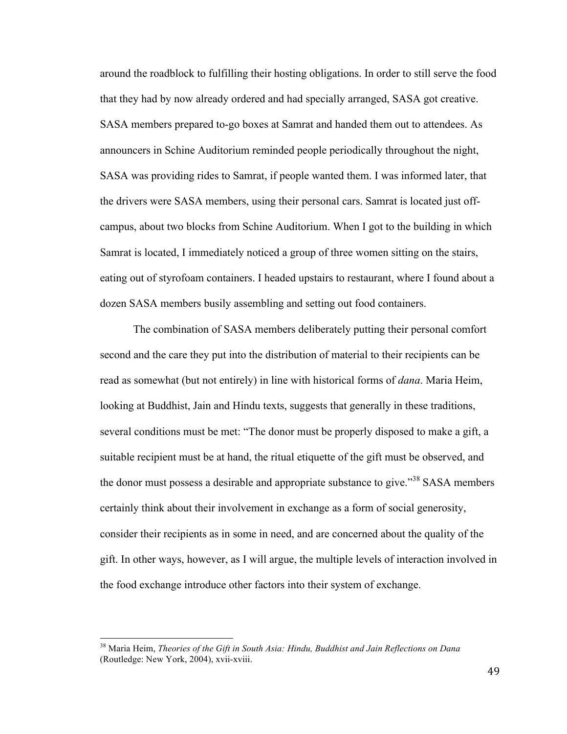around the roadblock to fulfilling their hosting obligations. In order to still serve the food that they had by now already ordered and had specially arranged, SASA got creative. SASA members prepared to-go boxes at Samrat and handed them out to attendees. As announcers in Schine Auditorium reminded people periodically throughout the night, SASA was providing rides to Samrat, if people wanted them. I was informed later, that the drivers were SASA members, using their personal cars. Samrat is located just offcampus, about two blocks from Schine Auditorium. When I got to the building in which Samrat is located, I immediately noticed a group of three women sitting on the stairs, eating out of styrofoam containers. I headed upstairs to restaurant, where I found about a dozen SASA members busily assembling and setting out food containers.

The combination of SASA members deliberately putting their personal comfort second and the care they put into the distribution of material to their recipients can be read as somewhat (but not entirely) in line with historical forms of *dana*. Maria Heim, looking at Buddhist, Jain and Hindu texts, suggests that generally in these traditions, several conditions must be met: "The donor must be properly disposed to make a gift, a suitable recipient must be at hand, the ritual etiquette of the gift must be observed, and the donor must possess a desirable and appropriate substance to give."<sup>38</sup> SASA members certainly think about their involvement in exchange as a form of social generosity, consider their recipients as in some in need, and are concerned about the quality of the gift. In other ways, however, as I will argue, the multiple levels of interaction involved in the food exchange introduce other factors into their system of exchange.

<sup>38</sup> Maria Heim, *Theories of the Gift in South Asia: Hindu, Buddhist and Jain Reflections on Dana* (Routledge: New York, 2004), xvii-xviii.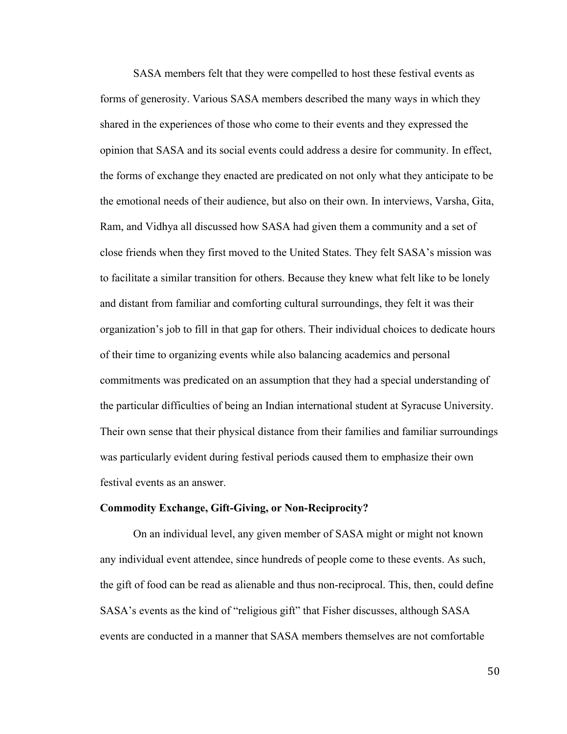SASA members felt that they were compelled to host these festival events as forms of generosity. Various SASA members described the many ways in which they shared in the experiences of those who come to their events and they expressed the opinion that SASA and its social events could address a desire for community. In effect, the forms of exchange they enacted are predicated on not only what they anticipate to be the emotional needs of their audience, but also on their own. In interviews, Varsha, Gita, Ram, and Vidhya all discussed how SASA had given them a community and a set of close friends when they first moved to the United States. They felt SASA's mission was to facilitate a similar transition for others. Because they knew what felt like to be lonely and distant from familiar and comforting cultural surroundings, they felt it was their organization's job to fill in that gap for others. Their individual choices to dedicate hours of their time to organizing events while also balancing academics and personal commitments was predicated on an assumption that they had a special understanding of the particular difficulties of being an Indian international student at Syracuse University. Their own sense that their physical distance from their families and familiar surroundings was particularly evident during festival periods caused them to emphasize their own festival events as an answer.

#### **Commodity Exchange, Gift-Giving, or Non-Reciprocity?**

On an individual level, any given member of SASA might or might not known any individual event attendee, since hundreds of people come to these events. As such, the gift of food can be read as alienable and thus non-reciprocal. This, then, could define SASA's events as the kind of "religious gift" that Fisher discusses, although SASA events are conducted in a manner that SASA members themselves are not comfortable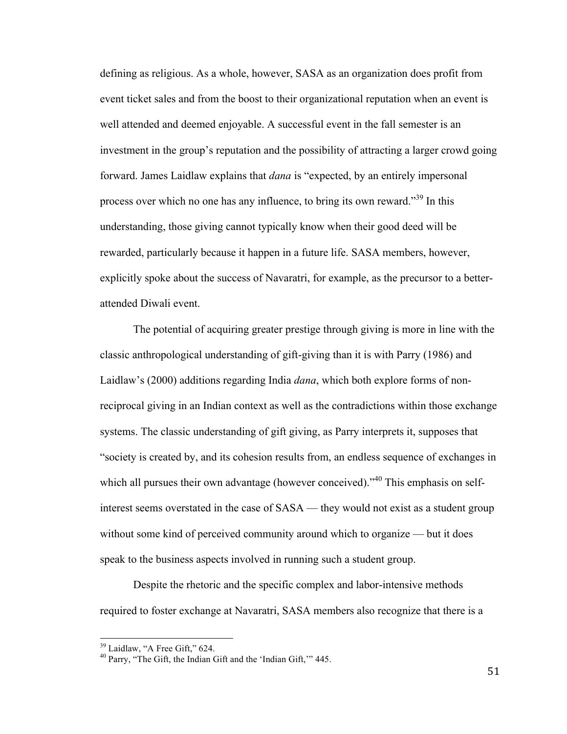defining as religious. As a whole, however, SASA as an organization does profit from event ticket sales and from the boost to their organizational reputation when an event is well attended and deemed enjoyable. A successful event in the fall semester is an investment in the group's reputation and the possibility of attracting a larger crowd going forward. James Laidlaw explains that *dana* is "expected, by an entirely impersonal process over which no one has any influence, to bring its own reward."<sup>39</sup> In this understanding, those giving cannot typically know when their good deed will be rewarded, particularly because it happen in a future life. SASA members, however, explicitly spoke about the success of Navaratri, for example, as the precursor to a betterattended Diwali event.

The potential of acquiring greater prestige through giving is more in line with the classic anthropological understanding of gift-giving than it is with Parry (1986) and Laidlaw's (2000) additions regarding India *dana*, which both explore forms of nonreciprocal giving in an Indian context as well as the contradictions within those exchange systems. The classic understanding of gift giving, as Parry interprets it, supposes that "society is created by, and its cohesion results from, an endless sequence of exchanges in which all pursues their own advantage (however conceived).<sup>40</sup> This emphasis on selfinterest seems overstated in the case of SASA — they would not exist as a student group without some kind of perceived community around which to organize — but it does speak to the business aspects involved in running such a student group.

Despite the rhetoric and the specific complex and labor-intensive methods required to foster exchange at Navaratri, SASA members also recognize that there is a

 $39$  Laidlaw, "A Free Gift," 624.<br> $40$  Parry, "The Gift, the Indian Gift and the 'Indian Gift,'" 445.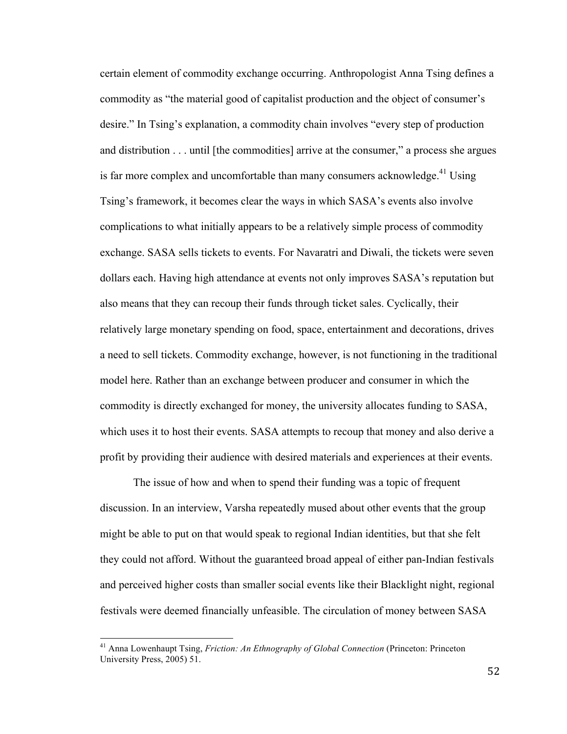certain element of commodity exchange occurring. Anthropologist Anna Tsing defines a commodity as "the material good of capitalist production and the object of consumer's desire." In Tsing's explanation, a commodity chain involves "every step of production and distribution . . . until [the commodities] arrive at the consumer," a process she argues is far more complex and uncomfortable than many consumers acknowledge.<sup>41</sup> Using Tsing's framework, it becomes clear the ways in which SASA's events also involve complications to what initially appears to be a relatively simple process of commodity exchange. SASA sells tickets to events. For Navaratri and Diwali, the tickets were seven dollars each. Having high attendance at events not only improves SASA's reputation but also means that they can recoup their funds through ticket sales. Cyclically, their relatively large monetary spending on food, space, entertainment and decorations, drives a need to sell tickets. Commodity exchange, however, is not functioning in the traditional model here. Rather than an exchange between producer and consumer in which the commodity is directly exchanged for money, the university allocates funding to SASA, which uses it to host their events. SASA attempts to recoup that money and also derive a profit by providing their audience with desired materials and experiences at their events.

The issue of how and when to spend their funding was a topic of frequent discussion. In an interview, Varsha repeatedly mused about other events that the group might be able to put on that would speak to regional Indian identities, but that she felt they could not afford. Without the guaranteed broad appeal of either pan-Indian festivals and perceived higher costs than smaller social events like their Blacklight night, regional festivals were deemed financially unfeasible. The circulation of money between SASA

<sup>41</sup> Anna Lowenhaupt Tsing, *Friction: An Ethnography of Global Connection* (Princeton: Princeton University Press, 2005) 51.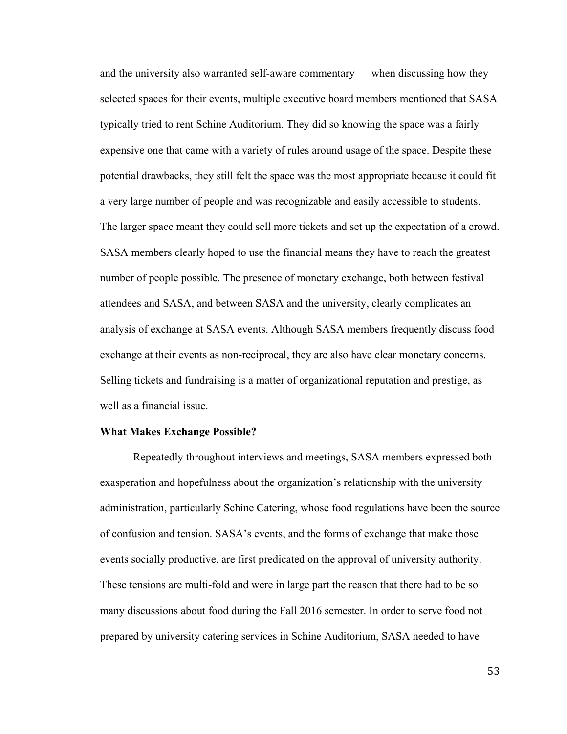and the university also warranted self-aware commentary — when discussing how they selected spaces for their events, multiple executive board members mentioned that SASA typically tried to rent Schine Auditorium. They did so knowing the space was a fairly expensive one that came with a variety of rules around usage of the space. Despite these potential drawbacks, they still felt the space was the most appropriate because it could fit a very large number of people and was recognizable and easily accessible to students. The larger space meant they could sell more tickets and set up the expectation of a crowd. SASA members clearly hoped to use the financial means they have to reach the greatest number of people possible. The presence of monetary exchange, both between festival attendees and SASA, and between SASA and the university, clearly complicates an analysis of exchange at SASA events. Although SASA members frequently discuss food exchange at their events as non-reciprocal, they are also have clear monetary concerns. Selling tickets and fundraising is a matter of organizational reputation and prestige, as well as a financial issue.

## **What Makes Exchange Possible?**

Repeatedly throughout interviews and meetings, SASA members expressed both exasperation and hopefulness about the organization's relationship with the university administration, particularly Schine Catering, whose food regulations have been the source of confusion and tension. SASA's events, and the forms of exchange that make those events socially productive, are first predicated on the approval of university authority. These tensions are multi-fold and were in large part the reason that there had to be so many discussions about food during the Fall 2016 semester. In order to serve food not prepared by university catering services in Schine Auditorium, SASA needed to have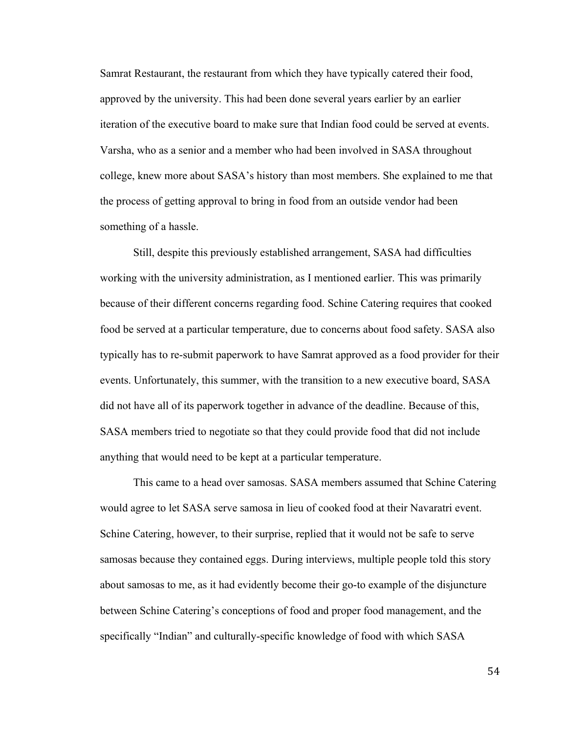Samrat Restaurant, the restaurant from which they have typically catered their food, approved by the university. This had been done several years earlier by an earlier iteration of the executive board to make sure that Indian food could be served at events. Varsha, who as a senior and a member who had been involved in SASA throughout college, knew more about SASA's history than most members. She explained to me that the process of getting approval to bring in food from an outside vendor had been something of a hassle.

Still, despite this previously established arrangement, SASA had difficulties working with the university administration, as I mentioned earlier. This was primarily because of their different concerns regarding food. Schine Catering requires that cooked food be served at a particular temperature, due to concerns about food safety. SASA also typically has to re-submit paperwork to have Samrat approved as a food provider for their events. Unfortunately, this summer, with the transition to a new executive board, SASA did not have all of its paperwork together in advance of the deadline. Because of this, SASA members tried to negotiate so that they could provide food that did not include anything that would need to be kept at a particular temperature.

This came to a head over samosas. SASA members assumed that Schine Catering would agree to let SASA serve samosa in lieu of cooked food at their Navaratri event. Schine Catering, however, to their surprise, replied that it would not be safe to serve samosas because they contained eggs. During interviews, multiple people told this story about samosas to me, as it had evidently become their go-to example of the disjuncture between Schine Catering's conceptions of food and proper food management, and the specifically "Indian" and culturally-specific knowledge of food with which SASA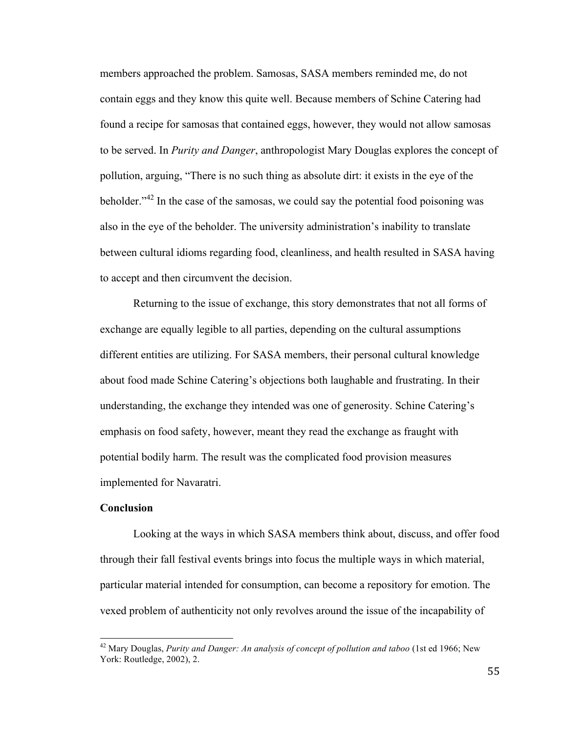members approached the problem. Samosas, SASA members reminded me, do not contain eggs and they know this quite well. Because members of Schine Catering had found a recipe for samosas that contained eggs, however, they would not allow samosas to be served. In *Purity and Danger*, anthropologist Mary Douglas explores the concept of pollution, arguing, "There is no such thing as absolute dirt: it exists in the eye of the beholder."<sup>42</sup> In the case of the samosas, we could say the potential food poisoning was also in the eye of the beholder. The university administration's inability to translate between cultural idioms regarding food, cleanliness, and health resulted in SASA having to accept and then circumvent the decision.

Returning to the issue of exchange, this story demonstrates that not all forms of exchange are equally legible to all parties, depending on the cultural assumptions different entities are utilizing. For SASA members, their personal cultural knowledge about food made Schine Catering's objections both laughable and frustrating. In their understanding, the exchange they intended was one of generosity. Schine Catering's emphasis on food safety, however, meant they read the exchange as fraught with potential bodily harm. The result was the complicated food provision measures implemented for Navaratri.

# **Conclusion**

Looking at the ways in which SASA members think about, discuss, and offer food through their fall festival events brings into focus the multiple ways in which material, particular material intended for consumption, can become a repository for emotion. The vexed problem of authenticity not only revolves around the issue of the incapability of

<sup>42</sup> Mary Douglas, *Purity and Danger: An analysis of concept of pollution and taboo* (1st ed 1966; New York: Routledge, 2002), 2.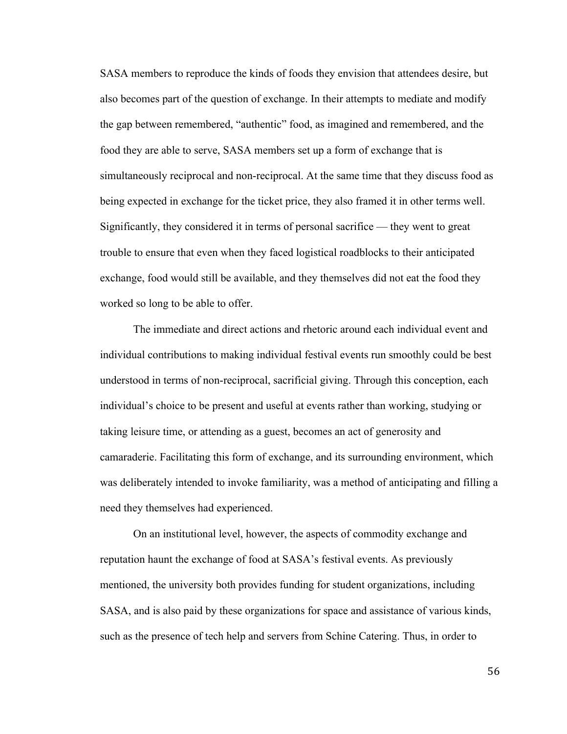SASA members to reproduce the kinds of foods they envision that attendees desire, but also becomes part of the question of exchange. In their attempts to mediate and modify the gap between remembered, "authentic" food, as imagined and remembered, and the food they are able to serve, SASA members set up a form of exchange that is simultaneously reciprocal and non-reciprocal. At the same time that they discuss food as being expected in exchange for the ticket price, they also framed it in other terms well. Significantly, they considered it in terms of personal sacrifice — they went to great trouble to ensure that even when they faced logistical roadblocks to their anticipated exchange, food would still be available, and they themselves did not eat the food they worked so long to be able to offer.

The immediate and direct actions and rhetoric around each individual event and individual contributions to making individual festival events run smoothly could be best understood in terms of non-reciprocal, sacrificial giving. Through this conception, each individual's choice to be present and useful at events rather than working, studying or taking leisure time, or attending as a guest, becomes an act of generosity and camaraderie. Facilitating this form of exchange, and its surrounding environment, which was deliberately intended to invoke familiarity, was a method of anticipating and filling a need they themselves had experienced.

On an institutional level, however, the aspects of commodity exchange and reputation haunt the exchange of food at SASA's festival events. As previously mentioned, the university both provides funding for student organizations, including SASA, and is also paid by these organizations for space and assistance of various kinds, such as the presence of tech help and servers from Schine Catering. Thus, in order to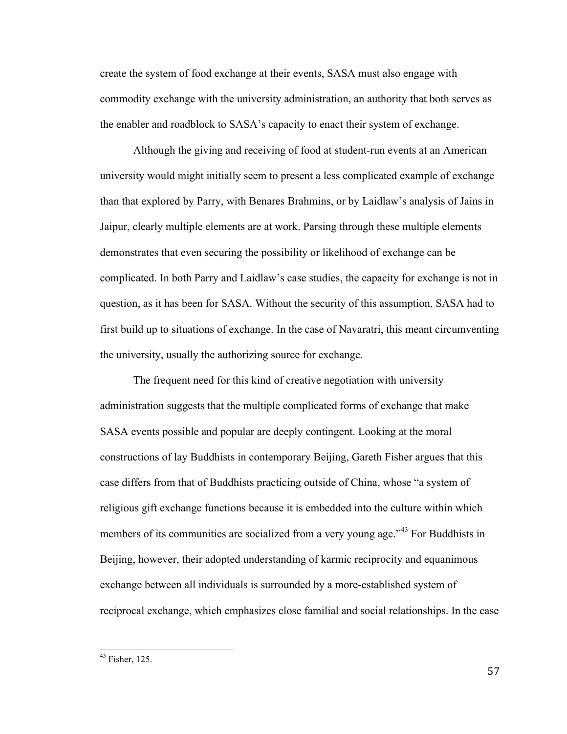create the system of food exchange at their events, SASA must also engage with commodity exchange with the university administration, an authority that both serves as the enabler and roadblock to SASA's capacity to enact their system of exchange.

Although the giving and receiving of food at student-run events at an American university would might initially seem to present a less complicated example of exchange than that explored by Parry, with Benares Brahmins, or by Laidlaw's analysis of Jains in Jaipur, clearly multiple elements are at work. Parsing through these multiple elements demonstrates that even securing the possibility or likelihood of exchange can be complicated. In both Parry and Laidlaw's case studies, the capacity for exchange is not in question, as it has been for SASA. Without the security of this assumption, SASA had to first build up to situations of exchange. In the case of Navaratri, this meant circumventing the university, usually the authorizing source for exchange.

The frequent need for this kind of creative negotiation with university administration suggests that the multiple complicated forms of exchange that make SASA events possible and popular are deeply contingent. Looking at the moral constructions of lay Buddhists in contemporary Beijing, Gareth Fisher argues that this case differs from that of Buddhists practicing outside of China, whose "a system of religious gift exchange functions because it is embedded into the culture within which members of its communities are socialized from a very young age.<sup>343</sup> For Buddhists in Beijing, however, their adopted understanding of karmic reciprocity and equanimous exchange between all individuals is surrounded by a more-established system of reciprocal exchange, which emphasizes close familial and social relationships. In the case

 $43$  Fisher, 125.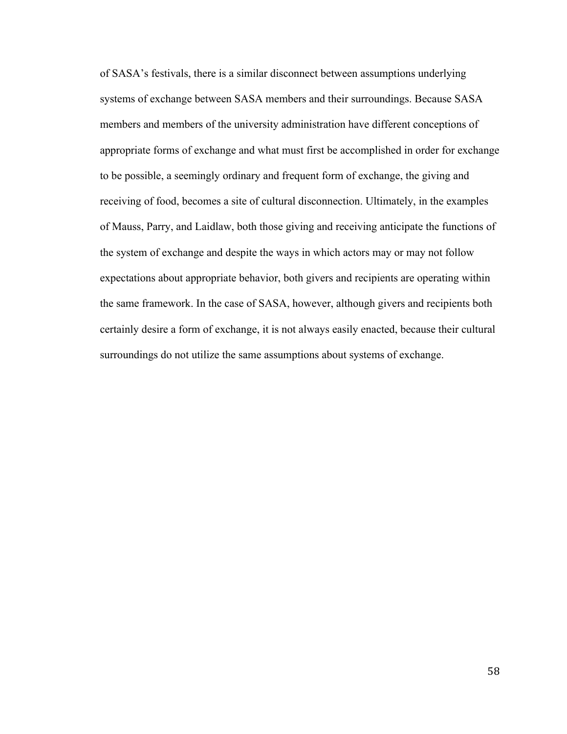of SASA's festivals, there is a similar disconnect between assumptions underlying systems of exchange between SASA members and their surroundings. Because SASA members and members of the university administration have different conceptions of appropriate forms of exchange and what must first be accomplished in order for exchange to be possible, a seemingly ordinary and frequent form of exchange, the giving and receiving of food, becomes a site of cultural disconnection. Ultimately, in the examples of Mauss, Parry, and Laidlaw, both those giving and receiving anticipate the functions of the system of exchange and despite the ways in which actors may or may not follow expectations about appropriate behavior, both givers and recipients are operating within the same framework. In the case of SASA, however, although givers and recipients both certainly desire a form of exchange, it is not always easily enacted, because their cultural surroundings do not utilize the same assumptions about systems of exchange.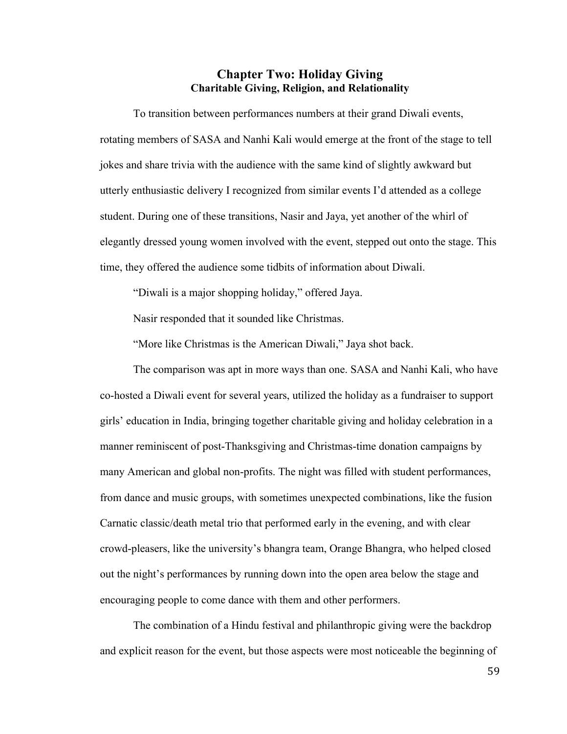# **Chapter Two: Holiday Giving Charitable Giving, Religion, and Relationality**

To transition between performances numbers at their grand Diwali events, rotating members of SASA and Nanhi Kali would emerge at the front of the stage to tell jokes and share trivia with the audience with the same kind of slightly awkward but utterly enthusiastic delivery I recognized from similar events I'd attended as a college student. During one of these transitions, Nasir and Jaya, yet another of the whirl of elegantly dressed young women involved with the event, stepped out onto the stage. This time, they offered the audience some tidbits of information about Diwali.

"Diwali is a major shopping holiday," offered Jaya.

Nasir responded that it sounded like Christmas.

"More like Christmas is the American Diwali," Jaya shot back.

The comparison was apt in more ways than one. SASA and Nanhi Kali, who have co-hosted a Diwali event for several years, utilized the holiday as a fundraiser to support girls' education in India, bringing together charitable giving and holiday celebration in a manner reminiscent of post-Thanksgiving and Christmas-time donation campaigns by many American and global non-profits. The night was filled with student performances, from dance and music groups, with sometimes unexpected combinations, like the fusion Carnatic classic/death metal trio that performed early in the evening, and with clear crowd-pleasers, like the university's bhangra team, Orange Bhangra, who helped closed out the night's performances by running down into the open area below the stage and encouraging people to come dance with them and other performers.

The combination of a Hindu festival and philanthropic giving were the backdrop and explicit reason for the event, but those aspects were most noticeable the beginning of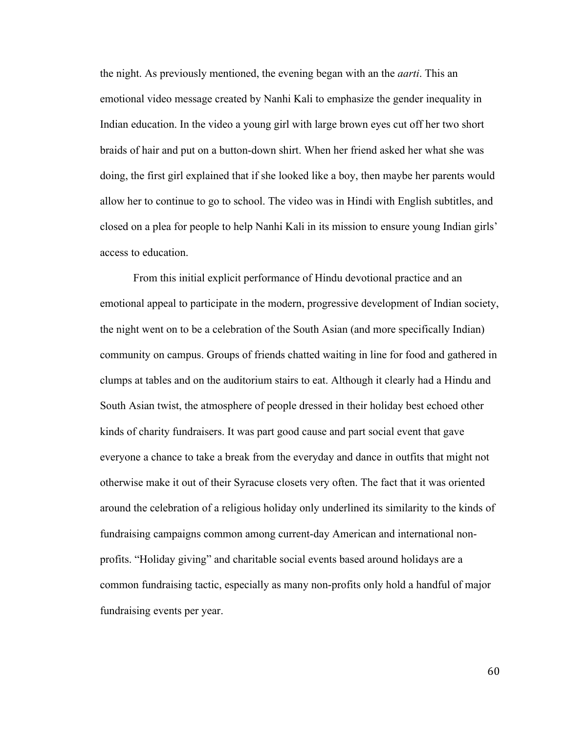the night. As previously mentioned, the evening began with an the *aarti*. This an emotional video message created by Nanhi Kali to emphasize the gender inequality in Indian education. In the video a young girl with large brown eyes cut off her two short braids of hair and put on a button-down shirt. When her friend asked her what she was doing, the first girl explained that if she looked like a boy, then maybe her parents would allow her to continue to go to school. The video was in Hindi with English subtitles, and closed on a plea for people to help Nanhi Kali in its mission to ensure young Indian girls' access to education.

From this initial explicit performance of Hindu devotional practice and an emotional appeal to participate in the modern, progressive development of Indian society, the night went on to be a celebration of the South Asian (and more specifically Indian) community on campus. Groups of friends chatted waiting in line for food and gathered in clumps at tables and on the auditorium stairs to eat. Although it clearly had a Hindu and South Asian twist, the atmosphere of people dressed in their holiday best echoed other kinds of charity fundraisers. It was part good cause and part social event that gave everyone a chance to take a break from the everyday and dance in outfits that might not otherwise make it out of their Syracuse closets very often. The fact that it was oriented around the celebration of a religious holiday only underlined its similarity to the kinds of fundraising campaigns common among current-day American and international nonprofits. "Holiday giving" and charitable social events based around holidays are a common fundraising tactic, especially as many non-profits only hold a handful of major fundraising events per year.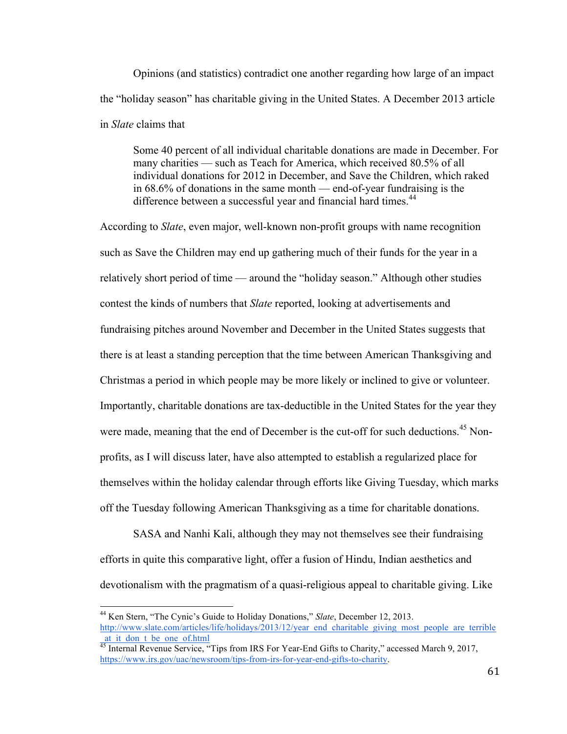Opinions (and statistics) contradict one another regarding how large of an impact the "holiday season" has charitable giving in the United States. A December 2013 article in *Slate* claims that

Some 40 percent of all individual charitable donations are made in December. For many charities — such as Teach for America, which received 80.5% of all individual donations for 2012 in December, and Save the Children, which raked in 68.6% of donations in the same month — end-of-year fundraising is the difference between a successful year and financial hard times.<sup>44</sup>

According to *Slate*, even major, well-known non-profit groups with name recognition such as Save the Children may end up gathering much of their funds for the year in a relatively short period of time — around the "holiday season." Although other studies contest the kinds of numbers that *Slate* reported, looking at advertisements and fundraising pitches around November and December in the United States suggests that there is at least a standing perception that the time between American Thanksgiving and Christmas a period in which people may be more likely or inclined to give or volunteer. Importantly, charitable donations are tax-deductible in the United States for the year they were made, meaning that the end of December is the cut-off for such deductions.<sup>45</sup> Nonprofits, as I will discuss later, have also attempted to establish a regularized place for themselves within the holiday calendar through efforts like Giving Tuesday, which marks off the Tuesday following American Thanksgiving as a time for charitable donations.

SASA and Nanhi Kali, although they may not themselves see their fundraising efforts in quite this comparative light, offer a fusion of Hindu, Indian aesthetics and devotionalism with the pragmatism of a quasi-religious appeal to charitable giving. Like

<sup>44</sup> Ken Stern, "The Cynic's Guide to Holiday Donations," *Slate*, December 12, 2013. http://www.slate.com/articles/life/holidays/2013/12/year\_end\_charitable\_giving\_most\_people\_are\_terrible at it don t be one of.html

<sup>&</sup>lt;sup>45</sup> Internal Revenue Service, "Tips from IRS For Year-End Gifts to Charity," accessed March 9, 2017, https://www.irs.gov/uac/newsroom/tips-from-irs-for-year-end-gifts-to-charity.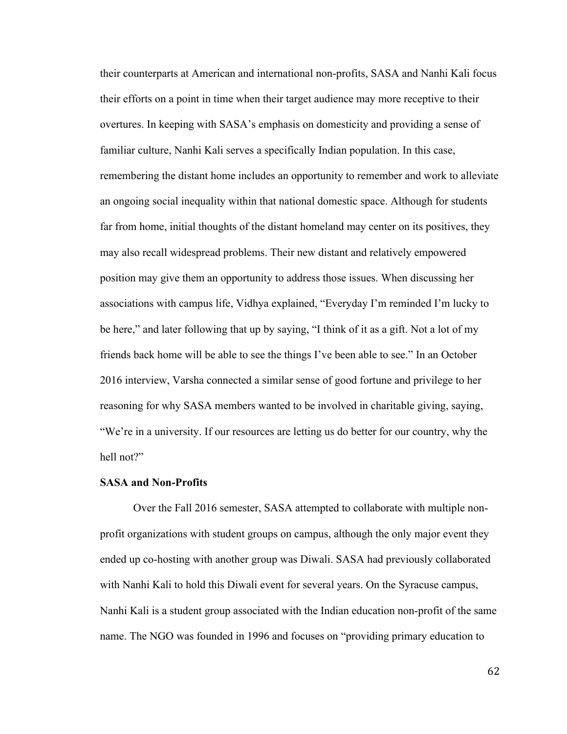their counterparts at American and international non-profits, SASA and Nanhi Kali focus their efforts on a point in time when their target audience may more receptive to their overtures. In keeping with SASA's emphasis on domesticity and providing a sense of familiar culture, Nanhi Kali serves a specifically Indian population. In this case, remembering the distant home includes an opportunity to remember and work to alleviate an ongoing social inequality within that national domestic space. Although for students far from home, initial thoughts of the distant homeland may center on its positives, they may also recall widespread problems. Their new distant and relatively empowered position may give them an opportunity to address those issues. When discussing her associations with campus life, Vidhya explained, "Everyday I'm reminded I'm lucky to be here," and later following that up by saying, "I think of it as a gift. Not a lot of my friends back home will be able to see the things I've been able to see." In an October 2016 interview, Varsha connected a similar sense of good fortune and privilege to her reasoning for why SASA members wanted to be involved in charitable giving, saying, "We're in a university. If our resources are letting us do better for our country, why the hell not?"

## **SASA and Non-Profits**

Over the Fall 2016 semester, SASA attempted to collaborate with multiple nonprofit organizations with student groups on campus, although the only major event they ended up co-hosting with another group was Diwali. SASA had previously collaborated with Nanhi Kali to hold this Diwali event for several years. On the Syracuse campus, Nanhi Kali is a student group associated with the Indian education non-profit of the same name. The NGO was founded in 1996 and focuses on "providing primary education to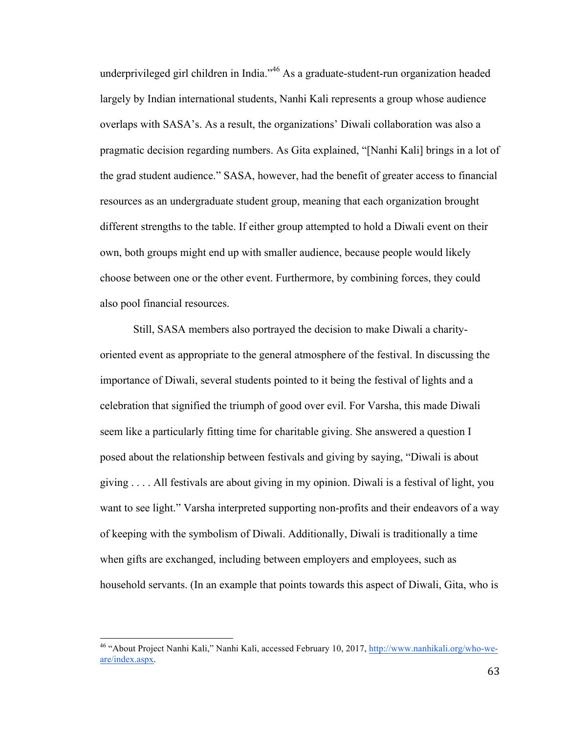underprivileged girl children in India."46 As a graduate-student-run organization headed largely by Indian international students, Nanhi Kali represents a group whose audience overlaps with SASA's. As a result, the organizations' Diwali collaboration was also a pragmatic decision regarding numbers. As Gita explained, "[Nanhi Kali] brings in a lot of the grad student audience." SASA, however, had the benefit of greater access to financial resources as an undergraduate student group, meaning that each organization brought different strengths to the table. If either group attempted to hold a Diwali event on their own, both groups might end up with smaller audience, because people would likely choose between one or the other event. Furthermore, by combining forces, they could also pool financial resources.

Still, SASA members also portrayed the decision to make Diwali a charityoriented event as appropriate to the general atmosphere of the festival. In discussing the importance of Diwali, several students pointed to it being the festival of lights and a celebration that signified the triumph of good over evil. For Varsha, this made Diwali seem like a particularly fitting time for charitable giving. She answered a question I posed about the relationship between festivals and giving by saying, "Diwali is about giving . . . . All festivals are about giving in my opinion. Diwali is a festival of light, you want to see light." Varsha interpreted supporting non-profits and their endeavors of a way of keeping with the symbolism of Diwali. Additionally, Diwali is traditionally a time when gifts are exchanged, including between employers and employees, such as household servants. (In an example that points towards this aspect of Diwali, Gita, who is

<sup>46</sup> "About Project Nanhi Kali," Nanhi Kali, accessed February 10, 2017, http://www.nanhikali.org/who-weare/index.aspx.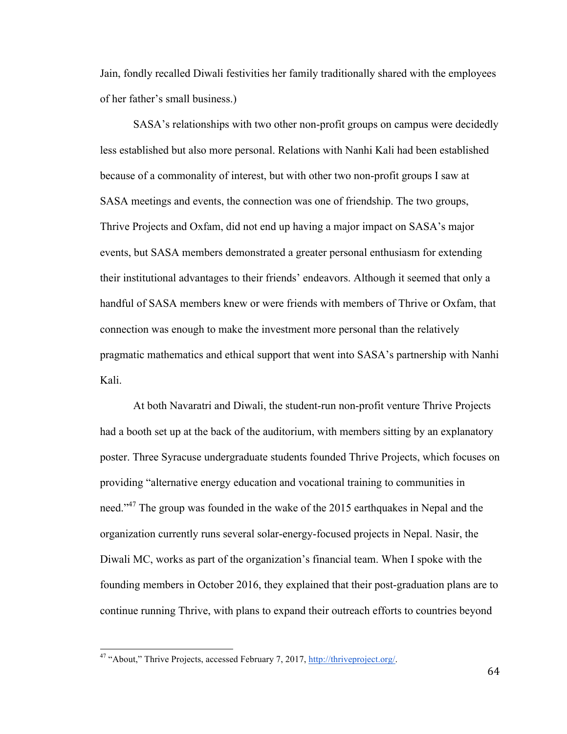Jain, fondly recalled Diwali festivities her family traditionally shared with the employees of her father's small business.)

SASA's relationships with two other non-profit groups on campus were decidedly less established but also more personal. Relations with Nanhi Kali had been established because of a commonality of interest, but with other two non-profit groups I saw at SASA meetings and events, the connection was one of friendship. The two groups, Thrive Projects and Oxfam, did not end up having a major impact on SASA's major events, but SASA members demonstrated a greater personal enthusiasm for extending their institutional advantages to their friends' endeavors. Although it seemed that only a handful of SASA members knew or were friends with members of Thrive or Oxfam, that connection was enough to make the investment more personal than the relatively pragmatic mathematics and ethical support that went into SASA's partnership with Nanhi Kali.

At both Navaratri and Diwali, the student-run non-profit venture Thrive Projects had a booth set up at the back of the auditorium, with members sitting by an explanatory poster. Three Syracuse undergraduate students founded Thrive Projects, which focuses on providing "alternative energy education and vocational training to communities in need."<sup>47</sup> The group was founded in the wake of the 2015 earthquakes in Nepal and the organization currently runs several solar-energy-focused projects in Nepal. Nasir, the Diwali MC, works as part of the organization's financial team. When I spoke with the founding members in October 2016, they explained that their post-graduation plans are to continue running Thrive, with plans to expand their outreach efforts to countries beyond

<sup>47</sup> "About," Thrive Projects, accessed February 7, 2017, http://thriveproject.org/.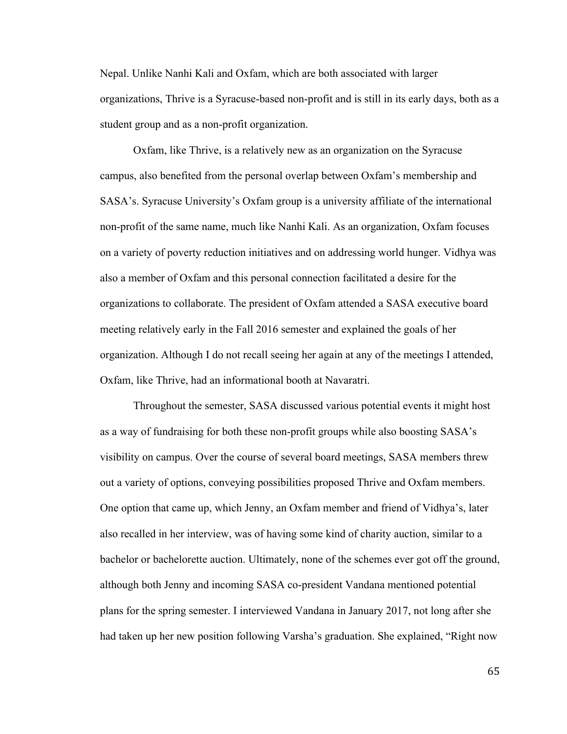Nepal. Unlike Nanhi Kali and Oxfam, which are both associated with larger organizations, Thrive is a Syracuse-based non-profit and is still in its early days, both as a student group and as a non-profit organization.

Oxfam, like Thrive, is a relatively new as an organization on the Syracuse campus, also benefited from the personal overlap between Oxfam's membership and SASA's. Syracuse University's Oxfam group is a university affiliate of the international non-profit of the same name, much like Nanhi Kali. As an organization, Oxfam focuses on a variety of poverty reduction initiatives and on addressing world hunger. Vidhya was also a member of Oxfam and this personal connection facilitated a desire for the organizations to collaborate. The president of Oxfam attended a SASA executive board meeting relatively early in the Fall 2016 semester and explained the goals of her organization. Although I do not recall seeing her again at any of the meetings I attended, Oxfam, like Thrive, had an informational booth at Navaratri.

Throughout the semester, SASA discussed various potential events it might host as a way of fundraising for both these non-profit groups while also boosting SASA's visibility on campus. Over the course of several board meetings, SASA members threw out a variety of options, conveying possibilities proposed Thrive and Oxfam members. One option that came up, which Jenny, an Oxfam member and friend of Vidhya's, later also recalled in her interview, was of having some kind of charity auction, similar to a bachelor or bachelorette auction. Ultimately, none of the schemes ever got off the ground, although both Jenny and incoming SASA co-president Vandana mentioned potential plans for the spring semester. I interviewed Vandana in January 2017, not long after she had taken up her new position following Varsha's graduation. She explained, "Right now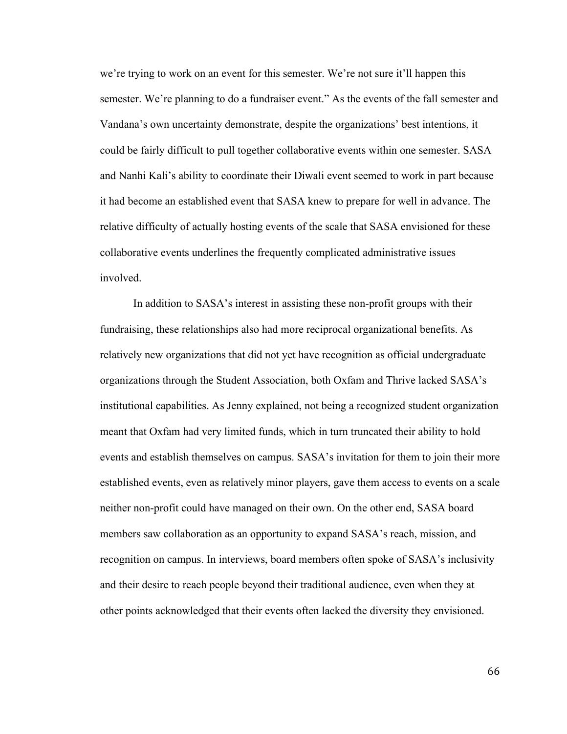we're trying to work on an event for this semester. We're not sure it'll happen this semester. We're planning to do a fundraiser event." As the events of the fall semester and Vandana's own uncertainty demonstrate, despite the organizations' best intentions, it could be fairly difficult to pull together collaborative events within one semester. SASA and Nanhi Kali's ability to coordinate their Diwali event seemed to work in part because it had become an established event that SASA knew to prepare for well in advance. The relative difficulty of actually hosting events of the scale that SASA envisioned for these collaborative events underlines the frequently complicated administrative issues involved.

In addition to SASA's interest in assisting these non-profit groups with their fundraising, these relationships also had more reciprocal organizational benefits. As relatively new organizations that did not yet have recognition as official undergraduate organizations through the Student Association, both Oxfam and Thrive lacked SASA's institutional capabilities. As Jenny explained, not being a recognized student organization meant that Oxfam had very limited funds, which in turn truncated their ability to hold events and establish themselves on campus. SASA's invitation for them to join their more established events, even as relatively minor players, gave them access to events on a scale neither non-profit could have managed on their own. On the other end, SASA board members saw collaboration as an opportunity to expand SASA's reach, mission, and recognition on campus. In interviews, board members often spoke of SASA's inclusivity and their desire to reach people beyond their traditional audience, even when they at other points acknowledged that their events often lacked the diversity they envisioned.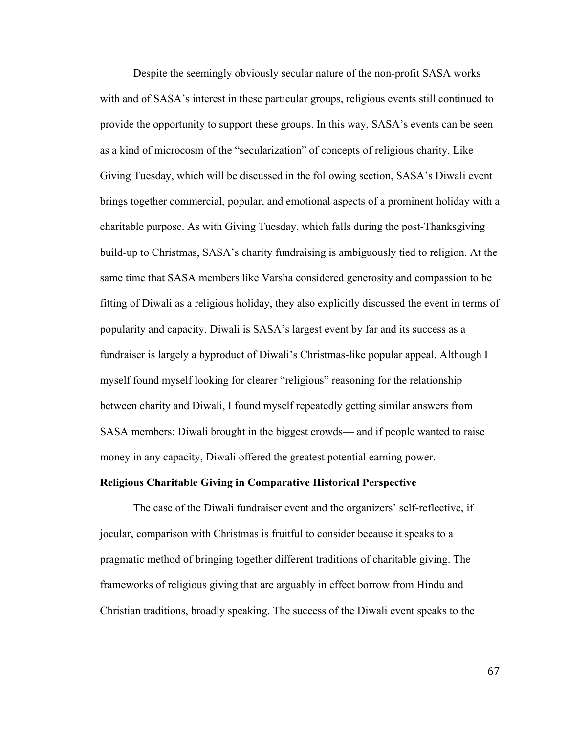Despite the seemingly obviously secular nature of the non-profit SASA works with and of SASA's interest in these particular groups, religious events still continued to provide the opportunity to support these groups. In this way, SASA's events can be seen as a kind of microcosm of the "secularization" of concepts of religious charity. Like Giving Tuesday, which will be discussed in the following section, SASA's Diwali event brings together commercial, popular, and emotional aspects of a prominent holiday with a charitable purpose. As with Giving Tuesday, which falls during the post-Thanksgiving build-up to Christmas, SASA's charity fundraising is ambiguously tied to religion. At the same time that SASA members like Varsha considered generosity and compassion to be fitting of Diwali as a religious holiday, they also explicitly discussed the event in terms of popularity and capacity. Diwali is SASA's largest event by far and its success as a fundraiser is largely a byproduct of Diwali's Christmas-like popular appeal. Although I myself found myself looking for clearer "religious" reasoning for the relationship between charity and Diwali, I found myself repeatedly getting similar answers from SASA members: Diwali brought in the biggest crowds— and if people wanted to raise money in any capacity, Diwali offered the greatest potential earning power.

#### **Religious Charitable Giving in Comparative Historical Perspective**

The case of the Diwali fundraiser event and the organizers' self-reflective, if jocular, comparison with Christmas is fruitful to consider because it speaks to a pragmatic method of bringing together different traditions of charitable giving. The frameworks of religious giving that are arguably in effect borrow from Hindu and Christian traditions, broadly speaking. The success of the Diwali event speaks to the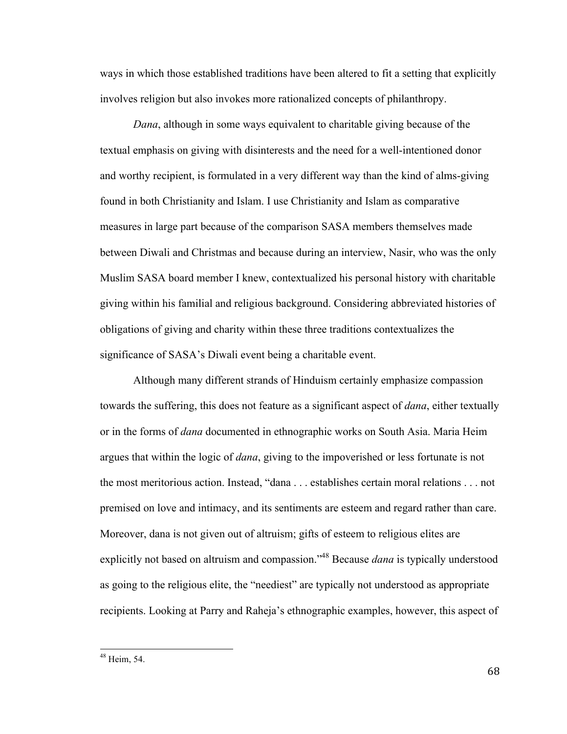ways in which those established traditions have been altered to fit a setting that explicitly involves religion but also invokes more rationalized concepts of philanthropy.

*Dana*, although in some ways equivalent to charitable giving because of the textual emphasis on giving with disinterests and the need for a well-intentioned donor and worthy recipient, is formulated in a very different way than the kind of alms-giving found in both Christianity and Islam. I use Christianity and Islam as comparative measures in large part because of the comparison SASA members themselves made between Diwali and Christmas and because during an interview, Nasir, who was the only Muslim SASA board member I knew, contextualized his personal history with charitable giving within his familial and religious background. Considering abbreviated histories of obligations of giving and charity within these three traditions contextualizes the significance of SASA's Diwali event being a charitable event.

Although many different strands of Hinduism certainly emphasize compassion towards the suffering, this does not feature as a significant aspect of *dana*, either textually or in the forms of *dana* documented in ethnographic works on South Asia. Maria Heim argues that within the logic of *dana*, giving to the impoverished or less fortunate is not the most meritorious action. Instead, "dana . . . establishes certain moral relations . . . not premised on love and intimacy, and its sentiments are esteem and regard rather than care. Moreover, dana is not given out of altruism; gifts of esteem to religious elites are explicitly not based on altruism and compassion."48 Because *dana* is typically understood as going to the religious elite, the "neediest" are typically not understood as appropriate recipients. Looking at Parry and Raheja's ethnographic examples, however, this aspect of

<sup>48</sup> Heim, 54.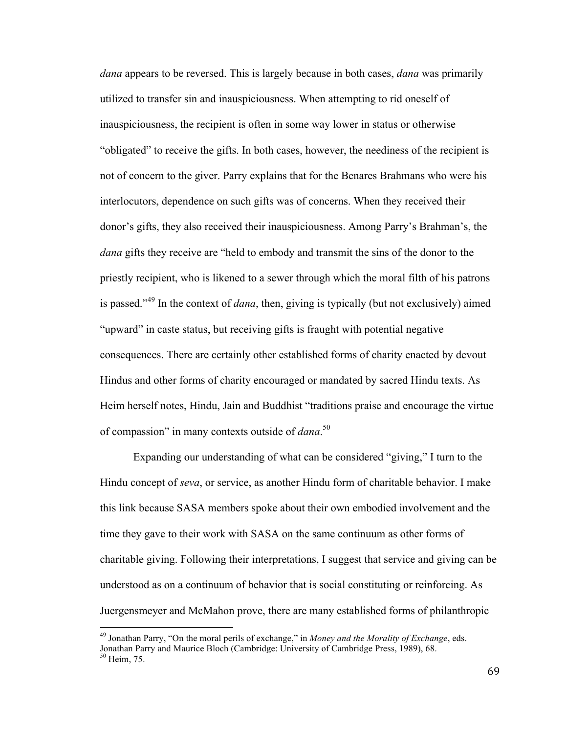*dana* appears to be reversed. This is largely because in both cases, *dana* was primarily utilized to transfer sin and inauspiciousness. When attempting to rid oneself of inauspiciousness, the recipient is often in some way lower in status or otherwise "obligated" to receive the gifts. In both cases, however, the neediness of the recipient is not of concern to the giver. Parry explains that for the Benares Brahmans who were his interlocutors, dependence on such gifts was of concerns. When they received their donor's gifts, they also received their inauspiciousness. Among Parry's Brahman's, the *dana* gifts they receive are "held to embody and transmit the sins of the donor to the priestly recipient, who is likened to a sewer through which the moral filth of his patrons is passed."<sup>49</sup> In the context of *dana*, then, giving is typically (but not exclusively) aimed "upward" in caste status, but receiving gifts is fraught with potential negative consequences. There are certainly other established forms of charity enacted by devout Hindus and other forms of charity encouraged or mandated by sacred Hindu texts. As Heim herself notes, Hindu, Jain and Buddhist "traditions praise and encourage the virtue of compassion" in many contexts outside of *dana*. 50

Expanding our understanding of what can be considered "giving," I turn to the Hindu concept of *seva*, or service, as another Hindu form of charitable behavior. I make this link because SASA members spoke about their own embodied involvement and the time they gave to their work with SASA on the same continuum as other forms of charitable giving. Following their interpretations, I suggest that service and giving can be understood as on a continuum of behavior that is social constituting or reinforcing. As Juergensmeyer and McMahon prove, there are many established forms of philanthropic

<sup>49</sup> Jonathan Parry, "On the moral perils of exchange," in *Money and the Morality of Exchange*, eds. Jonathan Parry and Maurice Bloch (Cambridge: University of Cambridge Press, 1989), 68. <sup>50</sup> Heim, 75.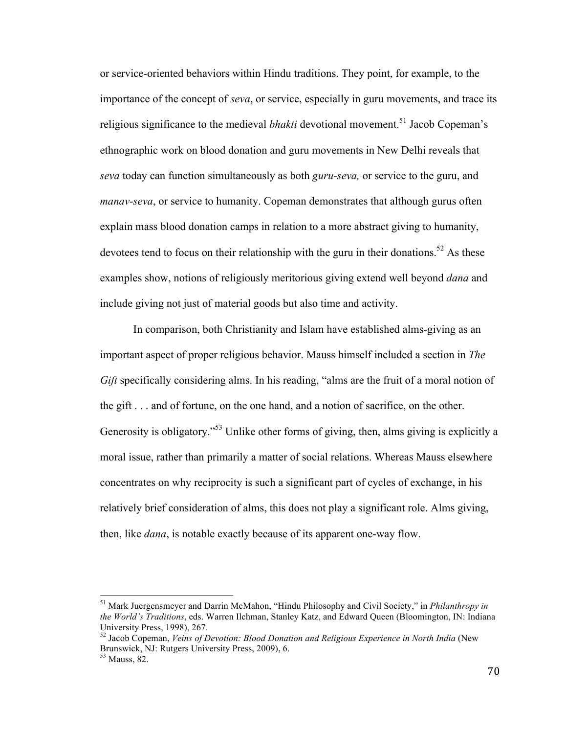or service-oriented behaviors within Hindu traditions. They point, for example, to the importance of the concept of *seva*, or service, especially in guru movements, and trace its religious significance to the medieval *bhakti* devotional movement.<sup>51</sup> Jacob Copeman's ethnographic work on blood donation and guru movements in New Delhi reveals that *seva* today can function simultaneously as both *guru-seva,* or service to the guru, and *manav-seva*, or service to humanity. Copeman demonstrates that although gurus often explain mass blood donation camps in relation to a more abstract giving to humanity, devotees tend to focus on their relationship with the guru in their donations.<sup>52</sup> As these examples show, notions of religiously meritorious giving extend well beyond *dana* and include giving not just of material goods but also time and activity.

In comparison, both Christianity and Islam have established alms-giving as an important aspect of proper religious behavior. Mauss himself included a section in *The Gift* specifically considering alms. In his reading, "alms are the fruit of a moral notion of the gift . . . and of fortune, on the one hand, and a notion of sacrifice, on the other. Generosity is obligatory.<sup>553</sup> Unlike other forms of giving, then, alms giving is explicitly a moral issue, rather than primarily a matter of social relations. Whereas Mauss elsewhere concentrates on why reciprocity is such a significant part of cycles of exchange, in his relatively brief consideration of alms, this does not play a significant role. Alms giving, then, like *dana*, is notable exactly because of its apparent one-way flow.

<sup>51</sup> Mark Juergensmeyer and Darrin McMahon, "Hindu Philosophy and Civil Society," in *Philanthropy in the World's Traditions*, eds. Warren Ilchman, Stanley Katz, and Edward Queen (Bloomington, IN: Indiana University Press, 1998), 267.

<sup>52</sup> Jacob Copeman, *Veins of Devotion: Blood Donation and Religious Experience in North India* (New Brunswick, NJ: Rutgers University Press, 2009), 6.

<sup>53</sup> Mauss, 82.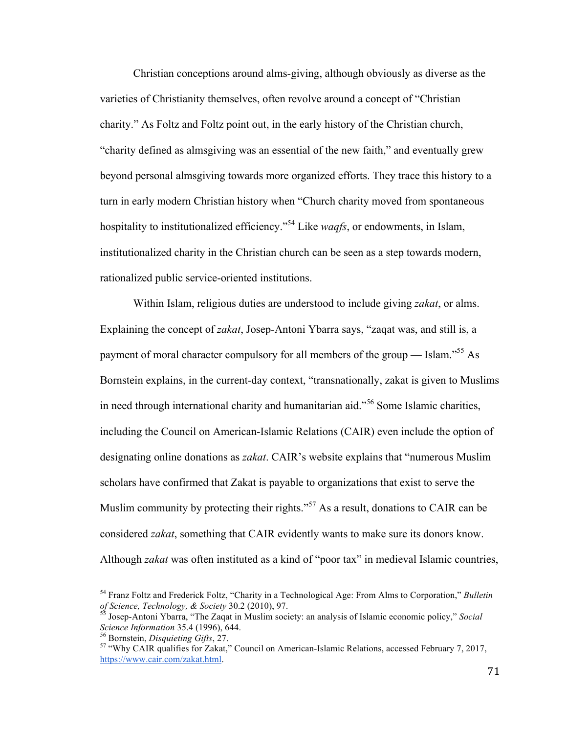Christian conceptions around alms-giving, although obviously as diverse as the varieties of Christianity themselves, often revolve around a concept of "Christian charity." As Foltz and Foltz point out, in the early history of the Christian church, "charity defined as almsgiving was an essential of the new faith," and eventually grew beyond personal almsgiving towards more organized efforts. They trace this history to a turn in early modern Christian history when "Church charity moved from spontaneous hospitality to institutionalized efficiency."54 Like *waqfs*, or endowments, in Islam, institutionalized charity in the Christian church can be seen as a step towards modern, rationalized public service-oriented institutions.

Within Islam, religious duties are understood to include giving *zakat*, or alms. Explaining the concept of *zakat*, Josep-Antoni Ybarra says, "zaqat was, and still is, a payment of moral character compulsory for all members of the group — Islam.<sup> $55$ </sup> As Bornstein explains, in the current-day context, "transnationally, zakat is given to Muslims in need through international charity and humanitarian aid."<sup>56</sup> Some Islamic charities, including the Council on American-Islamic Relations (CAIR) even include the option of designating online donations as *zakat*. CAIR's website explains that "numerous Muslim scholars have confirmed that Zakat is payable to organizations that exist to serve the Muslim community by protecting their rights.<sup>57</sup> As a result, donations to CAIR can be considered *zakat*, something that CAIR evidently wants to make sure its donors know. Although *zakat* was often instituted as a kind of "poor tax" in medieval Islamic countries,

<sup>54</sup> Franz Foltz and Frederick Foltz, "Charity in a Technological Age: From Alms to Corporation," *Bulletin* 

*of Science, Technology, & Society* 30.2 (2010), 97. 55 Josep-Antoni Ybarra, "The Zaqat in Muslim society: an analysis of Islamic economic policy," *Social Science Information* 35.4 (1996), 644.<br><sup>56</sup> Bornstein, *Disquieting Gifts*, 27.<br><sup>57</sup> "Why CAIR qualifies for Zakat," Council on American-Islamic Relations, accessed February 7, 2017,

https://www.cair.com/zakat.html.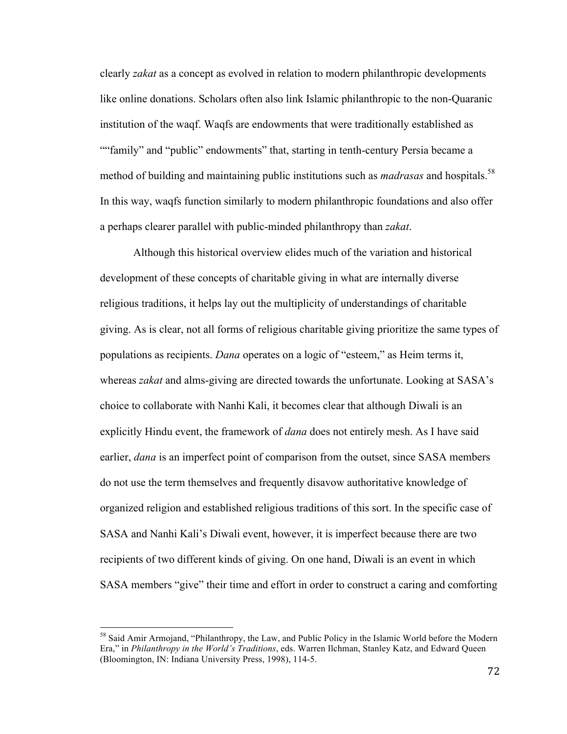clearly *zakat* as a concept as evolved in relation to modern philanthropic developments like online donations. Scholars often also link Islamic philanthropic to the non-Quaranic institution of the waqf. Waqfs are endowments that were traditionally established as ""family" and "public" endowments" that, starting in tenth-century Persia became a method of building and maintaining public institutions such as *madrasas* and hospitals.<sup>58</sup> In this way, waqfs function similarly to modern philanthropic foundations and also offer a perhaps clearer parallel with public-minded philanthropy than *zakat*.

Although this historical overview elides much of the variation and historical development of these concepts of charitable giving in what are internally diverse religious traditions, it helps lay out the multiplicity of understandings of charitable giving. As is clear, not all forms of religious charitable giving prioritize the same types of populations as recipients. *Dana* operates on a logic of "esteem," as Heim terms it, whereas *zakat* and alms-giving are directed towards the unfortunate. Looking at SASA's choice to collaborate with Nanhi Kali, it becomes clear that although Diwali is an explicitly Hindu event, the framework of *dana* does not entirely mesh. As I have said earlier, *dana* is an imperfect point of comparison from the outset, since SASA members do not use the term themselves and frequently disavow authoritative knowledge of organized religion and established religious traditions of this sort. In the specific case of SASA and Nanhi Kali's Diwali event, however, it is imperfect because there are two recipients of two different kinds of giving. On one hand, Diwali is an event in which SASA members "give" their time and effort in order to construct a caring and comforting

<sup>&</sup>lt;sup>58</sup> Said Amir Armojand, "Philanthropy, the Law, and Public Policy in the Islamic World before the Modern Era," in *Philanthropy in the World's Traditions*, eds. Warren Ilchman, Stanley Katz, and Edward Queen (Bloomington, IN: Indiana University Press, 1998), 114-5.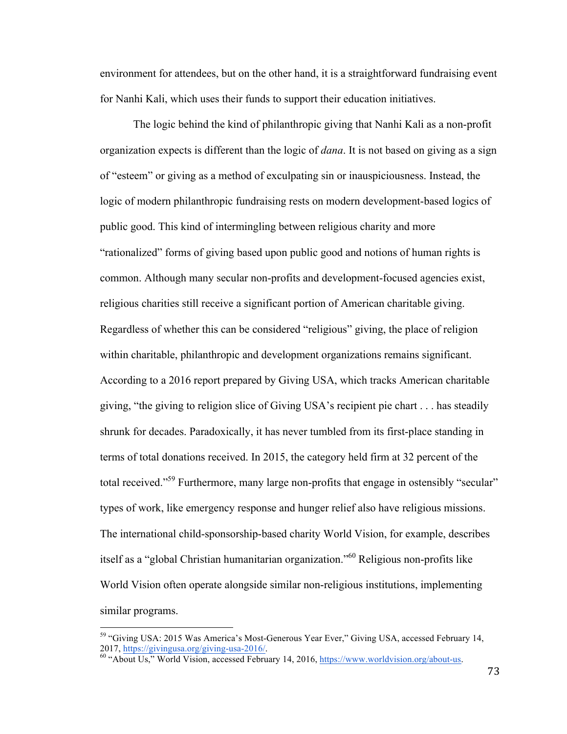environment for attendees, but on the other hand, it is a straightforward fundraising event for Nanhi Kali, which uses their funds to support their education initiatives.

The logic behind the kind of philanthropic giving that Nanhi Kali as a non-profit organization expects is different than the logic of *dana*. It is not based on giving as a sign of "esteem" or giving as a method of exculpating sin or inauspiciousness. Instead, the logic of modern philanthropic fundraising rests on modern development-based logics of public good. This kind of intermingling between religious charity and more "rationalized" forms of giving based upon public good and notions of human rights is common. Although many secular non-profits and development-focused agencies exist, religious charities still receive a significant portion of American charitable giving. Regardless of whether this can be considered "religious" giving, the place of religion within charitable, philanthropic and development organizations remains significant. According to a 2016 report prepared by Giving USA, which tracks American charitable giving, "the giving to religion slice of Giving USA's recipient pie chart . . . has steadily shrunk for decades. Paradoxically, it has never tumbled from its first-place standing in terms of total donations received. In 2015, the category held firm at 32 percent of the total received."<sup>59</sup> Furthermore, many large non-profits that engage in ostensibly "secular" types of work, like emergency response and hunger relief also have religious missions. The international child-sponsorship-based charity World Vision, for example, describes itself as a "global Christian humanitarian organization."<sup>60</sup> Religious non-profits like World Vision often operate alongside similar non-religious institutions, implementing similar programs.

<sup>&</sup>lt;sup>59</sup> "Giving USA: 2015 Was America's Most-Generous Year Ever," Giving USA, accessed February 14, 2017, https://givingusa.org/giving-usa-2016/.<br><sup>60</sup> "About Us," World Vision, accessed February 14, 2016, https://www.worldvision.org/about-us.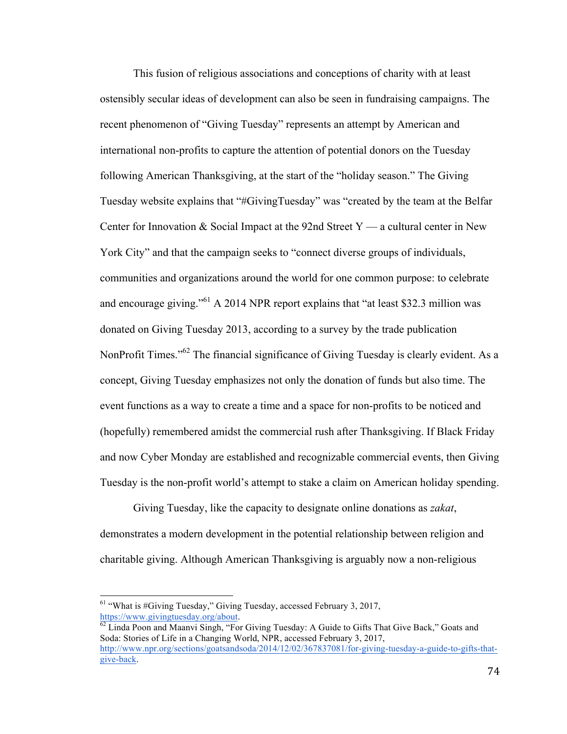This fusion of religious associations and conceptions of charity with at least ostensibly secular ideas of development can also be seen in fundraising campaigns. The recent phenomenon of "Giving Tuesday" represents an attempt by American and international non-profits to capture the attention of potential donors on the Tuesday following American Thanksgiving, at the start of the "holiday season." The Giving Tuesday website explains that "#GivingTuesday" was "created by the team at the Belfar Center for Innovation  $& Social Impact$  at the 92nd Street Y — a cultural center in New York City" and that the campaign seeks to "connect diverse groups of individuals, communities and organizations around the world for one common purpose: to celebrate and encourage giving."61 A 2014 NPR report explains that "at least \$32.3 million was donated on Giving Tuesday 2013, according to a survey by the trade publication NonProfit Times."<sup>62</sup> The financial significance of Giving Tuesday is clearly evident. As a concept, Giving Tuesday emphasizes not only the donation of funds but also time. The event functions as a way to create a time and a space for non-profits to be noticed and (hopefully) remembered amidst the commercial rush after Thanksgiving. If Black Friday and now Cyber Monday are established and recognizable commercial events, then Giving Tuesday is the non-profit world's attempt to stake a claim on American holiday spending.

Giving Tuesday, like the capacity to designate online donations as *zakat*, demonstrates a modern development in the potential relationship between religion and charitable giving. Although American Thanksgiving is arguably now a non-religious

 $61$  "What is #Giving Tuesday," Giving Tuesday, accessed February 3, 2017, https://www.givingtuesday.org/about.<br><sup>62</sup> Linda Poon and Maanvi Singh, "For Giving Tuesday: A Guide to Gifts That Give Back," Goats and

Soda: Stories of Life in a Changing World, NPR, accessed February 3, 2017, http://www.npr.org/sections/goatsandsoda/2014/12/02/367837081/for-giving-tuesday-a-guide-to-gifts-thatgive-back.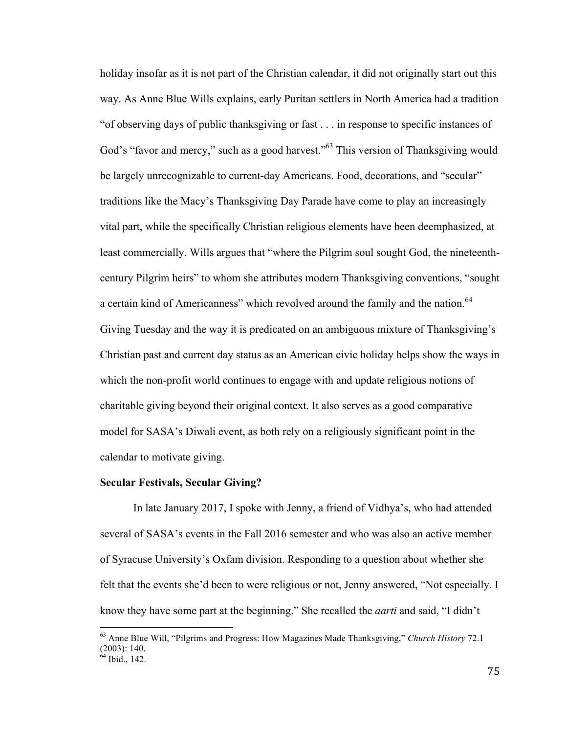holiday insofar as it is not part of the Christian calendar, it did not originally start out this way. As Anne Blue Wills explains, early Puritan settlers in North America had a tradition "of observing days of public thanksgiving or fast . . . in response to specific instances of God's "favor and mercy," such as a good harvest."<sup>63</sup> This version of Thanksgiving would be largely unrecognizable to current-day Americans. Food, decorations, and "secular" traditions like the Macy's Thanksgiving Day Parade have come to play an increasingly vital part, while the specifically Christian religious elements have been deemphasized, at least commercially. Wills argues that "where the Pilgrim soul sought God, the nineteenthcentury Pilgrim heirs" to whom she attributes modern Thanksgiving conventions, "sought a certain kind of Americanness" which revolved around the family and the nation.<sup>64</sup> Giving Tuesday and the way it is predicated on an ambiguous mixture of Thanksgiving's Christian past and current day status as an American civic holiday helps show the ways in which the non-profit world continues to engage with and update religious notions of charitable giving beyond their original context. It also serves as a good comparative model for SASA's Diwali event, as both rely on a religiously significant point in the calendar to motivate giving.

# **Secular Festivals, Secular Giving?**

In late January 2017, I spoke with Jenny, a friend of Vidhya's, who had attended several of SASA's events in the Fall 2016 semester and who was also an active member of Syracuse University's Oxfam division. Responding to a question about whether she felt that the events she'd been to were religious or not, Jenny answered, "Not especially. I know they have some part at the beginning." She recalled the *aarti* and said, "I didn't

<sup>63</sup> Anne Blue Will, "Pilgrims and Progress: How Magazines Made Thanksgiving," *Church History* 72.1 (2003): 140.

 $64$  Ibid., 142.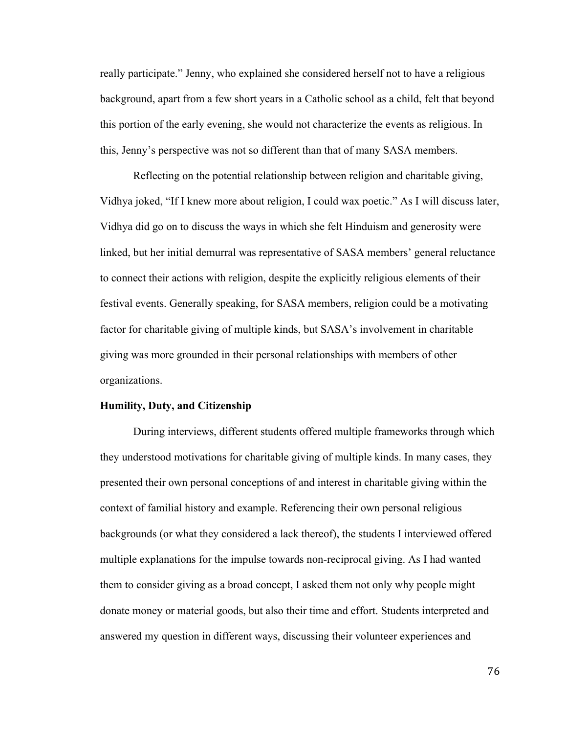really participate." Jenny, who explained she considered herself not to have a religious background, apart from a few short years in a Catholic school as a child, felt that beyond this portion of the early evening, she would not characterize the events as religious. In this, Jenny's perspective was not so different than that of many SASA members.

Reflecting on the potential relationship between religion and charitable giving, Vidhya joked, "If I knew more about religion, I could wax poetic." As I will discuss later, Vidhya did go on to discuss the ways in which she felt Hinduism and generosity were linked, but her initial demurral was representative of SASA members' general reluctance to connect their actions with religion, despite the explicitly religious elements of their festival events. Generally speaking, for SASA members, religion could be a motivating factor for charitable giving of multiple kinds, but SASA's involvement in charitable giving was more grounded in their personal relationships with members of other organizations.

#### **Humility, Duty, and Citizenship**

During interviews, different students offered multiple frameworks through which they understood motivations for charitable giving of multiple kinds. In many cases, they presented their own personal conceptions of and interest in charitable giving within the context of familial history and example. Referencing their own personal religious backgrounds (or what they considered a lack thereof), the students I interviewed offered multiple explanations for the impulse towards non-reciprocal giving. As I had wanted them to consider giving as a broad concept, I asked them not only why people might donate money or material goods, but also their time and effort. Students interpreted and answered my question in different ways, discussing their volunteer experiences and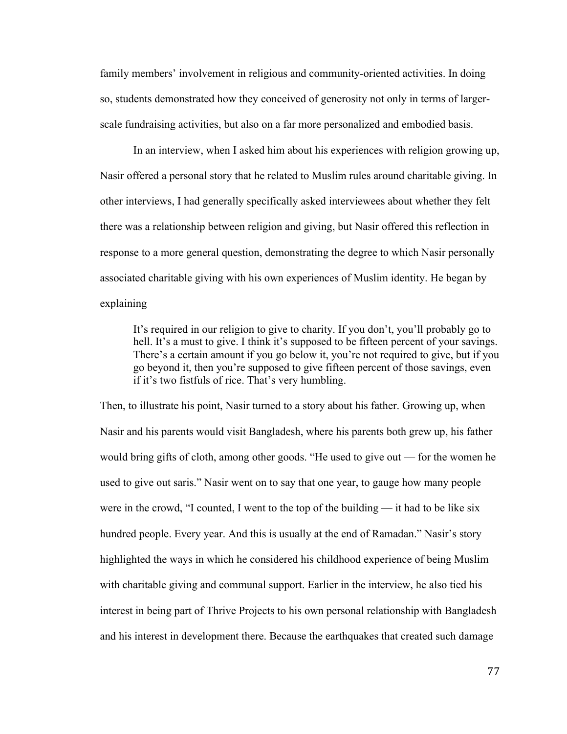family members' involvement in religious and community-oriented activities. In doing so, students demonstrated how they conceived of generosity not only in terms of largerscale fundraising activities, but also on a far more personalized and embodied basis.

In an interview, when I asked him about his experiences with religion growing up, Nasir offered a personal story that he related to Muslim rules around charitable giving. In other interviews, I had generally specifically asked interviewees about whether they felt there was a relationship between religion and giving, but Nasir offered this reflection in response to a more general question, demonstrating the degree to which Nasir personally associated charitable giving with his own experiences of Muslim identity. He began by explaining

It's required in our religion to give to charity. If you don't, you'll probably go to hell. It's a must to give. I think it's supposed to be fifteen percent of your savings. There's a certain amount if you go below it, you're not required to give, but if you go beyond it, then you're supposed to give fifteen percent of those savings, even if it's two fistfuls of rice. That's very humbling.

Then, to illustrate his point, Nasir turned to a story about his father. Growing up, when Nasir and his parents would visit Bangladesh, where his parents both grew up, his father would bring gifts of cloth, among other goods. "He used to give out — for the women he used to give out saris." Nasir went on to say that one year, to gauge how many people were in the crowd, "I counted, I went to the top of the building — it had to be like six hundred people. Every year. And this is usually at the end of Ramadan." Nasir's story highlighted the ways in which he considered his childhood experience of being Muslim with charitable giving and communal support. Earlier in the interview, he also tied his interest in being part of Thrive Projects to his own personal relationship with Bangladesh and his interest in development there. Because the earthquakes that created such damage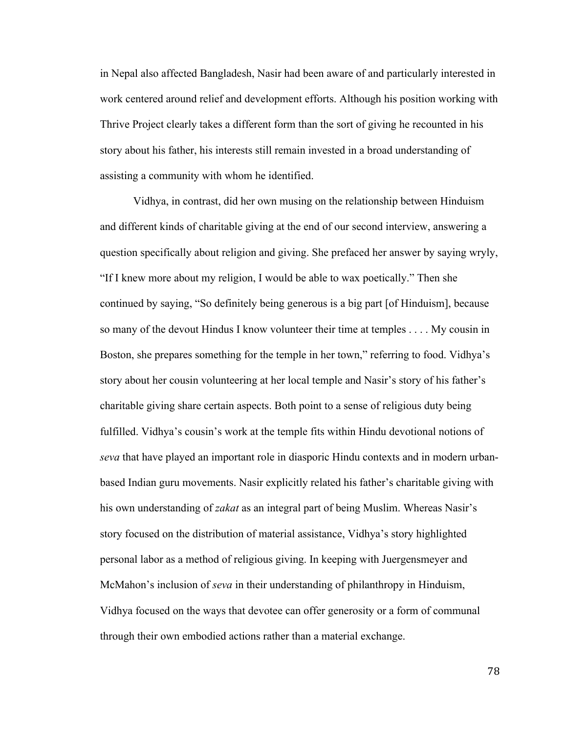in Nepal also affected Bangladesh, Nasir had been aware of and particularly interested in work centered around relief and development efforts. Although his position working with Thrive Project clearly takes a different form than the sort of giving he recounted in his story about his father, his interests still remain invested in a broad understanding of assisting a community with whom he identified.

Vidhya, in contrast, did her own musing on the relationship between Hinduism and different kinds of charitable giving at the end of our second interview, answering a question specifically about religion and giving. She prefaced her answer by saying wryly, "If I knew more about my religion, I would be able to wax poetically." Then she continued by saying, "So definitely being generous is a big part [of Hinduism], because so many of the devout Hindus I know volunteer their time at temples . . . . My cousin in Boston, she prepares something for the temple in her town," referring to food. Vidhya's story about her cousin volunteering at her local temple and Nasir's story of his father's charitable giving share certain aspects. Both point to a sense of religious duty being fulfilled. Vidhya's cousin's work at the temple fits within Hindu devotional notions of *seva* that have played an important role in diasporic Hindu contexts and in modern urbanbased Indian guru movements. Nasir explicitly related his father's charitable giving with his own understanding of *zakat* as an integral part of being Muslim. Whereas Nasir's story focused on the distribution of material assistance, Vidhya's story highlighted personal labor as a method of religious giving. In keeping with Juergensmeyer and McMahon's inclusion of *seva* in their understanding of philanthropy in Hinduism, Vidhya focused on the ways that devotee can offer generosity or a form of communal through their own embodied actions rather than a material exchange.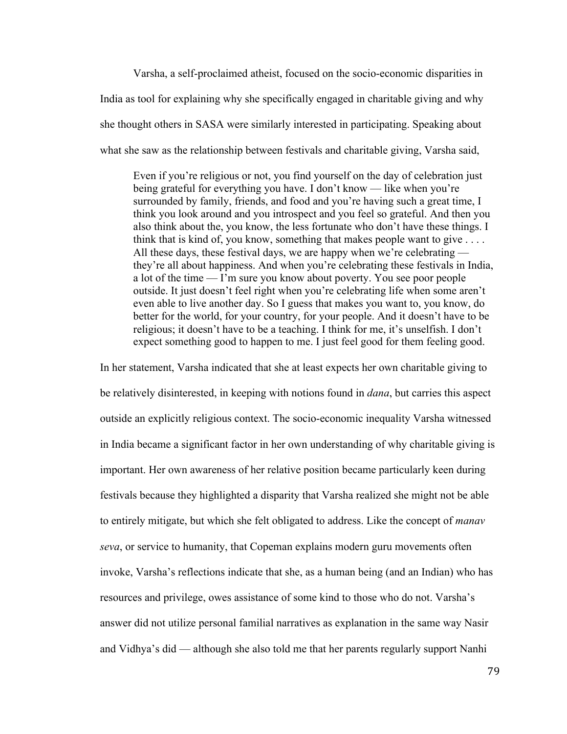Varsha, a self-proclaimed atheist, focused on the socio-economic disparities in India as tool for explaining why she specifically engaged in charitable giving and why she thought others in SASA were similarly interested in participating. Speaking about what she saw as the relationship between festivals and charitable giving, Varsha said,

Even if you're religious or not, you find yourself on the day of celebration just being grateful for everything you have. I don't know — like when you're surrounded by family, friends, and food and you're having such a great time, I think you look around and you introspect and you feel so grateful. And then you also think about the, you know, the less fortunate who don't have these things. I think that is kind of, you know, something that makes people want to give . . . . All these days, these festival days, we are happy when we're celebrating they're all about happiness. And when you're celebrating these festivals in India, a lot of the time — I'm sure you know about poverty. You see poor people outside. It just doesn't feel right when you're celebrating life when some aren't even able to live another day. So I guess that makes you want to, you know, do better for the world, for your country, for your people. And it doesn't have to be religious; it doesn't have to be a teaching. I think for me, it's unselfish. I don't expect something good to happen to me. I just feel good for them feeling good.

In her statement, Varsha indicated that she at least expects her own charitable giving to be relatively disinterested, in keeping with notions found in *dana*, but carries this aspect outside an explicitly religious context. The socio-economic inequality Varsha witnessed in India became a significant factor in her own understanding of why charitable giving is important. Her own awareness of her relative position became particularly keen during festivals because they highlighted a disparity that Varsha realized she might not be able to entirely mitigate, but which she felt obligated to address. Like the concept of *manav seva*, or service to humanity, that Copeman explains modern guru movements often invoke, Varsha's reflections indicate that she, as a human being (and an Indian) who has resources and privilege, owes assistance of some kind to those who do not. Varsha's answer did not utilize personal familial narratives as explanation in the same way Nasir and Vidhya's did — although she also told me that her parents regularly support Nanhi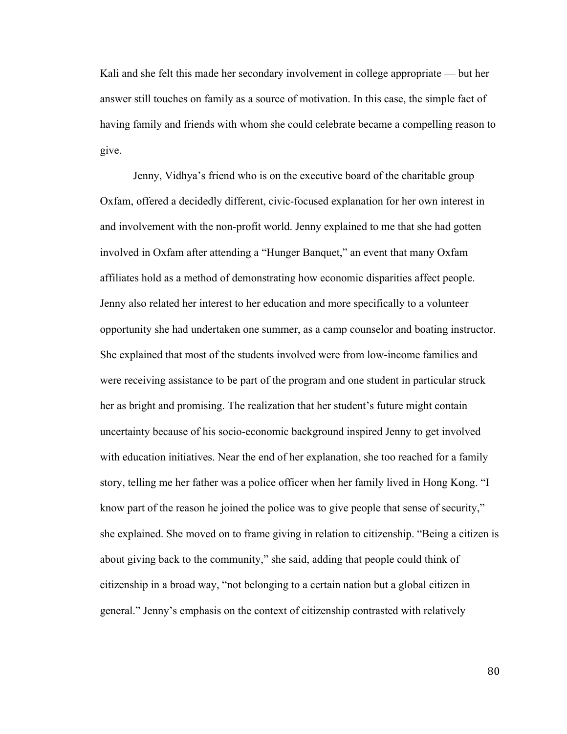Kali and she felt this made her secondary involvement in college appropriate — but her answer still touches on family as a source of motivation. In this case, the simple fact of having family and friends with whom she could celebrate became a compelling reason to give.

Jenny, Vidhya's friend who is on the executive board of the charitable group Oxfam, offered a decidedly different, civic-focused explanation for her own interest in and involvement with the non-profit world. Jenny explained to me that she had gotten involved in Oxfam after attending a "Hunger Banquet," an event that many Oxfam affiliates hold as a method of demonstrating how economic disparities affect people. Jenny also related her interest to her education and more specifically to a volunteer opportunity she had undertaken one summer, as a camp counselor and boating instructor. She explained that most of the students involved were from low-income families and were receiving assistance to be part of the program and one student in particular struck her as bright and promising. The realization that her student's future might contain uncertainty because of his socio-economic background inspired Jenny to get involved with education initiatives. Near the end of her explanation, she too reached for a family story, telling me her father was a police officer when her family lived in Hong Kong. "I know part of the reason he joined the police was to give people that sense of security," she explained. She moved on to frame giving in relation to citizenship. "Being a citizen is about giving back to the community," she said, adding that people could think of citizenship in a broad way, "not belonging to a certain nation but a global citizen in general." Jenny's emphasis on the context of citizenship contrasted with relatively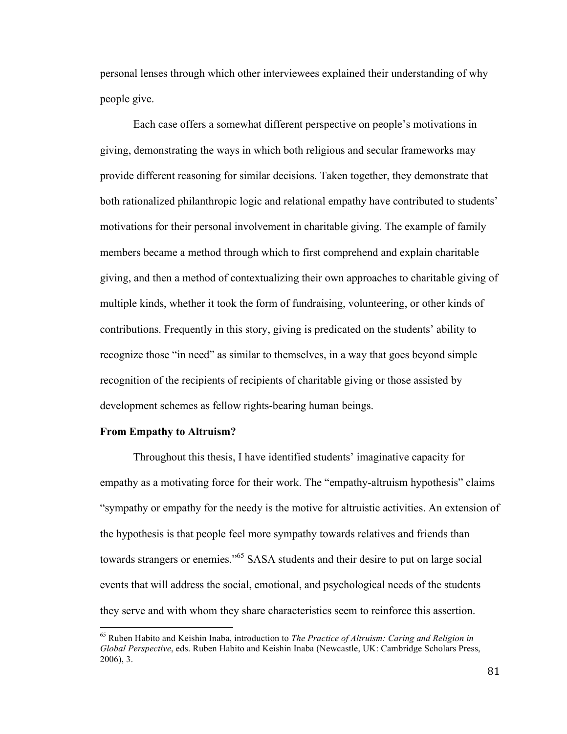personal lenses through which other interviewees explained their understanding of why people give.

Each case offers a somewhat different perspective on people's motivations in giving, demonstrating the ways in which both religious and secular frameworks may provide different reasoning for similar decisions. Taken together, they demonstrate that both rationalized philanthropic logic and relational empathy have contributed to students' motivations for their personal involvement in charitable giving. The example of family members became a method through which to first comprehend and explain charitable giving, and then a method of contextualizing their own approaches to charitable giving of multiple kinds, whether it took the form of fundraising, volunteering, or other kinds of contributions. Frequently in this story, giving is predicated on the students' ability to recognize those "in need" as similar to themselves, in a way that goes beyond simple recognition of the recipients of recipients of charitable giving or those assisted by development schemes as fellow rights-bearing human beings.

### **From Empathy to Altruism?**

Throughout this thesis, I have identified students' imaginative capacity for empathy as a motivating force for their work. The "empathy-altruism hypothesis" claims "sympathy or empathy for the needy is the motive for altruistic activities. An extension of the hypothesis is that people feel more sympathy towards relatives and friends than towards strangers or enemies."<sup>65</sup> SASA students and their desire to put on large social events that will address the social, emotional, and psychological needs of the students they serve and with whom they share characteristics seem to reinforce this assertion.

<sup>65</sup> Ruben Habito and Keishin Inaba, introduction to *The Practice of Altruism: Caring and Religion in Global Perspective*, eds. Ruben Habito and Keishin Inaba (Newcastle, UK: Cambridge Scholars Press, 2006), 3.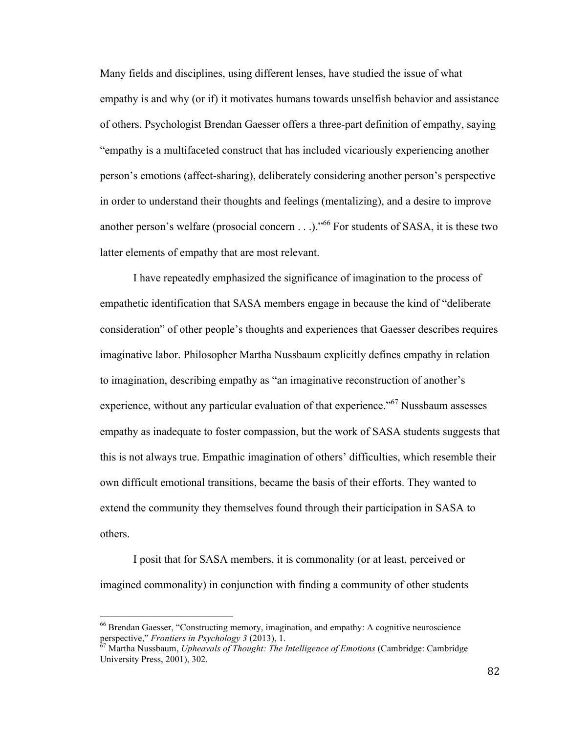Many fields and disciplines, using different lenses, have studied the issue of what empathy is and why (or if) it motivates humans towards unselfish behavior and assistance of others. Psychologist Brendan Gaesser offers a three-part definition of empathy, saying "empathy is a multifaceted construct that has included vicariously experiencing another person's emotions (affect-sharing), deliberately considering another person's perspective in order to understand their thoughts and feelings (mentalizing), and a desire to improve another person's welfare (prosocial concern  $\dots$ ).<sup> $,66$ </sup> For students of SASA, it is these two latter elements of empathy that are most relevant.

I have repeatedly emphasized the significance of imagination to the process of empathetic identification that SASA members engage in because the kind of "deliberate consideration" of other people's thoughts and experiences that Gaesser describes requires imaginative labor. Philosopher Martha Nussbaum explicitly defines empathy in relation to imagination, describing empathy as "an imaginative reconstruction of another's experience, without any particular evaluation of that experience."<sup>67</sup> Nussbaum assesses empathy as inadequate to foster compassion, but the work of SASA students suggests that this is not always true. Empathic imagination of others' difficulties, which resemble their own difficult emotional transitions, became the basis of their efforts. They wanted to extend the community they themselves found through their participation in SASA to others.

I posit that for SASA members, it is commonality (or at least, perceived or imagined commonality) in conjunction with finding a community of other students

<sup>&</sup>lt;sup>66</sup> Brendan Gaesser, "Constructing memory, imagination, and empathy: A cognitive neuroscience perspective," *Frontiers in Psychology* 3 (2013), 1.

 $^{67}$  Martha Nussbaum, *Upheavals of Thought: The Intelligence of Emotions* (Cambridge: Cambridge University Press, 2001), 302.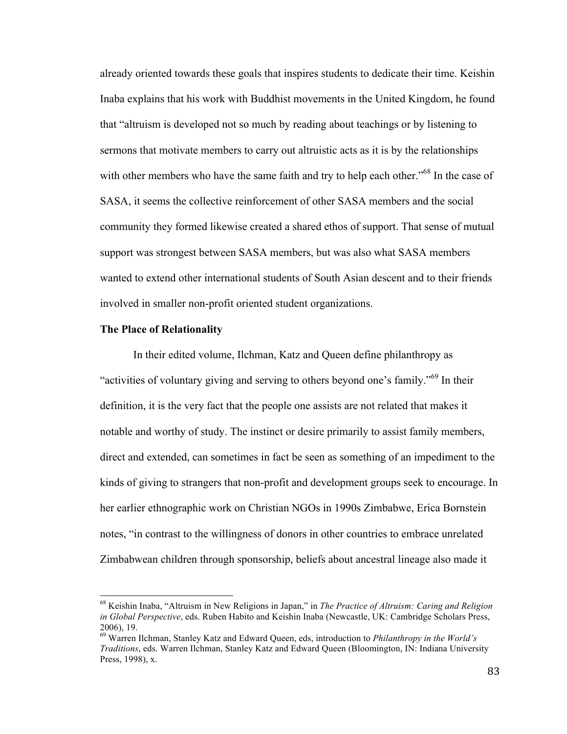already oriented towards these goals that inspires students to dedicate their time. Keishin Inaba explains that his work with Buddhist movements in the United Kingdom, he found that "altruism is developed not so much by reading about teachings or by listening to sermons that motivate members to carry out altruistic acts as it is by the relationships with other members who have the same faith and try to help each other."<sup>68</sup> In the case of SASA, it seems the collective reinforcement of other SASA members and the social community they formed likewise created a shared ethos of support. That sense of mutual support was strongest between SASA members, but was also what SASA members wanted to extend other international students of South Asian descent and to their friends involved in smaller non-profit oriented student organizations.

#### **The Place of Relationality**

In their edited volume, Ilchman, Katz and Queen define philanthropy as "activities of voluntary giving and serving to others beyond one's family."<sup>69</sup> In their definition, it is the very fact that the people one assists are not related that makes it notable and worthy of study. The instinct or desire primarily to assist family members, direct and extended, can sometimes in fact be seen as something of an impediment to the kinds of giving to strangers that non-profit and development groups seek to encourage. In her earlier ethnographic work on Christian NGOs in 1990s Zimbabwe, Erica Bornstein notes, "in contrast to the willingness of donors in other countries to embrace unrelated Zimbabwean children through sponsorship, beliefs about ancestral lineage also made it

<sup>68</sup> Keishin Inaba, "Altruism in New Religions in Japan," in *The Practice of Altruism: Caring and Religion in Global Perspective*, eds. Ruben Habito and Keishin Inaba (Newcastle, UK: Cambridge Scholars Press, 2006), 19.

<sup>69</sup> Warren Ilchman, Stanley Katz and Edward Queen, eds, introduction to *Philanthropy in the World's Traditions*, eds. Warren Ilchman, Stanley Katz and Edward Queen (Bloomington, IN: Indiana University Press, 1998), x.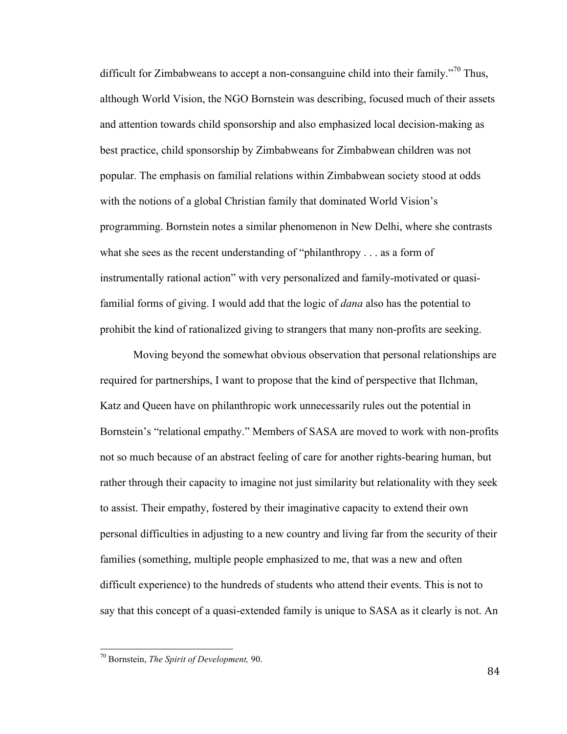difficult for Zimbabweans to accept a non-consanguine child into their family.<sup> $70$ </sup> Thus, although World Vision, the NGO Bornstein was describing, focused much of their assets and attention towards child sponsorship and also emphasized local decision-making as best practice, child sponsorship by Zimbabweans for Zimbabwean children was not popular. The emphasis on familial relations within Zimbabwean society stood at odds with the notions of a global Christian family that dominated World Vision's programming. Bornstein notes a similar phenomenon in New Delhi, where she contrasts what she sees as the recent understanding of "philanthropy . . . as a form of instrumentally rational action" with very personalized and family-motivated or quasifamilial forms of giving. I would add that the logic of *dana* also has the potential to prohibit the kind of rationalized giving to strangers that many non-profits are seeking.

Moving beyond the somewhat obvious observation that personal relationships are required for partnerships, I want to propose that the kind of perspective that Ilchman, Katz and Queen have on philanthropic work unnecessarily rules out the potential in Bornstein's "relational empathy." Members of SASA are moved to work with non-profits not so much because of an abstract feeling of care for another rights-bearing human, but rather through their capacity to imagine not just similarity but relationality with they seek to assist. Their empathy, fostered by their imaginative capacity to extend their own personal difficulties in adjusting to a new country and living far from the security of their families (something, multiple people emphasized to me, that was a new and often difficult experience) to the hundreds of students who attend their events. This is not to say that this concept of a quasi-extended family is unique to SASA as it clearly is not. An

<sup>70</sup> Bornstein, *The Spirit of Development,* 90.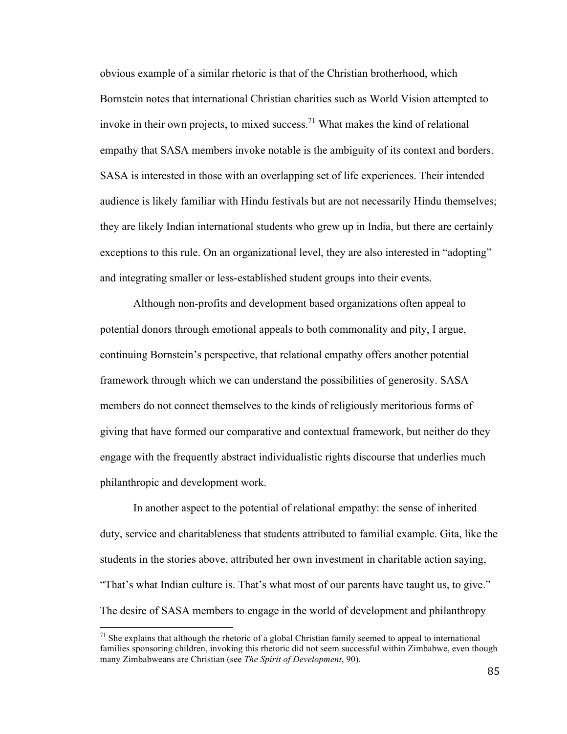obvious example of a similar rhetoric is that of the Christian brotherhood, which Bornstein notes that international Christian charities such as World Vision attempted to invoke in their own projects, to mixed success.<sup>71</sup> What makes the kind of relational empathy that SASA members invoke notable is the ambiguity of its context and borders. SASA is interested in those with an overlapping set of life experiences. Their intended audience is likely familiar with Hindu festivals but are not necessarily Hindu themselves; they are likely Indian international students who grew up in India, but there are certainly exceptions to this rule. On an organizational level, they are also interested in "adopting" and integrating smaller or less-established student groups into their events.

Although non-profits and development based organizations often appeal to potential donors through emotional appeals to both commonality and pity, I argue, continuing Bornstein's perspective, that relational empathy offers another potential framework through which we can understand the possibilities of generosity. SASA members do not connect themselves to the kinds of religiously meritorious forms of giving that have formed our comparative and contextual framework, but neither do they engage with the frequently abstract individualistic rights discourse that underlies much philanthropic and development work.

In another aspect to the potential of relational empathy: the sense of inherited duty, service and charitableness that students attributed to familial example. Gita, like the students in the stories above, attributed her own investment in charitable action saying, "That's what Indian culture is. That's what most of our parents have taught us, to give." The desire of SASA members to engage in the world of development and philanthropy

 $71$  She explains that although the rhetoric of a global Christian family seemed to appeal to international families sponsoring children, invoking this rhetoric did not seem successful within Zimbabwe, even though many Zimbabweans are Christian (see *The Spirit of Development*, 90).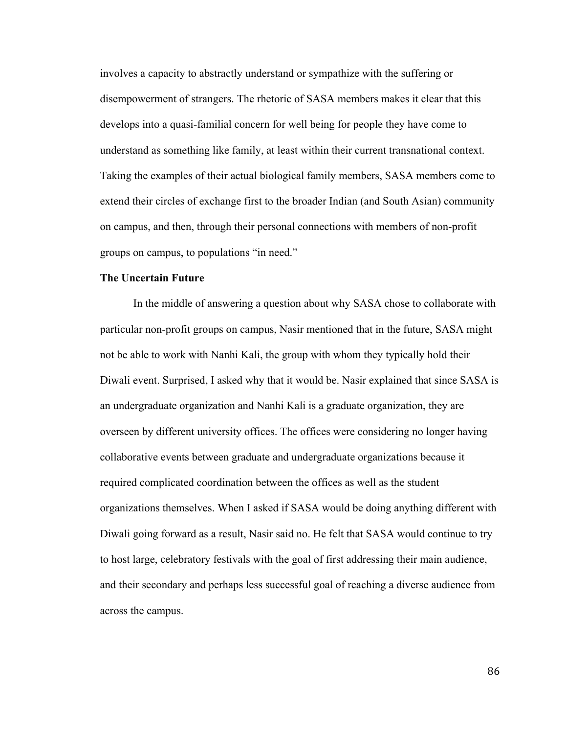involves a capacity to abstractly understand or sympathize with the suffering or disempowerment of strangers. The rhetoric of SASA members makes it clear that this develops into a quasi-familial concern for well being for people they have come to understand as something like family, at least within their current transnational context. Taking the examples of their actual biological family members, SASA members come to extend their circles of exchange first to the broader Indian (and South Asian) community on campus, and then, through their personal connections with members of non-profit groups on campus, to populations "in need."

# **The Uncertain Future**

In the middle of answering a question about why SASA chose to collaborate with particular non-profit groups on campus, Nasir mentioned that in the future, SASA might not be able to work with Nanhi Kali, the group with whom they typically hold their Diwali event. Surprised, I asked why that it would be. Nasir explained that since SASA is an undergraduate organization and Nanhi Kali is a graduate organization, they are overseen by different university offices. The offices were considering no longer having collaborative events between graduate and undergraduate organizations because it required complicated coordination between the offices as well as the student organizations themselves. When I asked if SASA would be doing anything different with Diwali going forward as a result, Nasir said no. He felt that SASA would continue to try to host large, celebratory festivals with the goal of first addressing their main audience, and their secondary and perhaps less successful goal of reaching a diverse audience from across the campus.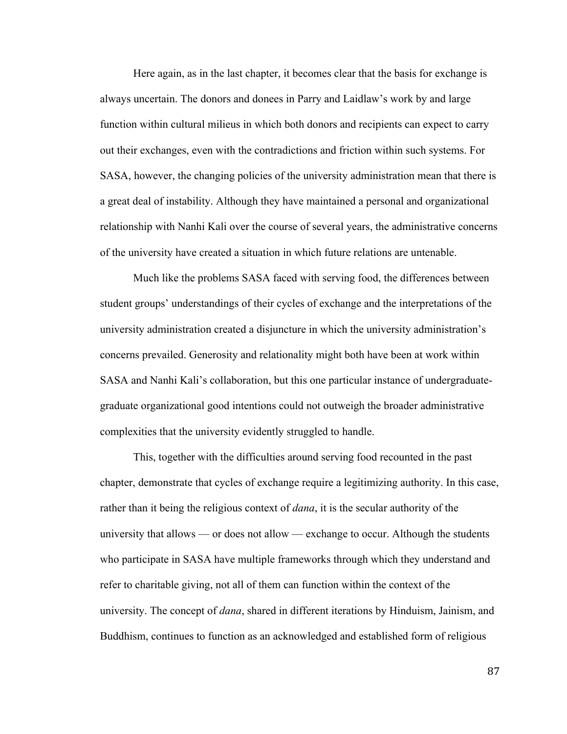Here again, as in the last chapter, it becomes clear that the basis for exchange is always uncertain. The donors and donees in Parry and Laidlaw's work by and large function within cultural milieus in which both donors and recipients can expect to carry out their exchanges, even with the contradictions and friction within such systems. For SASA, however, the changing policies of the university administration mean that there is a great deal of instability. Although they have maintained a personal and organizational relationship with Nanhi Kali over the course of several years, the administrative concerns of the university have created a situation in which future relations are untenable.

Much like the problems SASA faced with serving food, the differences between student groups' understandings of their cycles of exchange and the interpretations of the university administration created a disjuncture in which the university administration's concerns prevailed. Generosity and relationality might both have been at work within SASA and Nanhi Kali's collaboration, but this one particular instance of undergraduategraduate organizational good intentions could not outweigh the broader administrative complexities that the university evidently struggled to handle.

This, together with the difficulties around serving food recounted in the past chapter, demonstrate that cycles of exchange require a legitimizing authority. In this case, rather than it being the religious context of *dana*, it is the secular authority of the university that allows — or does not allow — exchange to occur. Although the students who participate in SASA have multiple frameworks through which they understand and refer to charitable giving, not all of them can function within the context of the university. The concept of *dana*, shared in different iterations by Hinduism, Jainism, and Buddhism, continues to function as an acknowledged and established form of religious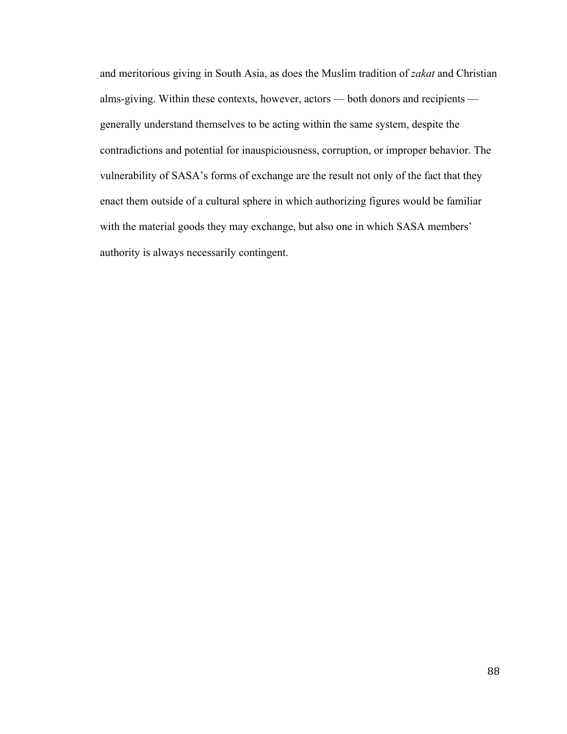and meritorious giving in South Asia, as does the Muslim tradition of *zakat* and Christian alms-giving. Within these contexts, however, actors — both donors and recipients generally understand themselves to be acting within the same system, despite the contradictions and potential for inauspiciousness, corruption, or improper behavior. The vulnerability of SASA's forms of exchange are the result not only of the fact that they enact them outside of a cultural sphere in which authorizing figures would be familiar with the material goods they may exchange, but also one in which SASA members' authority is always necessarily contingent.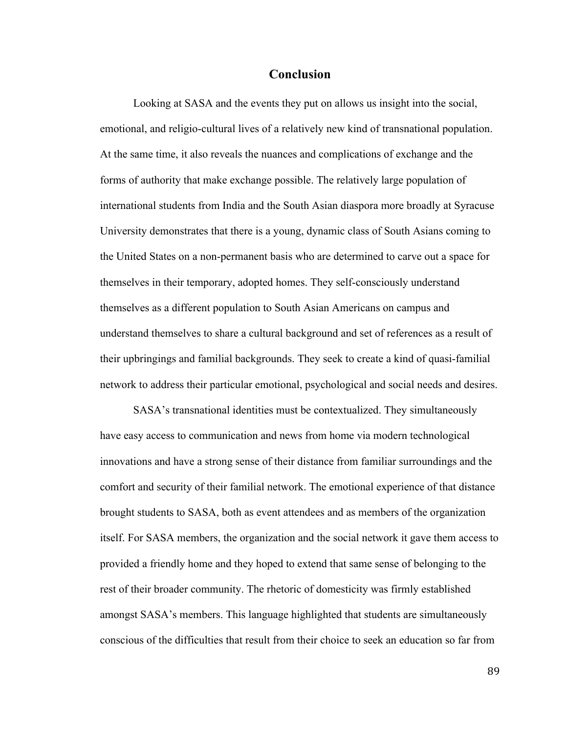# **Conclusion**

Looking at SASA and the events they put on allows us insight into the social, emotional, and religio-cultural lives of a relatively new kind of transnational population. At the same time, it also reveals the nuances and complications of exchange and the forms of authority that make exchange possible. The relatively large population of international students from India and the South Asian diaspora more broadly at Syracuse University demonstrates that there is a young, dynamic class of South Asians coming to the United States on a non-permanent basis who are determined to carve out a space for themselves in their temporary, adopted homes. They self-consciously understand themselves as a different population to South Asian Americans on campus and understand themselves to share a cultural background and set of references as a result of their upbringings and familial backgrounds. They seek to create a kind of quasi-familial network to address their particular emotional, psychological and social needs and desires.

SASA's transnational identities must be contextualized. They simultaneously have easy access to communication and news from home via modern technological innovations and have a strong sense of their distance from familiar surroundings and the comfort and security of their familial network. The emotional experience of that distance brought students to SASA, both as event attendees and as members of the organization itself. For SASA members, the organization and the social network it gave them access to provided a friendly home and they hoped to extend that same sense of belonging to the rest of their broader community. The rhetoric of domesticity was firmly established amongst SASA's members. This language highlighted that students are simultaneously conscious of the difficulties that result from their choice to seek an education so far from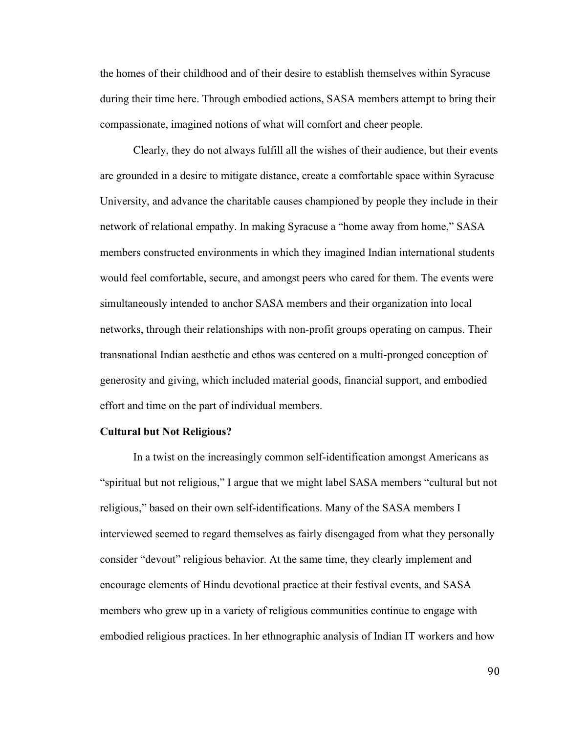the homes of their childhood and of their desire to establish themselves within Syracuse during their time here. Through embodied actions, SASA members attempt to bring their compassionate, imagined notions of what will comfort and cheer people.

Clearly, they do not always fulfill all the wishes of their audience, but their events are grounded in a desire to mitigate distance, create a comfortable space within Syracuse University, and advance the charitable causes championed by people they include in their network of relational empathy. In making Syracuse a "home away from home," SASA members constructed environments in which they imagined Indian international students would feel comfortable, secure, and amongst peers who cared for them. The events were simultaneously intended to anchor SASA members and their organization into local networks, through their relationships with non-profit groups operating on campus. Their transnational Indian aesthetic and ethos was centered on a multi-pronged conception of generosity and giving, which included material goods, financial support, and embodied effort and time on the part of individual members.

### **Cultural but Not Religious?**

In a twist on the increasingly common self-identification amongst Americans as "spiritual but not religious," I argue that we might label SASA members "cultural but not religious," based on their own self-identifications. Many of the SASA members I interviewed seemed to regard themselves as fairly disengaged from what they personally consider "devout" religious behavior. At the same time, they clearly implement and encourage elements of Hindu devotional practice at their festival events, and SASA members who grew up in a variety of religious communities continue to engage with embodied religious practices. In her ethnographic analysis of Indian IT workers and how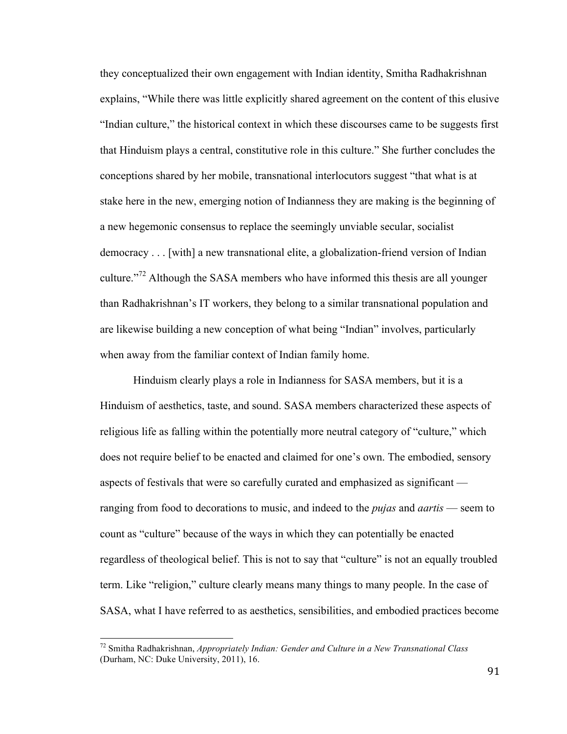they conceptualized their own engagement with Indian identity, Smitha Radhakrishnan explains, "While there was little explicitly shared agreement on the content of this elusive "Indian culture," the historical context in which these discourses came to be suggests first that Hinduism plays a central, constitutive role in this culture." She further concludes the conceptions shared by her mobile, transnational interlocutors suggest "that what is at stake here in the new, emerging notion of Indianness they are making is the beginning of a new hegemonic consensus to replace the seemingly unviable secular, socialist democracy . . . [with] a new transnational elite, a globalization-friend version of Indian culture."<sup>72</sup> Although the SASA members who have informed this thesis are all younger than Radhakrishnan's IT workers, they belong to a similar transnational population and are likewise building a new conception of what being "Indian" involves, particularly when away from the familiar context of Indian family home.

Hinduism clearly plays a role in Indianness for SASA members, but it is a Hinduism of aesthetics, taste, and sound. SASA members characterized these aspects of religious life as falling within the potentially more neutral category of "culture," which does not require belief to be enacted and claimed for one's own. The embodied, sensory aspects of festivals that were so carefully curated and emphasized as significant ranging from food to decorations to music, and indeed to the *pujas* and *aartis* — seem to count as "culture" because of the ways in which they can potentially be enacted regardless of theological belief. This is not to say that "culture" is not an equally troubled term. Like "religion," culture clearly means many things to many people. In the case of SASA, what I have referred to as aesthetics, sensibilities, and embodied practices become

<sup>72</sup> Smitha Radhakrishnan, *Appropriately Indian: Gender and Culture in a New Transnational Class* (Durham, NC: Duke University, 2011), 16.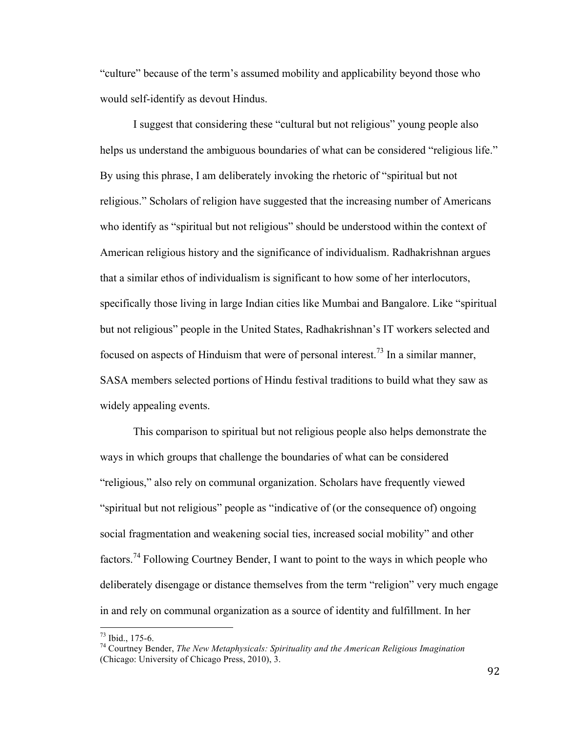"culture" because of the term's assumed mobility and applicability beyond those who would self-identify as devout Hindus.

I suggest that considering these "cultural but not religious" young people also helps us understand the ambiguous boundaries of what can be considered "religious life." By using this phrase, I am deliberately invoking the rhetoric of "spiritual but not religious." Scholars of religion have suggested that the increasing number of Americans who identify as "spiritual but not religious" should be understood within the context of American religious history and the significance of individualism. Radhakrishnan argues that a similar ethos of individualism is significant to how some of her interlocutors, specifically those living in large Indian cities like Mumbai and Bangalore. Like "spiritual but not religious" people in the United States, Radhakrishnan's IT workers selected and focused on aspects of Hinduism that were of personal interest.<sup>73</sup> In a similar manner, SASA members selected portions of Hindu festival traditions to build what they saw as widely appealing events.

This comparison to spiritual but not religious people also helps demonstrate the ways in which groups that challenge the boundaries of what can be considered "religious," also rely on communal organization. Scholars have frequently viewed "spiritual but not religious" people as "indicative of (or the consequence of) ongoing social fragmentation and weakening social ties, increased social mobility" and other factors.<sup>74</sup> Following Courtney Bender, I want to point to the ways in which people who deliberately disengage or distance themselves from the term "religion" very much engage in and rely on communal organization as a source of identity and fulfillment. In her

<sup>&</sup>lt;sup>73</sup> Ibid., 175-6.<br><sup>74</sup> Courtney Bender, *The New Metaphysicals: Spirituality and the American Religious Imagination* (Chicago: University of Chicago Press, 2010), 3.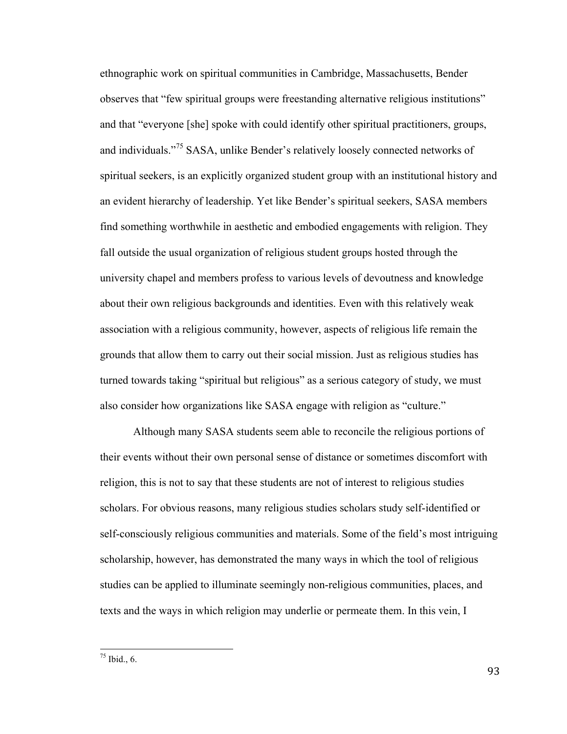ethnographic work on spiritual communities in Cambridge, Massachusetts, Bender observes that "few spiritual groups were freestanding alternative religious institutions" and that "everyone [she] spoke with could identify other spiritual practitioners, groups, and individuals."<sup>75</sup> SASA, unlike Bender's relatively loosely connected networks of spiritual seekers, is an explicitly organized student group with an institutional history and an evident hierarchy of leadership. Yet like Bender's spiritual seekers, SASA members find something worthwhile in aesthetic and embodied engagements with religion. They fall outside the usual organization of religious student groups hosted through the university chapel and members profess to various levels of devoutness and knowledge about their own religious backgrounds and identities. Even with this relatively weak association with a religious community, however, aspects of religious life remain the grounds that allow them to carry out their social mission. Just as religious studies has turned towards taking "spiritual but religious" as a serious category of study, we must also consider how organizations like SASA engage with religion as "culture."

Although many SASA students seem able to reconcile the religious portions of their events without their own personal sense of distance or sometimes discomfort with religion, this is not to say that these students are not of interest to religious studies scholars. For obvious reasons, many religious studies scholars study self-identified or self-consciously religious communities and materials. Some of the field's most intriguing scholarship, however, has demonstrated the many ways in which the tool of religious studies can be applied to illuminate seemingly non-religious communities, places, and texts and the ways in which religion may underlie or permeate them. In this vein, I

 $75$  Ibid., 6.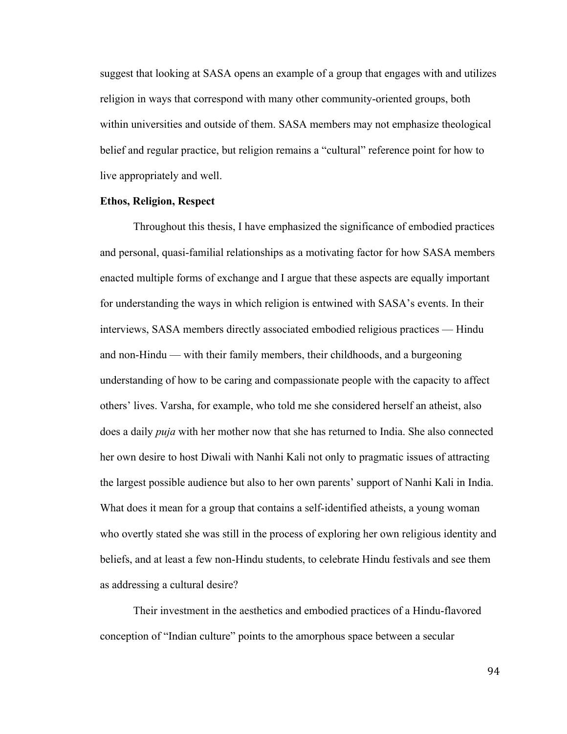suggest that looking at SASA opens an example of a group that engages with and utilizes religion in ways that correspond with many other community-oriented groups, both within universities and outside of them. SASA members may not emphasize theological belief and regular practice, but religion remains a "cultural" reference point for how to live appropriately and well.

# **Ethos, Religion, Respect**

Throughout this thesis, I have emphasized the significance of embodied practices and personal, quasi-familial relationships as a motivating factor for how SASA members enacted multiple forms of exchange and I argue that these aspects are equally important for understanding the ways in which religion is entwined with SASA's events. In their interviews, SASA members directly associated embodied religious practices — Hindu and non-Hindu — with their family members, their childhoods, and a burgeoning understanding of how to be caring and compassionate people with the capacity to affect others' lives. Varsha, for example, who told me she considered herself an atheist, also does a daily *puja* with her mother now that she has returned to India. She also connected her own desire to host Diwali with Nanhi Kali not only to pragmatic issues of attracting the largest possible audience but also to her own parents' support of Nanhi Kali in India. What does it mean for a group that contains a self-identified atheists, a young woman who overtly stated she was still in the process of exploring her own religious identity and beliefs, and at least a few non-Hindu students, to celebrate Hindu festivals and see them as addressing a cultural desire?

Their investment in the aesthetics and embodied practices of a Hindu-flavored conception of "Indian culture" points to the amorphous space between a secular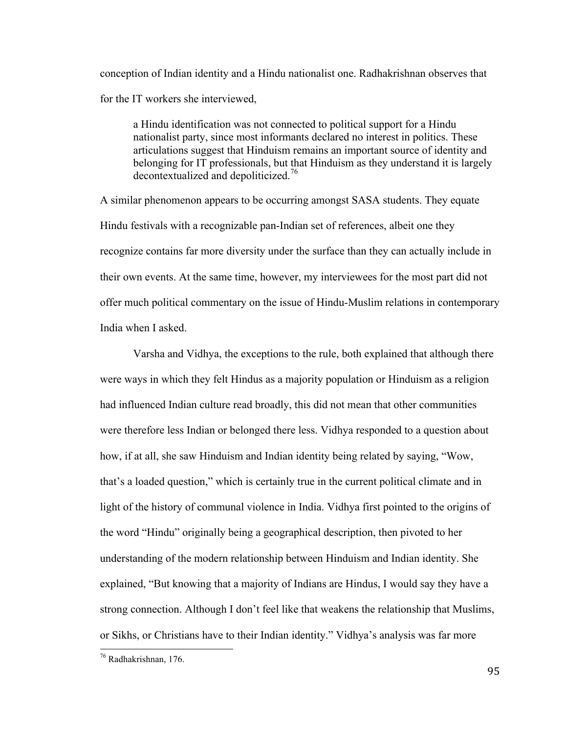conception of Indian identity and a Hindu nationalist one. Radhakrishnan observes that for the IT workers she interviewed,

a Hindu identification was not connected to political support for a Hindu nationalist party, since most informants declared no interest in politics. These articulations suggest that Hinduism remains an important source of identity and belonging for IT professionals, but that Hinduism as they understand it is largely decontextualized and depoliticized.<sup>76</sup>

A similar phenomenon appears to be occurring amongst SASA students. They equate Hindu festivals with a recognizable pan-Indian set of references, albeit one they recognize contains far more diversity under the surface than they can actually include in their own events. At the same time, however, my interviewees for the most part did not offer much political commentary on the issue of Hindu-Muslim relations in contemporary India when I asked.

Varsha and Vidhya, the exceptions to the rule, both explained that although there were ways in which they felt Hindus as a majority population or Hinduism as a religion had influenced Indian culture read broadly, this did not mean that other communities were therefore less Indian or belonged there less. Vidhya responded to a question about how, if at all, she saw Hinduism and Indian identity being related by saying, "Wow, that's a loaded question," which is certainly true in the current political climate and in light of the history of communal violence in India. Vidhya first pointed to the origins of the word "Hindu" originally being a geographical description, then pivoted to her understanding of the modern relationship between Hinduism and Indian identity. She explained, "But knowing that a majority of Indians are Hindus, I would say they have a strong connection. Although I don't feel like that weakens the relationship that Muslims, or Sikhs, or Christians have to their Indian identity." Vidhya's analysis was far more

<sup>76</sup> Radhakrishnan, 176.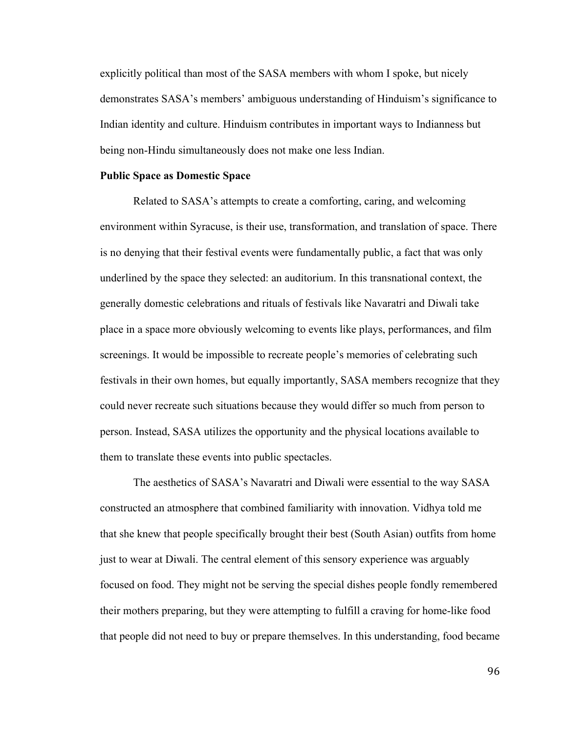explicitly political than most of the SASA members with whom I spoke, but nicely demonstrates SASA's members' ambiguous understanding of Hinduism's significance to Indian identity and culture. Hinduism contributes in important ways to Indianness but being non-Hindu simultaneously does not make one less Indian.

#### **Public Space as Domestic Space**

Related to SASA's attempts to create a comforting, caring, and welcoming environment within Syracuse, is their use, transformation, and translation of space. There is no denying that their festival events were fundamentally public, a fact that was only underlined by the space they selected: an auditorium. In this transnational context, the generally domestic celebrations and rituals of festivals like Navaratri and Diwali take place in a space more obviously welcoming to events like plays, performances, and film screenings. It would be impossible to recreate people's memories of celebrating such festivals in their own homes, but equally importantly, SASA members recognize that they could never recreate such situations because they would differ so much from person to person. Instead, SASA utilizes the opportunity and the physical locations available to them to translate these events into public spectacles.

The aesthetics of SASA's Navaratri and Diwali were essential to the way SASA constructed an atmosphere that combined familiarity with innovation. Vidhya told me that she knew that people specifically brought their best (South Asian) outfits from home just to wear at Diwali. The central element of this sensory experience was arguably focused on food. They might not be serving the special dishes people fondly remembered their mothers preparing, but they were attempting to fulfill a craving for home-like food that people did not need to buy or prepare themselves. In this understanding, food became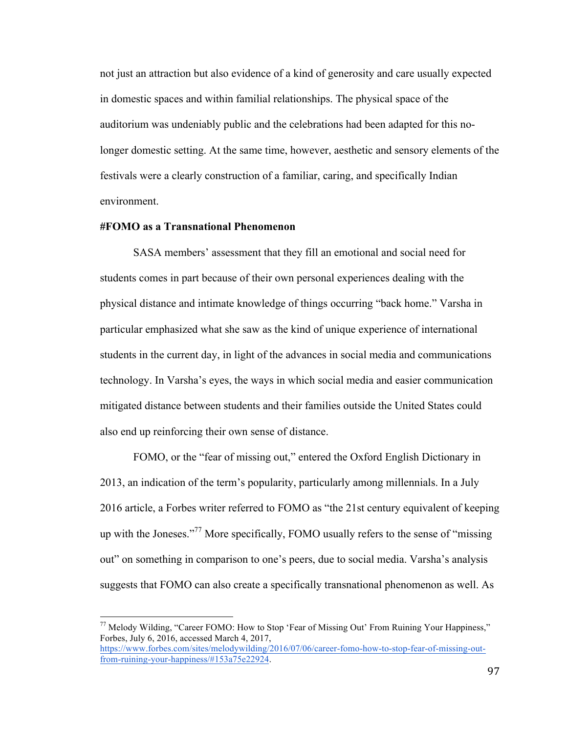not just an attraction but also evidence of a kind of generosity and care usually expected in domestic spaces and within familial relationships. The physical space of the auditorium was undeniably public and the celebrations had been adapted for this nolonger domestic setting. At the same time, however, aesthetic and sensory elements of the festivals were a clearly construction of a familiar, caring, and specifically Indian environment.

# **#FOMO as a Transnational Phenomenon**

SASA members' assessment that they fill an emotional and social need for students comes in part because of their own personal experiences dealing with the physical distance and intimate knowledge of things occurring "back home." Varsha in particular emphasized what she saw as the kind of unique experience of international students in the current day, in light of the advances in social media and communications technology. In Varsha's eyes, the ways in which social media and easier communication mitigated distance between students and their families outside the United States could also end up reinforcing their own sense of distance.

FOMO, or the "fear of missing out," entered the Oxford English Dictionary in 2013, an indication of the term's popularity, particularly among millennials. In a July 2016 article, a Forbes writer referred to FOMO as "the 21st century equivalent of keeping up with the Joneses."<sup>77</sup> More specifically, FOMO usually refers to the sense of "missing out" on something in comparison to one's peers, due to social media. Varsha's analysis suggests that FOMO can also create a specifically transnational phenomenon as well. As

<sup>&</sup>lt;sup>77</sup> Melody Wilding, "Career FOMO: How to Stop 'Fear of Missing Out' From Ruining Your Happiness," Forbes, July 6, 2016, accessed March 4, 2017, https://www.forbes.com/sites/melodywilding/2016/07/06/career-fomo-how-to-stop-fear-of-missing-outfrom-ruining-your-happiness/#153a75e22924.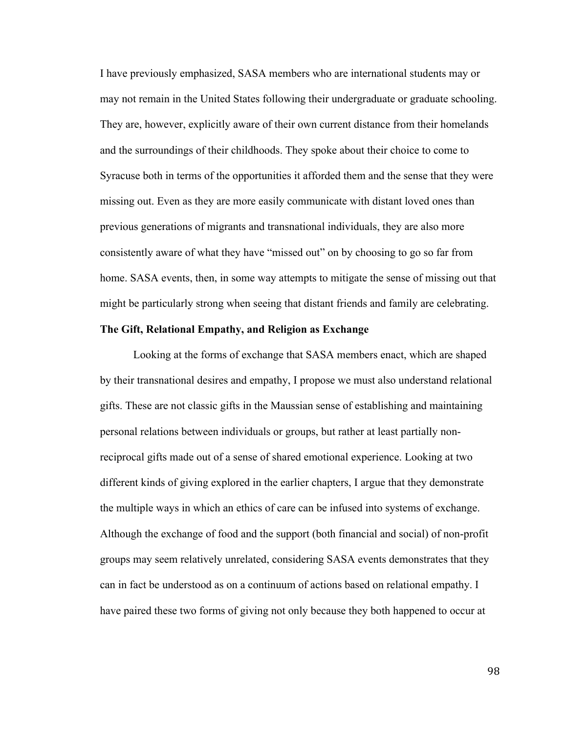I have previously emphasized, SASA members who are international students may or may not remain in the United States following their undergraduate or graduate schooling. They are, however, explicitly aware of their own current distance from their homelands and the surroundings of their childhoods. They spoke about their choice to come to Syracuse both in terms of the opportunities it afforded them and the sense that they were missing out. Even as they are more easily communicate with distant loved ones than previous generations of migrants and transnational individuals, they are also more consistently aware of what they have "missed out" on by choosing to go so far from home. SASA events, then, in some way attempts to mitigate the sense of missing out that might be particularly strong when seeing that distant friends and family are celebrating.

# **The Gift, Relational Empathy, and Religion as Exchange**

Looking at the forms of exchange that SASA members enact, which are shaped by their transnational desires and empathy, I propose we must also understand relational gifts. These are not classic gifts in the Maussian sense of establishing and maintaining personal relations between individuals or groups, but rather at least partially nonreciprocal gifts made out of a sense of shared emotional experience. Looking at two different kinds of giving explored in the earlier chapters, I argue that they demonstrate the multiple ways in which an ethics of care can be infused into systems of exchange. Although the exchange of food and the support (both financial and social) of non-profit groups may seem relatively unrelated, considering SASA events demonstrates that they can in fact be understood as on a continuum of actions based on relational empathy. I have paired these two forms of giving not only because they both happened to occur at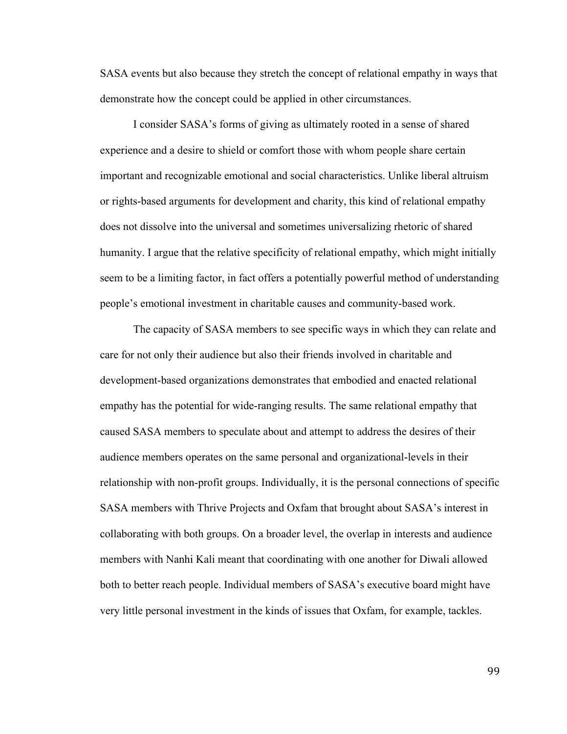SASA events but also because they stretch the concept of relational empathy in ways that demonstrate how the concept could be applied in other circumstances.

I consider SASA's forms of giving as ultimately rooted in a sense of shared experience and a desire to shield or comfort those with whom people share certain important and recognizable emotional and social characteristics. Unlike liberal altruism or rights-based arguments for development and charity, this kind of relational empathy does not dissolve into the universal and sometimes universalizing rhetoric of shared humanity. I argue that the relative specificity of relational empathy, which might initially seem to be a limiting factor, in fact offers a potentially powerful method of understanding people's emotional investment in charitable causes and community-based work.

The capacity of SASA members to see specific ways in which they can relate and care for not only their audience but also their friends involved in charitable and development-based organizations demonstrates that embodied and enacted relational empathy has the potential for wide-ranging results. The same relational empathy that caused SASA members to speculate about and attempt to address the desires of their audience members operates on the same personal and organizational-levels in their relationship with non-profit groups. Individually, it is the personal connections of specific SASA members with Thrive Projects and Oxfam that brought about SASA's interest in collaborating with both groups. On a broader level, the overlap in interests and audience members with Nanhi Kali meant that coordinating with one another for Diwali allowed both to better reach people. Individual members of SASA's executive board might have very little personal investment in the kinds of issues that Oxfam, for example, tackles.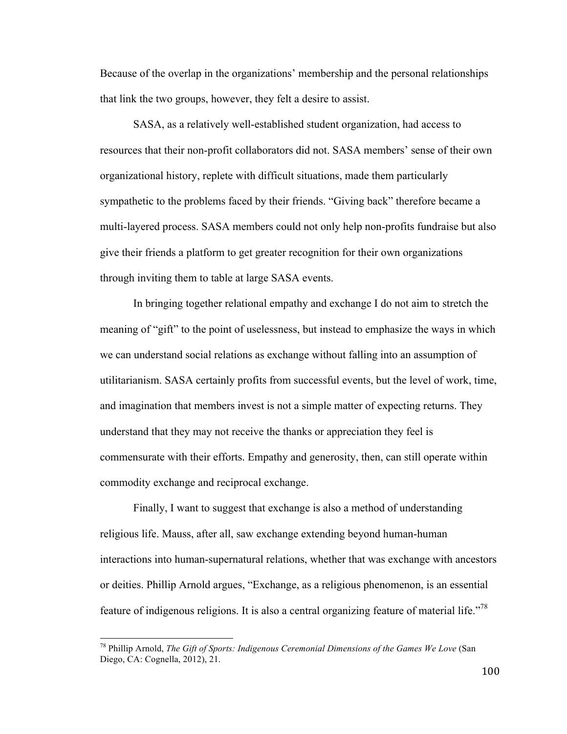Because of the overlap in the organizations' membership and the personal relationships that link the two groups, however, they felt a desire to assist.

SASA, as a relatively well-established student organization, had access to resources that their non-profit collaborators did not. SASA members' sense of their own organizational history, replete with difficult situations, made them particularly sympathetic to the problems faced by their friends. "Giving back" therefore became a multi-layered process. SASA members could not only help non-profits fundraise but also give their friends a platform to get greater recognition for their own organizations through inviting them to table at large SASA events.

In bringing together relational empathy and exchange I do not aim to stretch the meaning of "gift" to the point of uselessness, but instead to emphasize the ways in which we can understand social relations as exchange without falling into an assumption of utilitarianism. SASA certainly profits from successful events, but the level of work, time, and imagination that members invest is not a simple matter of expecting returns. They understand that they may not receive the thanks or appreciation they feel is commensurate with their efforts. Empathy and generosity, then, can still operate within commodity exchange and reciprocal exchange.

Finally, I want to suggest that exchange is also a method of understanding religious life. Mauss, after all, saw exchange extending beyond human-human interactions into human-supernatural relations, whether that was exchange with ancestors or deities. Phillip Arnold argues, "Exchange, as a religious phenomenon, is an essential feature of indigenous religions. It is also a central organizing feature of material life."<sup>78</sup>

<sup>78</sup> Phillip Arnold, *The Gift of Sports: Indigenous Ceremonial Dimensions of the Games We Love* (San Diego, CA: Cognella, 2012), 21.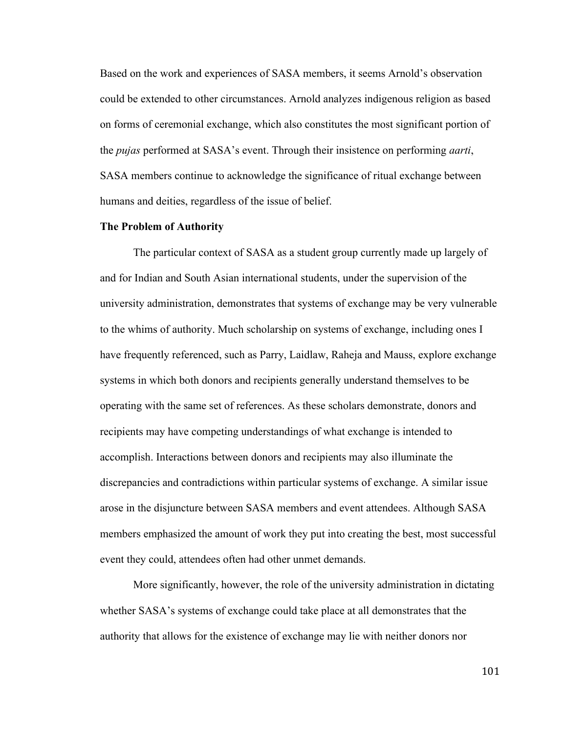Based on the work and experiences of SASA members, it seems Arnold's observation could be extended to other circumstances. Arnold analyzes indigenous religion as based on forms of ceremonial exchange, which also constitutes the most significant portion of the *pujas* performed at SASA's event. Through their insistence on performing *aarti*, SASA members continue to acknowledge the significance of ritual exchange between humans and deities, regardless of the issue of belief.

# **The Problem of Authority**

The particular context of SASA as a student group currently made up largely of and for Indian and South Asian international students, under the supervision of the university administration, demonstrates that systems of exchange may be very vulnerable to the whims of authority. Much scholarship on systems of exchange, including ones I have frequently referenced, such as Parry, Laidlaw, Raheja and Mauss, explore exchange systems in which both donors and recipients generally understand themselves to be operating with the same set of references. As these scholars demonstrate, donors and recipients may have competing understandings of what exchange is intended to accomplish. Interactions between donors and recipients may also illuminate the discrepancies and contradictions within particular systems of exchange. A similar issue arose in the disjuncture between SASA members and event attendees. Although SASA members emphasized the amount of work they put into creating the best, most successful event they could, attendees often had other unmet demands.

More significantly, however, the role of the university administration in dictating whether SASA's systems of exchange could take place at all demonstrates that the authority that allows for the existence of exchange may lie with neither donors nor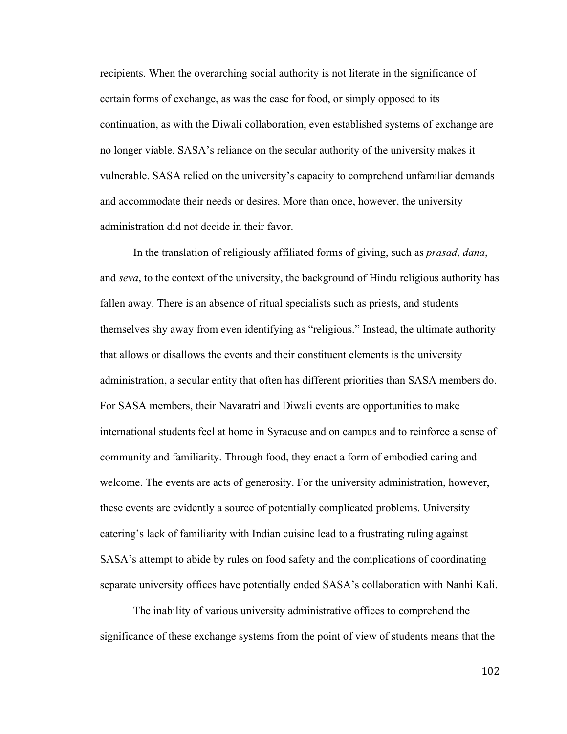recipients. When the overarching social authority is not literate in the significance of certain forms of exchange, as was the case for food, or simply opposed to its continuation, as with the Diwali collaboration, even established systems of exchange are no longer viable. SASA's reliance on the secular authority of the university makes it vulnerable. SASA relied on the university's capacity to comprehend unfamiliar demands and accommodate their needs or desires. More than once, however, the university administration did not decide in their favor.

In the translation of religiously affiliated forms of giving, such as *prasad*, *dana*, and *seva*, to the context of the university, the background of Hindu religious authority has fallen away. There is an absence of ritual specialists such as priests, and students themselves shy away from even identifying as "religious." Instead, the ultimate authority that allows or disallows the events and their constituent elements is the university administration, a secular entity that often has different priorities than SASA members do. For SASA members, their Navaratri and Diwali events are opportunities to make international students feel at home in Syracuse and on campus and to reinforce a sense of community and familiarity. Through food, they enact a form of embodied caring and welcome. The events are acts of generosity. For the university administration, however, these events are evidently a source of potentially complicated problems. University catering's lack of familiarity with Indian cuisine lead to a frustrating ruling against SASA's attempt to abide by rules on food safety and the complications of coordinating separate university offices have potentially ended SASA's collaboration with Nanhi Kali.

The inability of various university administrative offices to comprehend the significance of these exchange systems from the point of view of students means that the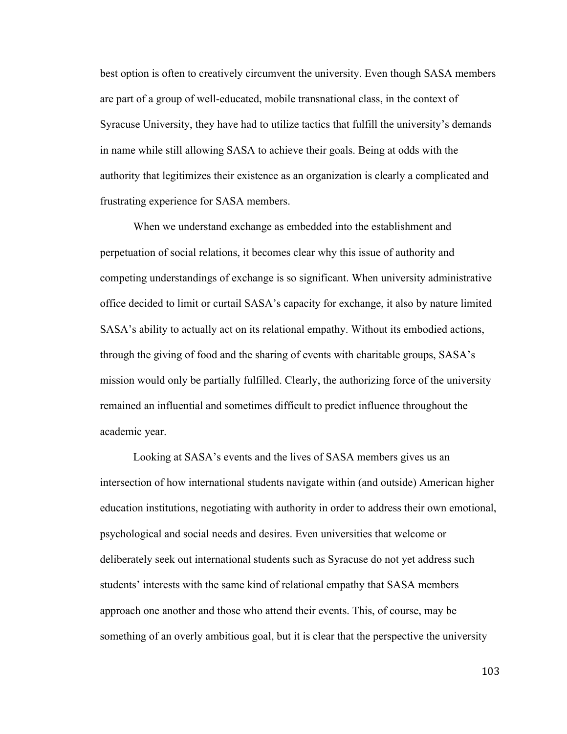best option is often to creatively circumvent the university. Even though SASA members are part of a group of well-educated, mobile transnational class, in the context of Syracuse University, they have had to utilize tactics that fulfill the university's demands in name while still allowing SASA to achieve their goals. Being at odds with the authority that legitimizes their existence as an organization is clearly a complicated and frustrating experience for SASA members.

When we understand exchange as embedded into the establishment and perpetuation of social relations, it becomes clear why this issue of authority and competing understandings of exchange is so significant. When university administrative office decided to limit or curtail SASA's capacity for exchange, it also by nature limited SASA's ability to actually act on its relational empathy. Without its embodied actions, through the giving of food and the sharing of events with charitable groups, SASA's mission would only be partially fulfilled. Clearly, the authorizing force of the university remained an influential and sometimes difficult to predict influence throughout the academic year.

Looking at SASA's events and the lives of SASA members gives us an intersection of how international students navigate within (and outside) American higher education institutions, negotiating with authority in order to address their own emotional, psychological and social needs and desires. Even universities that welcome or deliberately seek out international students such as Syracuse do not yet address such students' interests with the same kind of relational empathy that SASA members approach one another and those who attend their events. This, of course, may be something of an overly ambitious goal, but it is clear that the perspective the university

103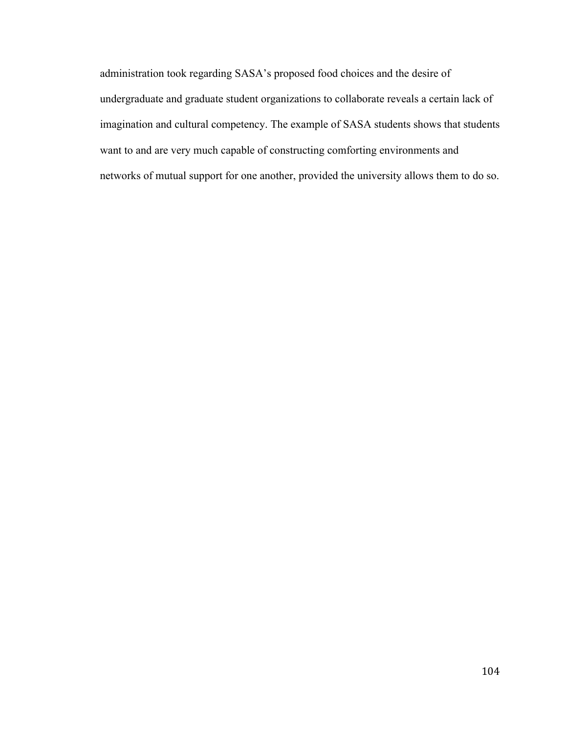administration took regarding SASA's proposed food choices and the desire of undergraduate and graduate student organizations to collaborate reveals a certain lack of imagination and cultural competency. The example of SASA students shows that students want to and are very much capable of constructing comforting environments and networks of mutual support for one another, provided the university allows them to do so.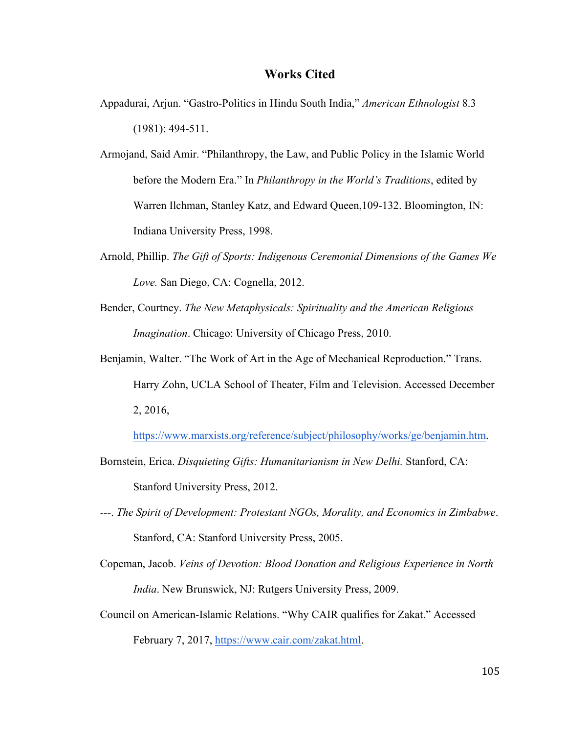#### **Works Cited**

- Appadurai, Arjun. "Gastro-Politics in Hindu South India," *American Ethnologist* 8.3 (1981): 494-511.
- Armojand, Said Amir. "Philanthropy, the Law, and Public Policy in the Islamic World before the Modern Era." In *Philanthropy in the World's Traditions*, edited by Warren Ilchman, Stanley Katz, and Edward Queen,109-132. Bloomington, IN: Indiana University Press, 1998.
- Arnold, Phillip. *The Gift of Sports: Indigenous Ceremonial Dimensions of the Games We Love.* San Diego, CA: Cognella, 2012.
- Bender, Courtney. *The New Metaphysicals: Spirituality and the American Religious Imagination*. Chicago: University of Chicago Press, 2010.
- Benjamin, Walter. "The Work of Art in the Age of Mechanical Reproduction." Trans. Harry Zohn, UCLA School of Theater, Film and Television. Accessed December 2, 2016,

https://www.marxists.org/reference/subject/philosophy/works/ge/benjamin.htm.

- Bornstein, Erica. *Disquieting Gifts: Humanitarianism in New Delhi.* Stanford, CA: Stanford University Press, 2012.
- ---. *The Spirit of Development: Protestant NGOs, Morality, and Economics in Zimbabwe*. Stanford, CA: Stanford University Press, 2005.
- Copeman, Jacob. *Veins of Devotion: Blood Donation and Religious Experience in North India*. New Brunswick, NJ: Rutgers University Press, 2009.
- Council on American-Islamic Relations. "Why CAIR qualifies for Zakat." Accessed February 7, 2017, https://www.cair.com/zakat.html.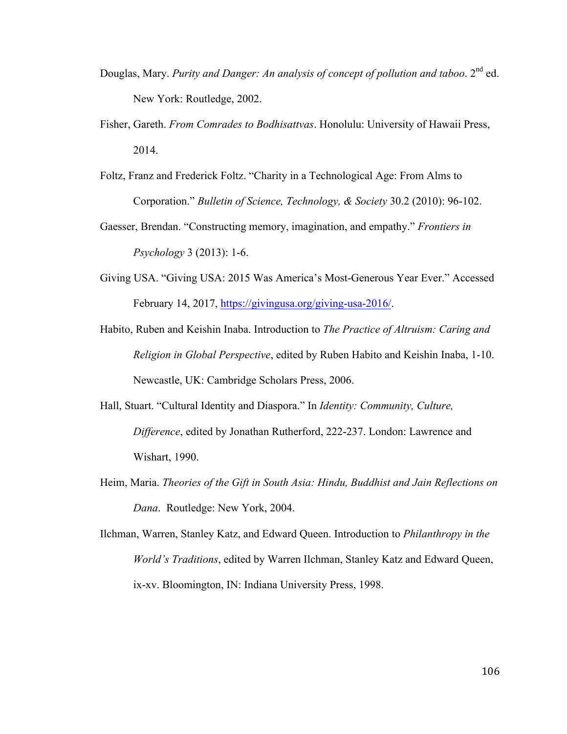- Douglas, Mary. *Purity and Danger: An analysis of concept of pollution and taboo.* 2<sup>nd</sup> ed. New York: Routledge, 2002.
- Fisher, Gareth. *From Comrades to Bodhisattvas*. Honolulu: University of Hawaii Press, 2014.
- Foltz, Franz and Frederick Foltz. "Charity in a Technological Age: From Alms to Corporation." *Bulletin of Science, Technology, & Society* 30.2 (2010): 96-102.
- Gaesser, Brendan. "Constructing memory, imagination, and empathy." *Frontiers in Psychology* 3 (2013): 1-6.
- Giving USA. "Giving USA: 2015 Was America's Most-Generous Year Ever." Accessed February 14, 2017, https://givingusa.org/giving-usa-2016/.
- Habito, Ruben and Keishin Inaba. Introduction to *The Practice of Altruism: Caring and Religion in Global Perspective*, edited by Ruben Habito and Keishin Inaba, 1-10. Newcastle, UK: Cambridge Scholars Press, 2006.
- Hall, Stuart. "Cultural Identity and Diaspora." In *Identity: Community, Culture, Difference*, edited by Jonathan Rutherford, 222-237. London: Lawrence and Wishart, 1990.
- Heim, Maria. *Theories of the Gift in South Asia: Hindu, Buddhist and Jain Reflections on Dana*. Routledge: New York, 2004.
- Ilchman, Warren, Stanley Katz, and Edward Queen. Introduction to *Philanthropy in the World's Traditions*, edited by Warren Ilchman, Stanley Katz and Edward Queen, ix-xv. Bloomington, IN: Indiana University Press, 1998.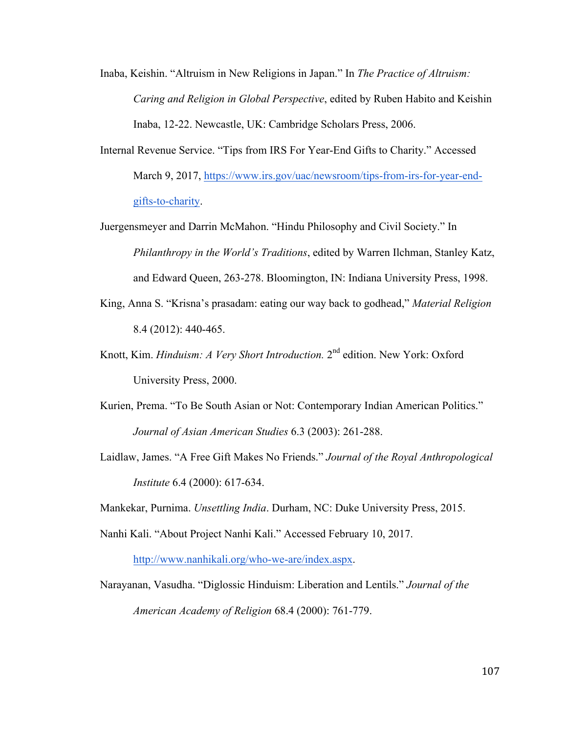- Inaba, Keishin. "Altruism in New Religions in Japan." In *The Practice of Altruism: Caring and Religion in Global Perspective*, edited by Ruben Habito and Keishin Inaba, 12-22. Newcastle, UK: Cambridge Scholars Press, 2006.
- Internal Revenue Service. "Tips from IRS For Year-End Gifts to Charity." Accessed March 9, 2017, https://www.irs.gov/uac/newsroom/tips-from-irs-for-year-endgifts-to-charity.
- Juergensmeyer and Darrin McMahon. "Hindu Philosophy and Civil Society." In *Philanthropy in the World's Traditions*, edited by Warren Ilchman, Stanley Katz, and Edward Queen, 263-278. Bloomington, IN: Indiana University Press, 1998.
- King, Anna S. "Krisna's prasadam: eating our way back to godhead," *Material Religion* 8.4 (2012): 440-465.
- Knott, Kim. *Hinduism: A Very Short Introduction.* 2nd edition. New York: Oxford University Press, 2000.
- Kurien, Prema. "To Be South Asian or Not: Contemporary Indian American Politics." *Journal of Asian American Studies* 6.3 (2003): 261-288.
- Laidlaw, James. "A Free Gift Makes No Friends." *Journal of the Royal Anthropological Institute* 6.4 (2000): 617-634.

Mankekar, Purnima. *Unsettling India*. Durham, NC: Duke University Press, 2015.

Nanhi Kali. "About Project Nanhi Kali." Accessed February 10, 2017.

http://www.nanhikali.org/who-we-are/index.aspx.

Narayanan, Vasudha. "Diglossic Hinduism: Liberation and Lentils." *Journal of the American Academy of Religion* 68.4 (2000): 761-779.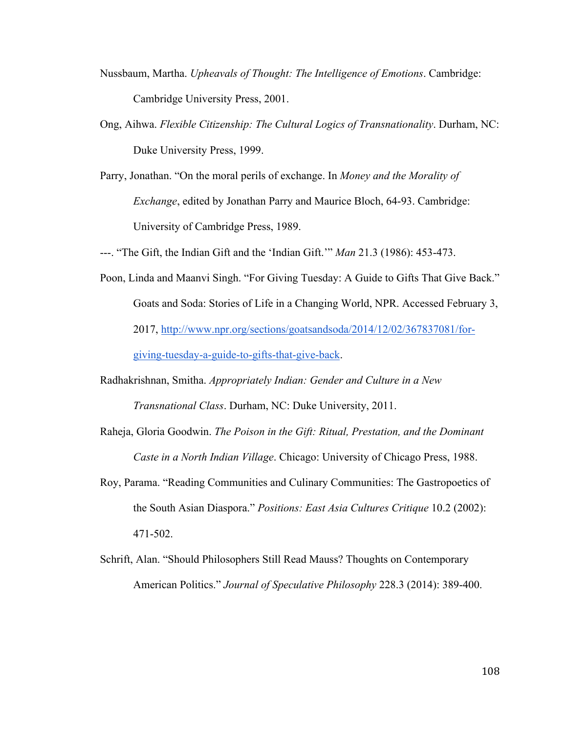- Nussbaum, Martha. *Upheavals of Thought: The Intelligence of Emotions*. Cambridge: Cambridge University Press, 2001.
- Ong, Aihwa. *Flexible Citizenship: The Cultural Logics of Transnationality*. Durham, NC: Duke University Press, 1999.
- Parry, Jonathan. "On the moral perils of exchange. In *Money and the Morality of Exchange*, edited by Jonathan Parry and Maurice Bloch, 64-93. Cambridge: University of Cambridge Press, 1989.
- ---. "The Gift, the Indian Gift and the 'Indian Gift.'" *Man* 21.3 (1986): 453-473.
- Poon, Linda and Maanvi Singh. "For Giving Tuesday: A Guide to Gifts That Give Back." Goats and Soda: Stories of Life in a Changing World, NPR. Accessed February 3, 2017, http://www.npr.org/sections/goatsandsoda/2014/12/02/367837081/forgiving-tuesday-a-guide-to-gifts-that-give-back.
- Radhakrishnan, Smitha. *Appropriately Indian: Gender and Culture in a New Transnational Class*. Durham, NC: Duke University, 2011.
- Raheja, Gloria Goodwin. *The Poison in the Gift: Ritual, Prestation, and the Dominant Caste in a North Indian Village*. Chicago: University of Chicago Press, 1988.
- Roy, Parama. "Reading Communities and Culinary Communities: The Gastropoetics of the South Asian Diaspora." *Positions: East Asia Cultures Critique* 10.2 (2002): 471-502.
- Schrift, Alan. "Should Philosophers Still Read Mauss? Thoughts on Contemporary American Politics." *Journal of Speculative Philosophy* 228.3 (2014): 389-400.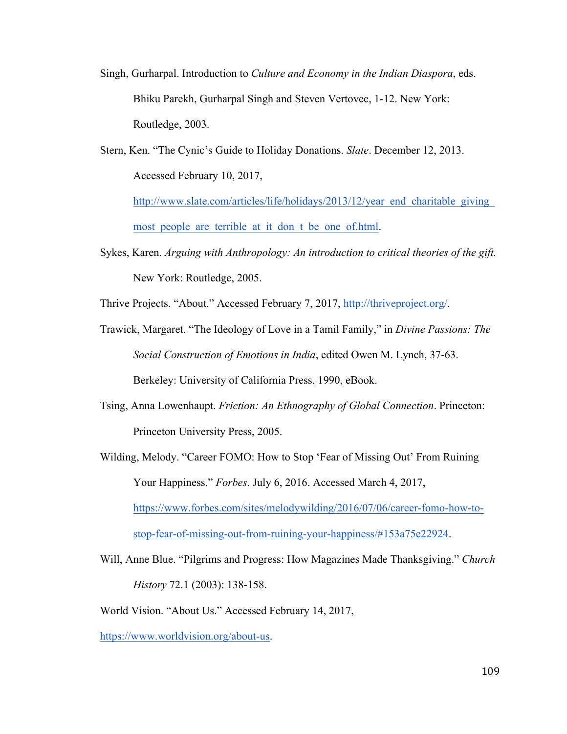- Singh, Gurharpal. Introduction to *Culture and Economy in the Indian Diaspora*, eds. Bhiku Parekh, Gurharpal Singh and Steven Vertovec, 1-12. New York: Routledge, 2003.
- Stern, Ken. "The Cynic's Guide to Holiday Donations. *Slate*. December 12, 2013. Accessed February 10, 2017,

http://www.slate.com/articles/life/holidays/2013/12/year\_end\_charitable\_giving\_ most people are terrible at it don t be one of html.

Sykes, Karen. *Arguing with Anthropology: An introduction to critical theories of the gift.* New York: Routledge, 2005.

Thrive Projects. "About." Accessed February 7, 2017, http://thriveproject.org/.

- Trawick, Margaret. "The Ideology of Love in a Tamil Family," in *Divine Passions: The Social Construction of Emotions in India*, edited Owen M. Lynch, 37-63. Berkeley: University of California Press, 1990, eBook.
- Tsing, Anna Lowenhaupt. *Friction: An Ethnography of Global Connection*. Princeton: Princeton University Press, 2005.
- Wilding, Melody. "Career FOMO: How to Stop 'Fear of Missing Out' From Ruining Your Happiness." *Forbes*. July 6, 2016. Accessed March 4, 2017, https://www.forbes.com/sites/melodywilding/2016/07/06/career-fomo-how-tostop-fear-of-missing-out-from-ruining-your-happiness/#153a75e22924.
- Will, Anne Blue. "Pilgrims and Progress: How Magazines Made Thanksgiving." *Church History* 72.1 (2003): 138-158.
- World Vision. "About Us." Accessed February 14, 2017,

https://www.worldvision.org/about-us.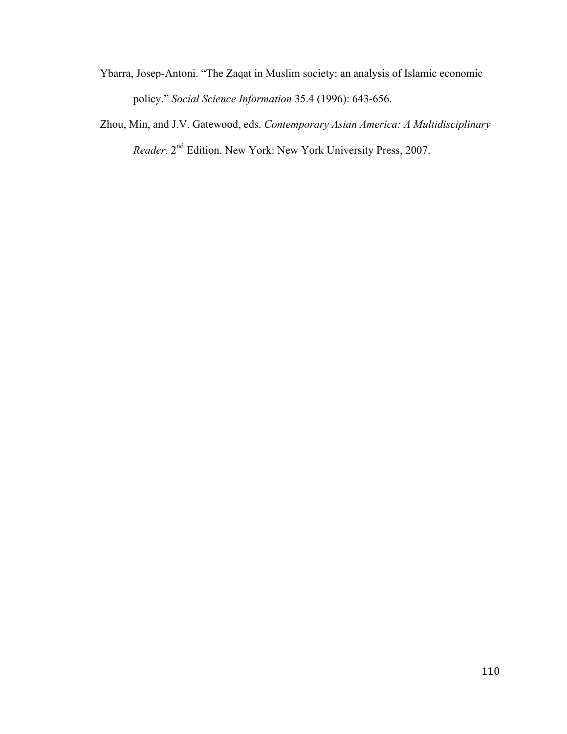- Ybarra, Josep-Antoni. "The Zaqat in Muslim society: an analysis of Islamic economic policy." *Social Science Information* 35.4 (1996): 643-656.
- Zhou, Min, and J.V. Gatewood, eds. *Contemporary Asian America: A Multidisciplinary Reader.* 2nd Edition. New York: New York University Press, 2007.